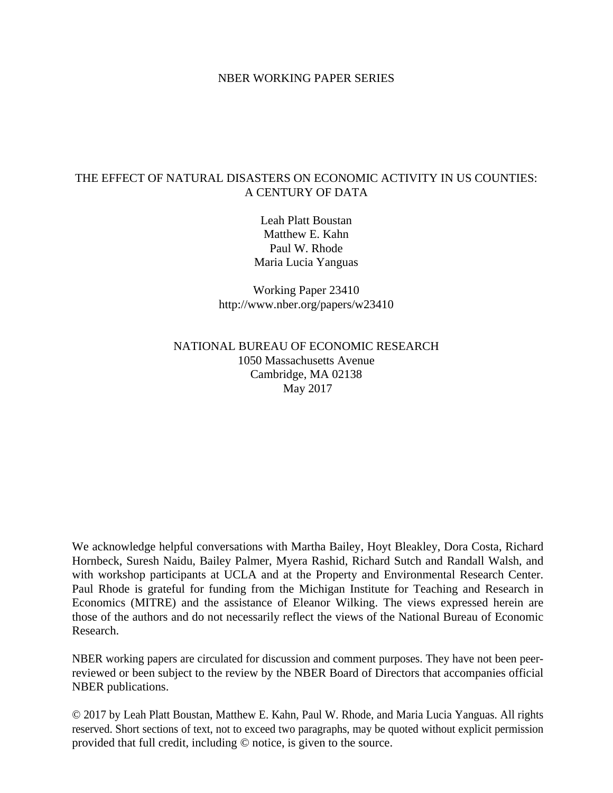### NBER WORKING PAPER SERIES

## THE EFFECT OF NATURAL DISASTERS ON ECONOMIC ACTIVITY IN US COUNTIES: A CENTURY OF DATA

Leah Platt Boustan Matthew E. Kahn Paul W. Rhode Maria Lucia Yanguas

Working Paper 23410 http://www.nber.org/papers/w23410

## NATIONAL BUREAU OF ECONOMIC RESEARCH 1050 Massachusetts Avenue Cambridge, MA 02138 May 2017

We acknowledge helpful conversations with Martha Bailey, Hoyt Bleakley, Dora Costa, Richard Hornbeck, Suresh Naidu, Bailey Palmer, Myera Rashid, Richard Sutch and Randall Walsh, and with workshop participants at UCLA and at the Property and Environmental Research Center. Paul Rhode is grateful for funding from the Michigan Institute for Teaching and Research in Economics (MITRE) and the assistance of Eleanor Wilking. The views expressed herein are those of the authors and do not necessarily reflect the views of the National Bureau of Economic Research.

NBER working papers are circulated for discussion and comment purposes. They have not been peerreviewed or been subject to the review by the NBER Board of Directors that accompanies official NBER publications.

© 2017 by Leah Platt Boustan, Matthew E. Kahn, Paul W. Rhode, and Maria Lucia Yanguas. All rights reserved. Short sections of text, not to exceed two paragraphs, may be quoted without explicit permission provided that full credit, including © notice, is given to the source.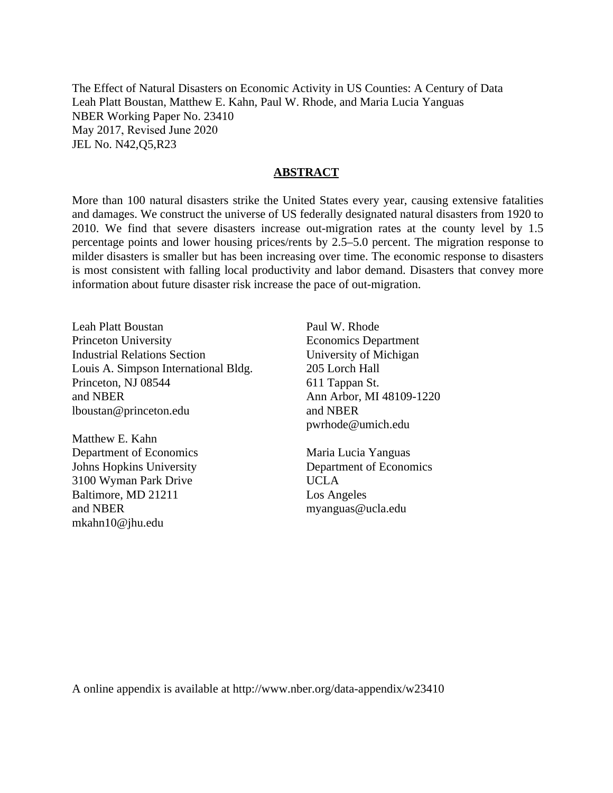The Effect of Natural Disasters on Economic Activity in US Counties: A Century of Data Leah Platt Boustan, Matthew E. Kahn, Paul W. Rhode, and Maria Lucia Yanguas NBER Working Paper No. 23410 May 2017, Revised June 2020 JEL No. N42,Q5,R23

### **ABSTRACT**

More than 100 natural disasters strike the United States every year, causing extensive fatalities and damages. We construct the universe of US federally designated natural disasters from 1920 to 2010. We find that severe disasters increase out-migration rates at the county level by 1.5 percentage points and lower housing prices/rents by 2.5–5.0 percent. The migration response to milder disasters is smaller but has been increasing over time. The economic response to disasters is most consistent with falling local productivity and labor demand. Disasters that convey more information about future disaster risk increase the pace of out-migration.

Leah Platt Boustan Princeton University Industrial Relations Section Louis A. Simpson International Bldg. Princeton, NJ 08544 and NBER lboustan@princeton.edu

Matthew E. Kahn Department of Economics Johns Hopkins University 3100 Wyman Park Drive Baltimore, MD 21211 and NBER mkahn10@jhu.edu

Paul W. Rhode Economics Department University of Michigan 205 Lorch Hall 611 Tappan St. Ann Arbor, MI 48109-1220 and NBER pwrhode@umich.edu

Maria Lucia Yanguas Department of Economics UCLA Los Angeles myanguas@ucla.edu

A online appendix is available at http://www.nber.org/data-appendix/w23410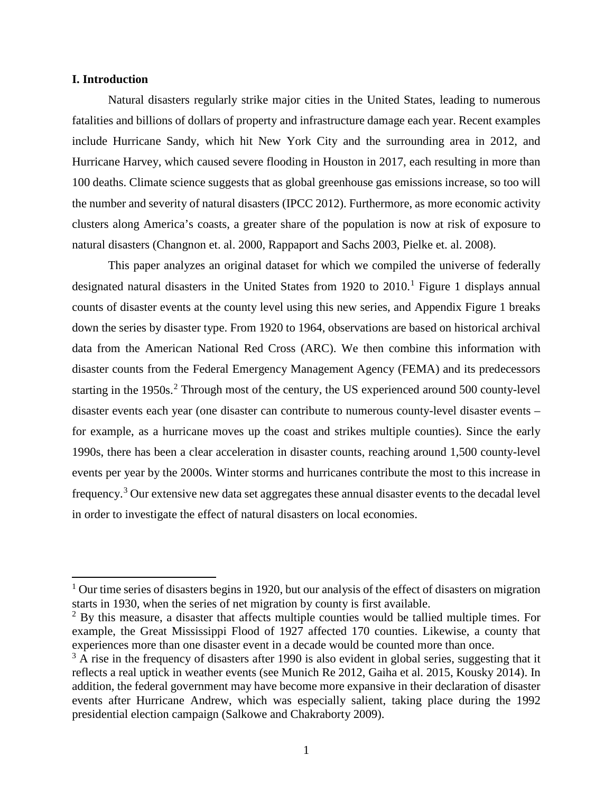## **I. Introduction**

 $\overline{a}$ 

Natural disasters regularly strike major cities in the United States, leading to numerous fatalities and billions of dollars of property and infrastructure damage each year. Recent examples include Hurricane Sandy, which hit New York City and the surrounding area in 2012, and Hurricane Harvey, which caused severe flooding in Houston in 2017, each resulting in more than 100 deaths. Climate science suggests that as global greenhouse gas emissions increase, so too will the number and severity of natural disasters (IPCC 2012). Furthermore, as more economic activity clusters along America's coasts, a greater share of the population is now at risk of exposure to natural disasters (Changnon et. al. 2000, Rappaport and Sachs 2003, Pielke et. al. 2008).

This paper analyzes an original dataset for which we compiled the universe of federally designated natural disasters in the United States from  $1920$  $1920$  to  $2010$ .<sup>1</sup> Figure 1 displays annual counts of disaster events at the county level using this new series, and Appendix Figure 1 breaks down the series by disaster type. From 1920 to 1964, observations are based on historical archival data from the American National Red Cross (ARC). We then combine this information with disaster counts from the Federal Emergency Management Agency (FEMA) and its predecessors starting in the 1950s. [2](#page-2-1) Through most of the century, the US experienced around 500 county-level disaster events each year (one disaster can contribute to numerous county-level disaster events – for example, as a hurricane moves up the coast and strikes multiple counties). Since the early 1990s, there has been a clear acceleration in disaster counts, reaching around 1,500 county-level events per year by the 2000s. Winter storms and hurricanes contribute the most to this increase in frequency.<sup>[3](#page-2-2)</sup> Our extensive new data set aggregates these annual disaster events to the decadal level in order to investigate the effect of natural disasters on local economies.

<span id="page-2-0"></span> $1$  Our time series of disasters begins in 1920, but our analysis of the effect of disasters on migration starts in 1930, when the series of net migration by county is first available.

<span id="page-2-1"></span> $2$  By this measure, a disaster that affects multiple counties would be tallied multiple times. For example, the Great Mississippi Flood of 1927 affected 170 counties. Likewise, a county that experiences more than one disaster event in a decade would be counted more than once.

<span id="page-2-2"></span> $3$  A rise in the frequency of disasters after 1990 is also evident in global series, suggesting that it reflects a real uptick in weather events (see Munich Re 2012, Gaiha et al. 2015, Kousky 2014). In addition, the federal government may have become more expansive in their declaration of disaster events after Hurricane Andrew, which was especially salient, taking place during the 1992 presidential election campaign (Salkowe and Chakraborty 2009).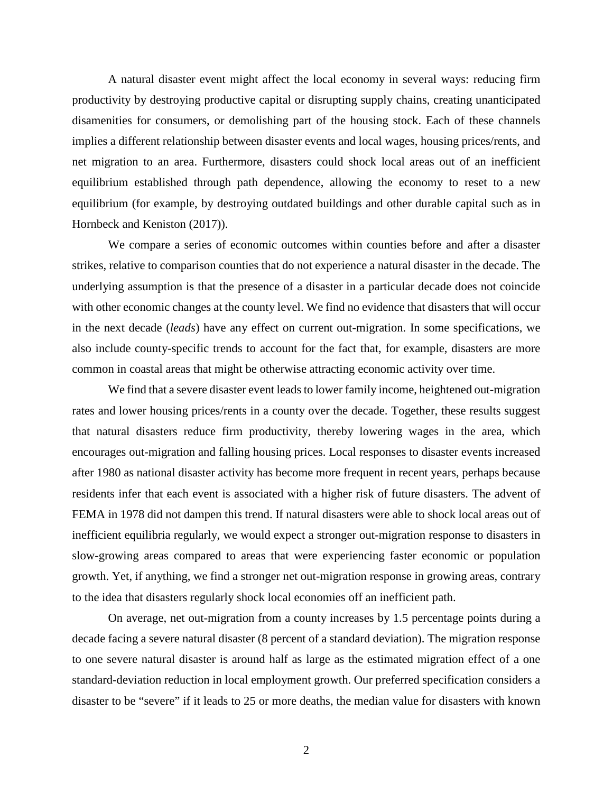A natural disaster event might affect the local economy in several ways: reducing firm productivity by destroying productive capital or disrupting supply chains, creating unanticipated disamenities for consumers, or demolishing part of the housing stock. Each of these channels implies a different relationship between disaster events and local wages, housing prices/rents, and net migration to an area. Furthermore, disasters could shock local areas out of an inefficient equilibrium established through path dependence, allowing the economy to reset to a new equilibrium (for example, by destroying outdated buildings and other durable capital such as in Hornbeck and Keniston (2017)).

We compare a series of economic outcomes within counties before and after a disaster strikes, relative to comparison counties that do not experience a natural disaster in the decade. The underlying assumption is that the presence of a disaster in a particular decade does not coincide with other economic changes at the county level. We find no evidence that disasters that will occur in the next decade (*leads*) have any effect on current out-migration. In some specifications, we also include county-specific trends to account for the fact that, for example, disasters are more common in coastal areas that might be otherwise attracting economic activity over time.

We find that a severe disaster event leads to lower family income, heightened out-migration rates and lower housing prices/rents in a county over the decade. Together, these results suggest that natural disasters reduce firm productivity, thereby lowering wages in the area, which encourages out-migration and falling housing prices. Local responses to disaster events increased after 1980 as national disaster activity has become more frequent in recent years, perhaps because residents infer that each event is associated with a higher risk of future disasters. The advent of FEMA in 1978 did not dampen this trend. If natural disasters were able to shock local areas out of inefficient equilibria regularly, we would expect a stronger out-migration response to disasters in slow-growing areas compared to areas that were experiencing faster economic or population growth. Yet, if anything, we find a stronger net out-migration response in growing areas, contrary to the idea that disasters regularly shock local economies off an inefficient path.

On average, net out-migration from a county increases by 1.5 percentage points during a decade facing a severe natural disaster (8 percent of a standard deviation). The migration response to one severe natural disaster is around half as large as the estimated migration effect of a one standard-deviation reduction in local employment growth. Our preferred specification considers a disaster to be "severe" if it leads to 25 or more deaths, the median value for disasters with known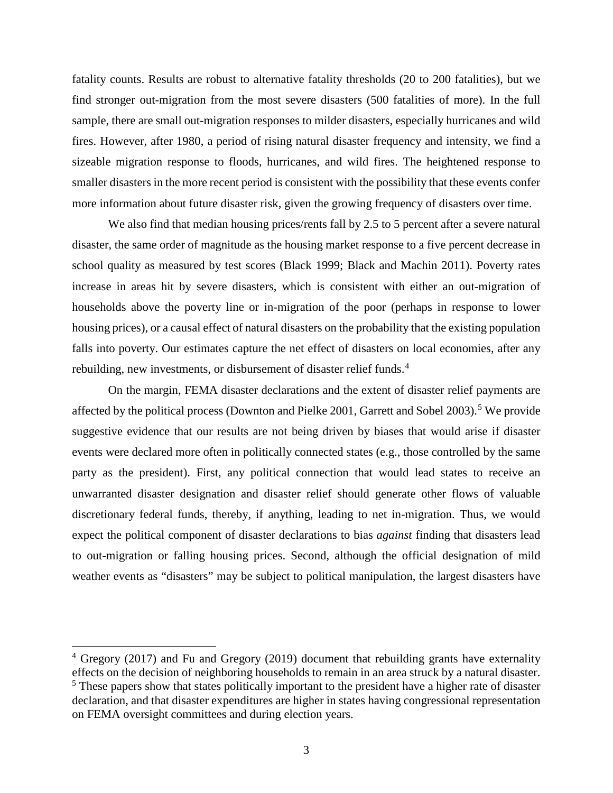fatality counts. Results are robust to alternative fatality thresholds (20 to 200 fatalities), but we find stronger out-migration from the most severe disasters (500 fatalities of more). In the full sample, there are small out-migration responses to milder disasters, especially hurricanes and wild fires. However, after 1980, a period of rising natural disaster frequency and intensity, we find a sizeable migration response to floods, hurricanes, and wild fires. The heightened response to smaller disasters in the more recent period is consistent with the possibility that these events confer more information about future disaster risk, given the growing frequency of disasters over time.

We also find that median housing prices/rents fall by 2.5 to 5 percent after a severe natural disaster, the same order of magnitude as the housing market response to a five percent decrease in school quality as measured by test scores (Black 1999; Black and Machin 2011). Poverty rates increase in areas hit by severe disasters, which is consistent with either an out-migration of households above the poverty line or in-migration of the poor (perhaps in response to lower housing prices), or a causal effect of natural disasters on the probability that the existing population falls into poverty. Our estimates capture the net effect of disasters on local economies, after any rebuilding, new investments, or disbursement of disaster relief funds.<sup>[4](#page-4-0)</sup>

On the margin, FEMA disaster declarations and the extent of disaster relief payments are affected by the political process (Downton and Pielke 2001, Garrett and Sobel 2003).<sup>[5](#page-4-1)</sup> We provide suggestive evidence that our results are not being driven by biases that would arise if disaster events were declared more often in politically connected states (e.g., those controlled by the same party as the president). First, any political connection that would lead states to receive an unwarranted disaster designation and disaster relief should generate other flows of valuable discretionary federal funds, thereby, if anything, leading to net in-migration. Thus, we would expect the political component of disaster declarations to bias *against* finding that disasters lead to out-migration or falling housing prices. Second, although the official designation of mild weather events as "disasters" may be subject to political manipulation, the largest disasters have

 $\overline{a}$ 

<span id="page-4-1"></span><span id="page-4-0"></span> $4$  Gregory (2017) and Fu and Gregory (2019) document that rebuilding grants have externality effects on the decision of neighboring households to remain in an area struck by a natural disaster. <sup>5</sup> These papers show that states politically important to the president have a higher rate of disaster declaration, and that disaster expenditures are higher in states having congressional representation on FEMA oversight committees and during election years.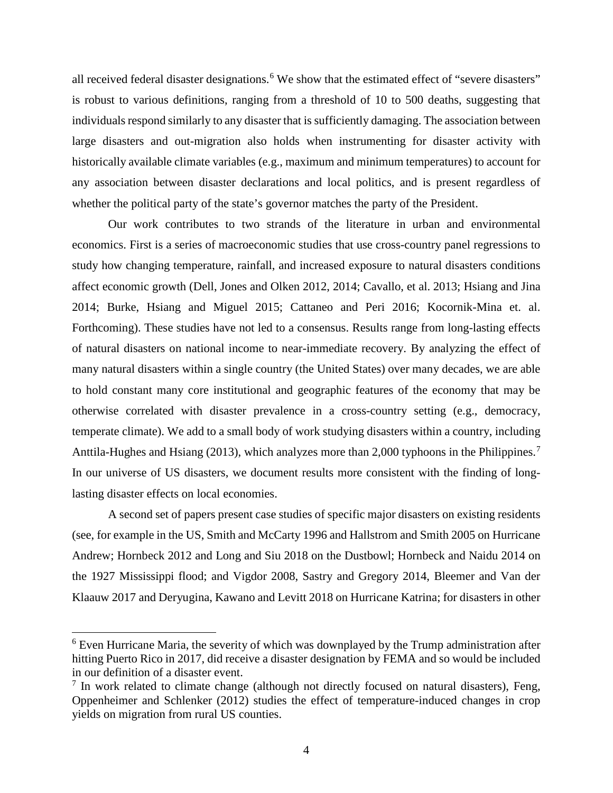all received federal disaster designations.<sup>[6](#page-5-0)</sup> We show that the estimated effect of "severe disasters" is robust to various definitions, ranging from a threshold of 10 to 500 deaths, suggesting that individuals respond similarly to any disaster that is sufficiently damaging. The association between large disasters and out-migration also holds when instrumenting for disaster activity with historically available climate variables (e.g., maximum and minimum temperatures) to account for any association between disaster declarations and local politics, and is present regardless of whether the political party of the state's governor matches the party of the President.

Our work contributes to two strands of the literature in urban and environmental economics. First is a series of macroeconomic studies that use cross-country panel regressions to study how changing temperature, rainfall, and increased exposure to natural disasters conditions affect economic growth (Dell, Jones and Olken 2012, 2014; Cavallo, et al. 2013; Hsiang and Jina 2014; Burke, Hsiang and Miguel 2015; Cattaneo and Peri 2016; Kocornik-Mina et. al. Forthcoming). These studies have not led to a consensus. Results range from long-lasting effects of natural disasters on national income to near-immediate recovery. By analyzing the effect of many natural disasters within a single country (the United States) over many decades, we are able to hold constant many core institutional and geographic features of the economy that may be otherwise correlated with disaster prevalence in a cross-country setting (e.g., democracy, temperate climate). We add to a small body of work studying disasters within a country, including Anttila-Hughes and Hsiang (2013), which analyzes more than 2,000 typhoons in the Philippines.<sup>[7](#page-5-1)</sup> In our universe of US disasters, we document results more consistent with the finding of longlasting disaster effects on local economies.

A second set of papers present case studies of specific major disasters on existing residents (see, for example in the US, Smith and McCarty 1996 and Hallstrom and Smith 2005 on Hurricane Andrew; Hornbeck 2012 and Long and Siu 2018 on the Dustbowl; Hornbeck and Naidu 2014 on the 1927 Mississippi flood; and Vigdor 2008, Sastry and Gregory 2014, Bleemer and Van der Klaauw 2017 and Deryugina, Kawano and Levitt 2018 on Hurricane Katrina; for disasters in other

l

<span id="page-5-0"></span><sup>&</sup>lt;sup>6</sup> Even Hurricane Maria, the severity of which was downplayed by the Trump administration after hitting Puerto Rico in 2017, did receive a disaster designation by FEMA and so would be included in our definition of a disaster event.

<span id="page-5-1"></span> $<sup>7</sup>$  In work related to climate change (although not directly focused on natural disasters), Feng,</sup> Oppenheimer and Schlenker (2012) studies the effect of temperature-induced changes in crop yields on migration from rural US counties.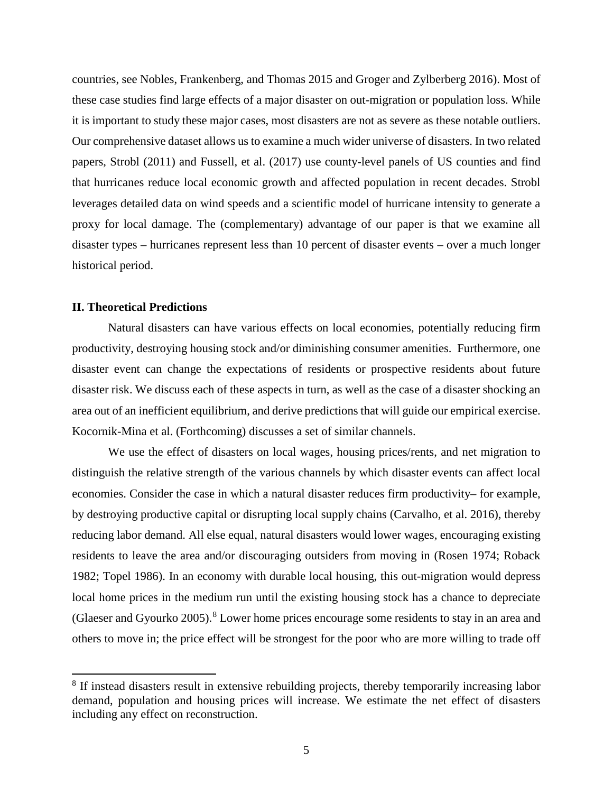countries, see Nobles, Frankenberg, and Thomas 2015 and Groger and Zylberberg 2016). Most of these case studies find large effects of a major disaster on out-migration or population loss. While it is important to study these major cases, most disasters are not as severe as these notable outliers. Our comprehensive dataset allows us to examine a much wider universe of disasters. In two related papers, Strobl (2011) and Fussell, et al. (2017) use county-level panels of US counties and find that hurricanes reduce local economic growth and affected population in recent decades. Strobl leverages detailed data on wind speeds and a scientific model of hurricane intensity to generate a proxy for local damage. The (complementary) advantage of our paper is that we examine all disaster types – hurricanes represent less than 10 percent of disaster events – over a much longer historical period.

### **II. Theoretical Predictions**

 $\overline{\phantom{a}}$ 

Natural disasters can have various effects on local economies, potentially reducing firm productivity, destroying housing stock and/or diminishing consumer amenities. Furthermore, one disaster event can change the expectations of residents or prospective residents about future disaster risk. We discuss each of these aspects in turn, as well as the case of a disaster shocking an area out of an inefficient equilibrium, and derive predictions that will guide our empirical exercise. Kocornik-Mina et al. (Forthcoming) discusses a set of similar channels.

We use the effect of disasters on local wages, housing prices/rents, and net migration to distinguish the relative strength of the various channels by which disaster events can affect local economies. Consider the case in which a natural disaster reduces firm productivity– for example, by destroying productive capital or disrupting local supply chains (Carvalho, et al. 2016), thereby reducing labor demand. All else equal, natural disasters would lower wages, encouraging existing residents to leave the area and/or discouraging outsiders from moving in (Rosen 1974; Roback 1982; Topel 1986). In an economy with durable local housing, this out-migration would depress local home prices in the medium run until the existing housing stock has a chance to depreciate (Glaeser and Gyourko 2005).[8](#page-6-0) Lower home prices encourage some residents to stay in an area and others to move in; the price effect will be strongest for the poor who are more willing to trade off

<span id="page-6-0"></span><sup>&</sup>lt;sup>8</sup> If instead disasters result in extensive rebuilding projects, thereby temporarily increasing labor demand, population and housing prices will increase. We estimate the net effect of disasters including any effect on reconstruction.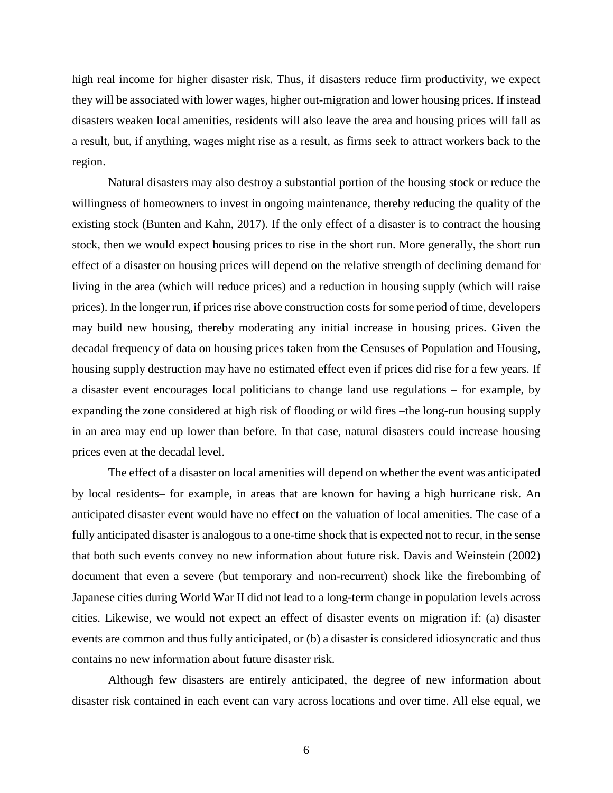high real income for higher disaster risk. Thus, if disasters reduce firm productivity, we expect they will be associated with lower wages, higher out-migration and lower housing prices. If instead disasters weaken local amenities, residents will also leave the area and housing prices will fall as a result, but, if anything, wages might rise as a result, as firms seek to attract workers back to the region.

Natural disasters may also destroy a substantial portion of the housing stock or reduce the willingness of homeowners to invest in ongoing maintenance, thereby reducing the quality of the existing stock (Bunten and Kahn, 2017). If the only effect of a disaster is to contract the housing stock, then we would expect housing prices to rise in the short run. More generally, the short run effect of a disaster on housing prices will depend on the relative strength of declining demand for living in the area (which will reduce prices) and a reduction in housing supply (which will raise prices). In the longer run, if prices rise above construction costs for some period of time, developers may build new housing, thereby moderating any initial increase in housing prices. Given the decadal frequency of data on housing prices taken from the Censuses of Population and Housing, housing supply destruction may have no estimated effect even if prices did rise for a few years. If a disaster event encourages local politicians to change land use regulations – for example, by expanding the zone considered at high risk of flooding or wild fires –the long-run housing supply in an area may end up lower than before. In that case, natural disasters could increase housing prices even at the decadal level.

The effect of a disaster on local amenities will depend on whether the event was anticipated by local residents– for example, in areas that are known for having a high hurricane risk. An anticipated disaster event would have no effect on the valuation of local amenities. The case of a fully anticipated disaster is analogous to a one-time shock that is expected not to recur, in the sense that both such events convey no new information about future risk. Davis and Weinstein (2002) document that even a severe (but temporary and non-recurrent) shock like the firebombing of Japanese cities during World War II did not lead to a long-term change in population levels across cities. Likewise, we would not expect an effect of disaster events on migration if: (a) disaster events are common and thus fully anticipated, or (b) a disaster is considered idiosyncratic and thus contains no new information about future disaster risk.

Although few disasters are entirely anticipated, the degree of new information about disaster risk contained in each event can vary across locations and over time. All else equal, we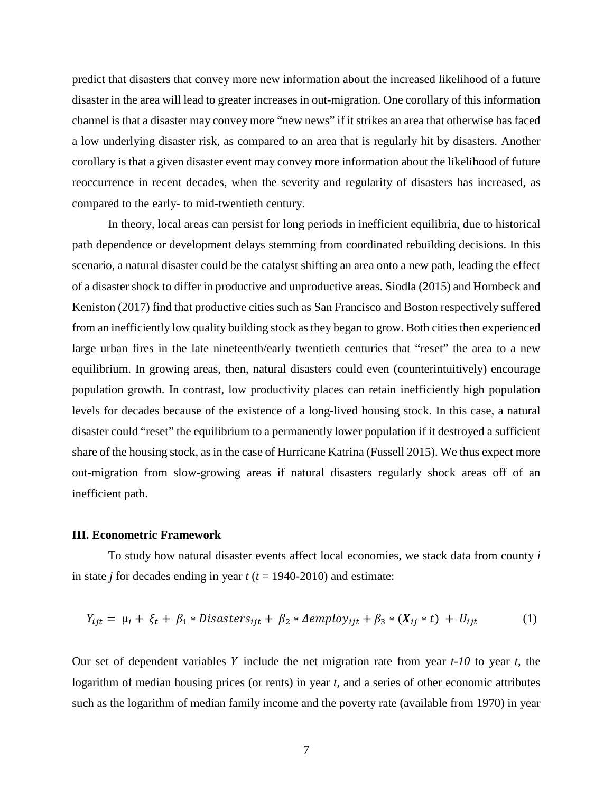predict that disasters that convey more new information about the increased likelihood of a future disaster in the area will lead to greater increases in out-migration. One corollary of this information channel is that a disaster may convey more "new news" if it strikes an area that otherwise has faced a low underlying disaster risk, as compared to an area that is regularly hit by disasters. Another corollary is that a given disaster event may convey more information about the likelihood of future reoccurrence in recent decades, when the severity and regularity of disasters has increased, as compared to the early- to mid-twentieth century.

In theory, local areas can persist for long periods in inefficient equilibria, due to historical path dependence or development delays stemming from coordinated rebuilding decisions. In this scenario, a natural disaster could be the catalyst shifting an area onto a new path, leading the effect of a disaster shock to differ in productive and unproductive areas. Siodla (2015) and Hornbeck and Keniston (2017) find that productive cities such as San Francisco and Boston respectively suffered from an inefficiently low quality building stock as they began to grow. Both cities then experienced large urban fires in the late nineteenth/early twentieth centuries that "reset" the area to a new equilibrium. In growing areas, then, natural disasters could even (counterintuitively) encourage population growth. In contrast, low productivity places can retain inefficiently high population levels for decades because of the existence of a long-lived housing stock. In this case, a natural disaster could "reset" the equilibrium to a permanently lower population if it destroyed a sufficient share of the housing stock, as in the case of Hurricane Katrina (Fussell 2015). We thus expect more out-migration from slow-growing areas if natural disasters regularly shock areas off of an inefficient path.

### **III. Econometric Framework**

To study how natural disaster events affect local economies, we stack data from county *i* in state *j* for decades ending in year  $t$  ( $t = 1940-2010$ ) and estimate:

$$
Y_{ijt} = \mu_i + \xi_t + \beta_1 * \text{Disasters}_{ijt} + \beta_2 * \text{Aemploy}_{ijt} + \beta_3 * (X_{ij} * t) + U_{ijt} \tag{1}
$$

Our set of dependent variables Y include the net migration rate from year  $t-10$  to year  $t$ , the logarithm of median housing prices (or rents) in year *t*, and a series of other economic attributes such as the logarithm of median family income and the poverty rate (available from 1970) in year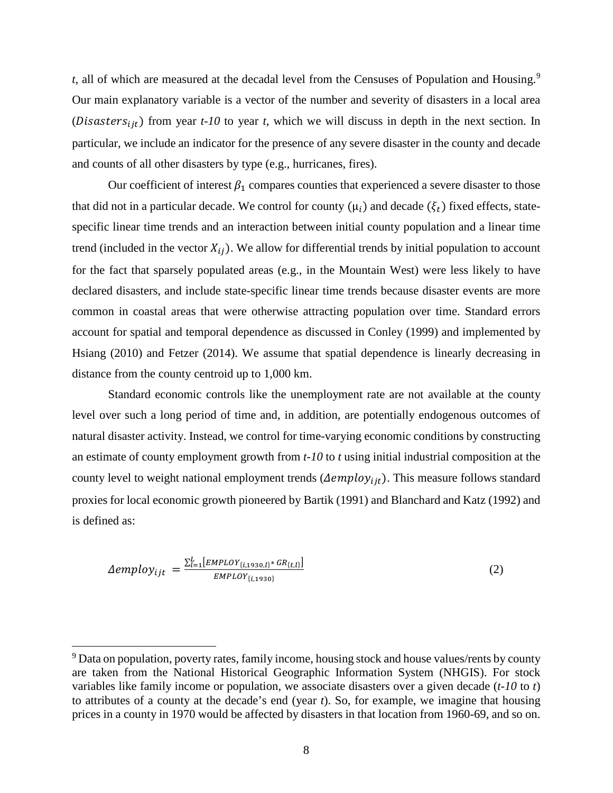*t*, all of which are measured at the decadal level from the Censuses of Population and Housing.<sup>[9](#page-9-0)</sup> Our main explanatory variable is a vector of the number and severity of disasters in a local area (*Disasters*<sub>iit</sub>) from year  $t$ -10 to year  $t$ , which we will discuss in depth in the next section. In particular, we include an indicator for the presence of any severe disaster in the county and decade and counts of all other disasters by type (e.g., hurricanes, fires).

Our coefficient of interest  $\beta_1$  compares counties that experienced a severe disaster to those that did not in a particular decade. We control for county  $(\mu_i)$  and decade  $(\xi_t)$  fixed effects, statespecific linear time trends and an interaction between initial county population and a linear time trend (included in the vector  $X_{ij}$ ). We allow for differential trends by initial population to account for the fact that sparsely populated areas (e.g., in the Mountain West) were less likely to have declared disasters, and include state-specific linear time trends because disaster events are more common in coastal areas that were otherwise attracting population over time. Standard errors account for spatial and temporal dependence as discussed in Conley (1999) and implemented by Hsiang (2010) and Fetzer (2014). We assume that spatial dependence is linearly decreasing in distance from the county centroid up to 1,000 km.

Standard economic controls like the unemployment rate are not available at the county level over such a long period of time and, in addition, are potentially endogenous outcomes of natural disaster activity. Instead, we control for time-varying economic conditions by constructing an estimate of county employment growth from *t-10* to *t* using initial industrial composition at the county level to weight national employment trends ( $\Delta employ_{ijt}$ ). This measure follows standard proxies for local economic growth pioneered by Bartik (1991) and Blanchard and Katz (1992) and is defined as:

$$
\Delta employ_{ijt} = \frac{\sum_{l=1}^{L} [EMPLOY_{\{i,1930,l\}} * GR_{\{t,l\}}]}{EMPLOY_{\{i,1930\}}} \tag{2}
$$

 $\overline{a}$ 

<span id="page-9-0"></span><sup>&</sup>lt;sup>9</sup> Data on population, poverty rates, family income, housing stock and house values/rents by county are taken from the National Historical Geographic Information System (NHGIS). For stock variables like family income or population, we associate disasters over a given decade (*t-10* to *t*) to attributes of a county at the decade's end (year *t*). So, for example, we imagine that housing prices in a county in 1970 would be affected by disasters in that location from 1960-69, and so on.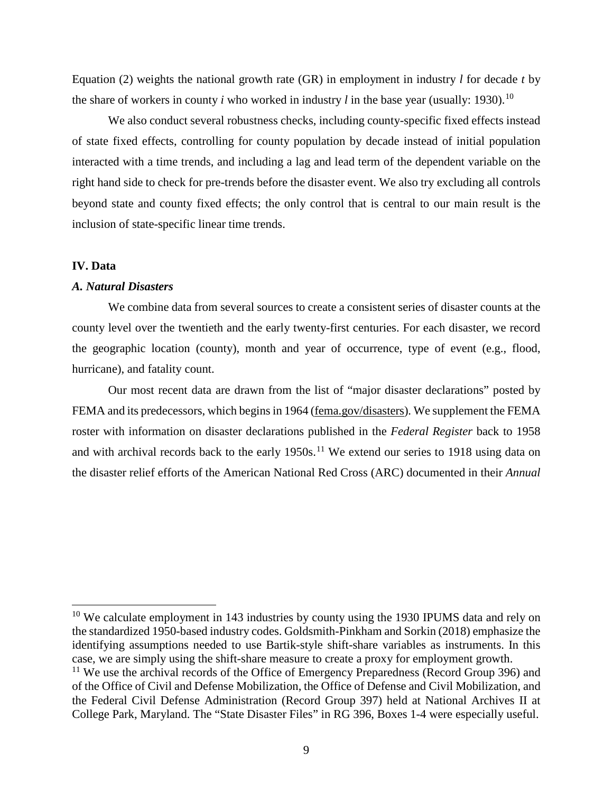Equation (2) weights the national growth rate (GR) in employment in industry *l* for decade *t* by the share of workers in county *i* who worked in industry *l* in the base year (usually: 1930).<sup>[10](#page-10-0)</sup>

We also conduct several robustness checks, including county-specific fixed effects instead of state fixed effects, controlling for county population by decade instead of initial population interacted with a time trends, and including a lag and lead term of the dependent variable on the right hand side to check for pre-trends before the disaster event. We also try excluding all controls beyond state and county fixed effects; the only control that is central to our main result is the inclusion of state-specific linear time trends.

### **IV. Data**

 $\overline{\phantom{a}}$ 

## *A. Natural Disasters*

We combine data from several sources to create a consistent series of disaster counts at the county level over the twentieth and the early twenty-first centuries. For each disaster, we record the geographic location (county), month and year of occurrence, type of event (e.g., flood, hurricane), and fatality count.

Our most recent data are drawn from the list of "major disaster declarations" posted by FEMA and its predecessors, which begins in 1964 [\(fema.gov/disasters\)](https://www.fema.gov/disasters). We supplement the FEMA roster with information on disaster declarations published in the *Federal Register* back to 1958 and with archival records back to the early  $1950s$ .<sup>[11](#page-10-1)</sup> We extend our series to 1918 using data on the disaster relief efforts of the American National Red Cross (ARC) documented in their *Annual* 

<span id="page-10-0"></span><sup>&</sup>lt;sup>10</sup> We calculate employment in 143 industries by county using the 1930 IPUMS data and rely on the standardized 1950-based industry codes. Goldsmith-Pinkham and Sorkin (2018) emphasize the identifying assumptions needed to use Bartik-style shift-share variables as instruments. In this case, we are simply using the shift-share measure to create a proxy for employment growth.

<span id="page-10-1"></span> $11$  We use the archival records of the Office of Emergency Preparedness (Record Group 396) and of the Office of Civil and Defense Mobilization, the Office of Defense and Civil Mobilization, and the Federal Civil Defense Administration (Record Group 397) held at National Archives II at College Park, Maryland. The "State Disaster Files" in RG 396, Boxes 1-4 were especially useful.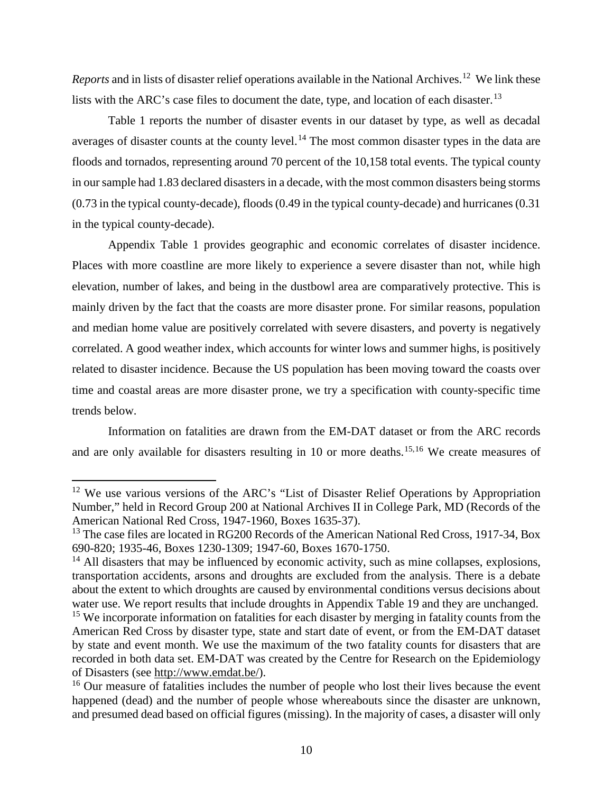*Reports* and in lists of disaster relief operations available in the National Archives. [12](#page-11-0) We link these lists with the ARC's case files to document the date, type, and location of each disaster.<sup>[13](#page-11-1)</sup>

Table 1 reports the number of disaster events in our dataset by type, as well as decadal averages of disaster counts at the county level.<sup>[14](#page-11-2)</sup> The most common disaster types in the data are floods and tornados, representing around 70 percent of the 10,158 total events. The typical county in our sample had 1.83 declared disasters in a decade, with the most common disasters being storms (0.73 in the typical county-decade), floods (0.49 in the typical county-decade) and hurricanes (0.31 in the typical county-decade).

Appendix Table 1 provides geographic and economic correlates of disaster incidence. Places with more coastline are more likely to experience a severe disaster than not, while high elevation, number of lakes, and being in the dustbowl area are comparatively protective. This is mainly driven by the fact that the coasts are more disaster prone. For similar reasons, population and median home value are positively correlated with severe disasters, and poverty is negatively correlated. A good weather index, which accounts for winter lows and summer highs, is positively related to disaster incidence. Because the US population has been moving toward the coasts over time and coastal areas are more disaster prone, we try a specification with county-specific time trends below.

Information on fatalities are drawn from the EM-DAT dataset or from the ARC records and are only available for disasters resulting in 10 or more deaths.<sup>[15](#page-11-3),[16](#page-11-4)</sup> We create measures of

l

<span id="page-11-0"></span> $12$  We use various versions of the ARC's "List of Disaster Relief Operations by Appropriation Number," held in Record Group 200 at National Archives II in College Park, MD (Records of the American National Red Cross, 1947-1960, Boxes 1635-37).

<span id="page-11-1"></span><sup>&</sup>lt;sup>13</sup> The case files are located in RG200 Records of the American National Red Cross, 1917-34, Box 690-820; 1935-46, Boxes 1230-1309; 1947-60, Boxes 1670-1750.

<span id="page-11-2"></span> $14$  All disasters that may be influenced by economic activity, such as mine collapses, explosions, transportation accidents, arsons and droughts are excluded from the analysis. There is a debate about the extent to which droughts are caused by environmental conditions versus decisions about water use. We report results that include droughts in Appendix Table 19 and they are unchanged. <sup>15</sup> We incorporate information on fatalities for each disaster by merging in fatality counts from the

<span id="page-11-3"></span>American Red Cross by disaster type, state and start date of event, or from the EM-DAT dataset by state and event month. We use the maximum of the two fatality counts for disasters that are recorded in both data set. EM-DAT was created by the Centre for Research on the Epidemiology of Disasters (see [http://www.emdat.be/\)](http://www.emdat.be/).

<span id="page-11-4"></span><sup>&</sup>lt;sup>16</sup> Our measure of fatalities includes the number of people who lost their lives because the event happened (dead) and the number of people whose whereabouts since the disaster are unknown, and presumed dead based on official figures (missing). In the majority of cases, a disaster will only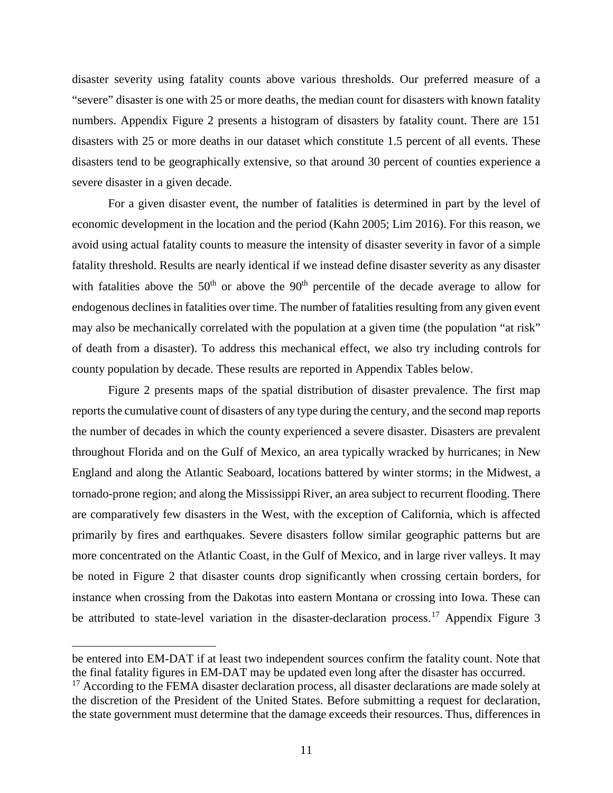disaster severity using fatality counts above various thresholds. Our preferred measure of a "severe" disaster is one with 25 or more deaths, the median count for disasters with known fatality numbers. Appendix Figure 2 presents a histogram of disasters by fatality count. There are 151 disasters with 25 or more deaths in our dataset which constitute 1.5 percent of all events. These disasters tend to be geographically extensive, so that around 30 percent of counties experience a severe disaster in a given decade.

For a given disaster event, the number of fatalities is determined in part by the level of economic development in the location and the period (Kahn 2005; Lim 2016). For this reason, we avoid using actual fatality counts to measure the intensity of disaster severity in favor of a simple fatality threshold. Results are nearly identical if we instead define disaster severity as any disaster with fatalities above the  $50<sup>th</sup>$  or above the  $90<sup>th</sup>$  percentile of the decade average to allow for endogenous declines in fatalities over time. The number of fatalities resulting from any given event may also be mechanically correlated with the population at a given time (the population "at risk" of death from a disaster). To address this mechanical effect, we also try including controls for county population by decade. These results are reported in Appendix Tables below.

Figure 2 presents maps of the spatial distribution of disaster prevalence. The first map reports the cumulative count of disasters of any type during the century, and the second map reports the number of decades in which the county experienced a severe disaster. Disasters are prevalent throughout Florida and on the Gulf of Mexico, an area typically wracked by hurricanes; in New England and along the Atlantic Seaboard, locations battered by winter storms; in the Midwest, a tornado-prone region; and along the Mississippi River, an area subject to recurrent flooding. There are comparatively few disasters in the West, with the exception of California, which is affected primarily by fires and earthquakes. Severe disasters follow similar geographic patterns but are more concentrated on the Atlantic Coast, in the Gulf of Mexico, and in large river valleys. It may be noted in Figure 2 that disaster counts drop significantly when crossing certain borders, for instance when crossing from the Dakotas into eastern Montana or crossing into Iowa. These can be attributed to state-level variation in the disaster-declaration process.<sup>[17](#page-12-0)</sup> Appendix Figure 3

 $\overline{a}$ 

be entered into EM-DAT if at least two independent sources confirm the fatality count. Note that the final fatality figures in EM-DAT may be updated even long after the disaster has occurred.

<span id="page-12-0"></span><sup>&</sup>lt;sup>17</sup> According to the FEMA disaster declaration process, all disaster declarations are made solely at the discretion of the President of the United States. Before submitting a request for declaration, the state government must determine that the damage exceeds their resources. Thus, differences in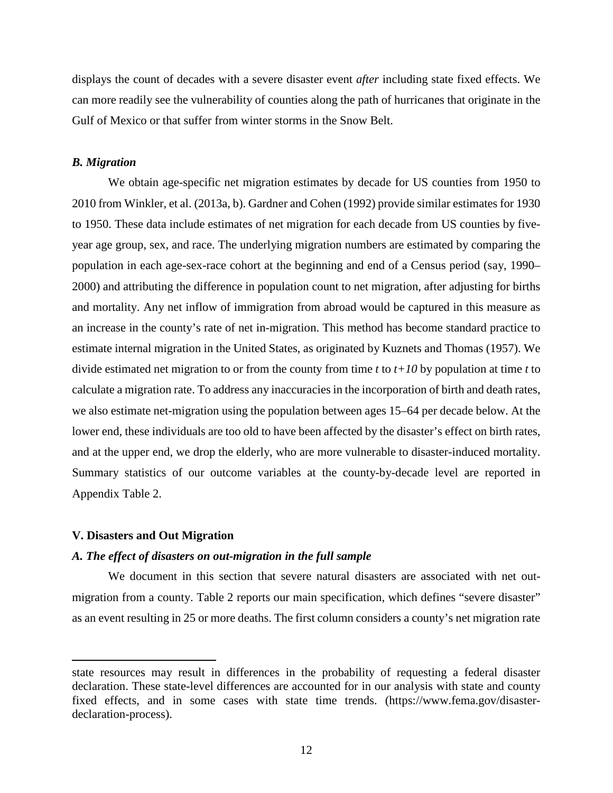displays the count of decades with a severe disaster event *after* including state fixed effects. We can more readily see the vulnerability of counties along the path of hurricanes that originate in the Gulf of Mexico or that suffer from winter storms in the Snow Belt.

### *B. Migration*

We obtain age-specific net migration estimates by decade for US counties from 1950 to 2010 from Winkler, et al. (2013a, b). Gardner and Cohen (1992) provide similar estimates for 1930 to 1950. These data include estimates of net migration for each decade from US counties by fiveyear age group, sex, and race. The underlying migration numbers are estimated by comparing the population in each age-sex-race cohort at the beginning and end of a Census period (say, 1990– 2000) and attributing the difference in population count to net migration, after adjusting for births and mortality. Any net inflow of immigration from abroad would be captured in this measure as an increase in the county's rate of net in-migration. This method has become standard practice to estimate internal migration in the United States, as originated by Kuznets and Thomas (1957). We divide estimated net migration to or from the county from time *t* to *t+10* by population at time *t* to calculate a migration rate. To address any inaccuracies in the incorporation of birth and death rates, we also estimate net-migration using the population between ages 15–64 per decade below. At the lower end, these individuals are too old to have been affected by the disaster's effect on birth rates, and at the upper end, we drop the elderly, who are more vulnerable to disaster-induced mortality. Summary statistics of our outcome variables at the county-by-decade level are reported in Appendix Table 2.

#### **V. Disasters and Out Migration**

 $\overline{\phantom{a}}$ 

### *A. The effect of disasters on out-migration in the full sample*

We document in this section that severe natural disasters are associated with net outmigration from a county. Table 2 reports our main specification, which defines "severe disaster" as an event resulting in 25 or more deaths. The first column considers a county's net migration rate

state resources may result in differences in the probability of requesting a federal disaster declaration. These state-level differences are accounted for in our analysis with state and county fixed effects, and in some cases with state time trends. [\(https://www.fema.gov/disaster](https://www.fema.gov/disaster-declaration-process)[declaration-process\)](https://www.fema.gov/disaster-declaration-process).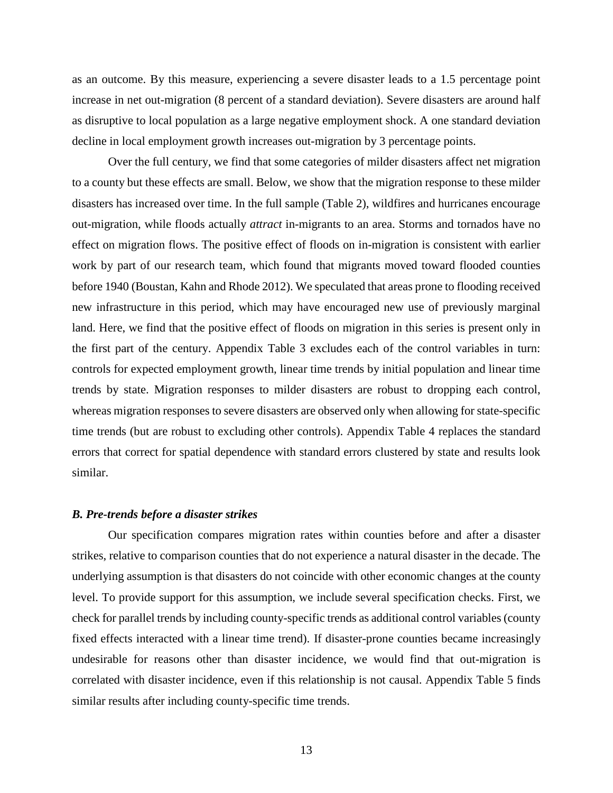as an outcome. By this measure, experiencing a severe disaster leads to a 1.5 percentage point increase in net out-migration (8 percent of a standard deviation). Severe disasters are around half as disruptive to local population as a large negative employment shock. A one standard deviation decline in local employment growth increases out-migration by 3 percentage points.

Over the full century, we find that some categories of milder disasters affect net migration to a county but these effects are small. Below, we show that the migration response to these milder disasters has increased over time. In the full sample (Table 2), wildfires and hurricanes encourage out-migration, while floods actually *attract* in-migrants to an area. Storms and tornados have no effect on migration flows. The positive effect of floods on in-migration is consistent with earlier work by part of our research team, which found that migrants moved toward flooded counties before 1940 (Boustan, Kahn and Rhode 2012). We speculated that areas prone to flooding received new infrastructure in this period, which may have encouraged new use of previously marginal land. Here, we find that the positive effect of floods on migration in this series is present only in the first part of the century. Appendix Table 3 excludes each of the control variables in turn: controls for expected employment growth, linear time trends by initial population and linear time trends by state. Migration responses to milder disasters are robust to dropping each control, whereas migration responses to severe disasters are observed only when allowing for state-specific time trends (but are robust to excluding other controls). Appendix Table 4 replaces the standard errors that correct for spatial dependence with standard errors clustered by state and results look similar.

## *B. Pre-trends before a disaster strikes*

Our specification compares migration rates within counties before and after a disaster strikes, relative to comparison counties that do not experience a natural disaster in the decade. The underlying assumption is that disasters do not coincide with other economic changes at the county level. To provide support for this assumption, we include several specification checks. First, we check for parallel trends by including county-specific trends as additional control variables (county fixed effects interacted with a linear time trend). If disaster-prone counties became increasingly undesirable for reasons other than disaster incidence, we would find that out-migration is correlated with disaster incidence, even if this relationship is not causal. Appendix Table 5 finds similar results after including county-specific time trends.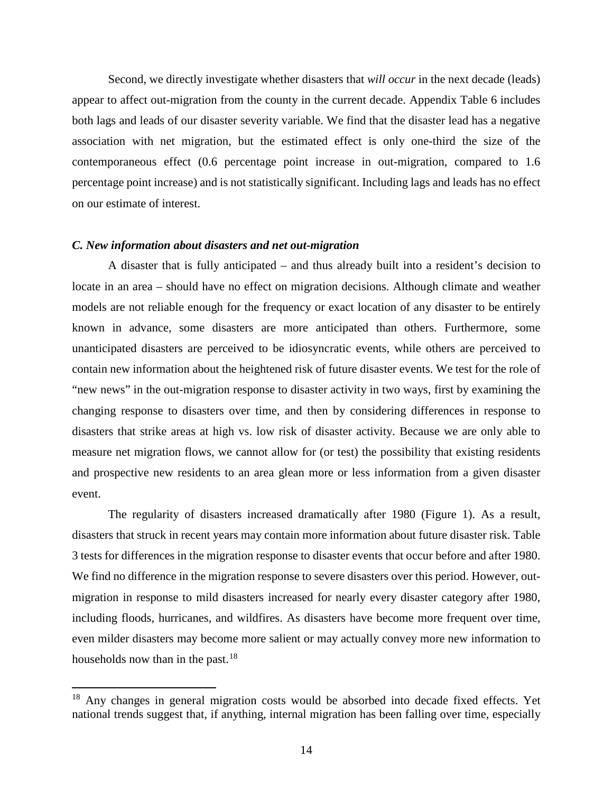Second, we directly investigate whether disasters that *will occur* in the next decade (leads) appear to affect out-migration from the county in the current decade. Appendix Table 6 includes both lags and leads of our disaster severity variable. We find that the disaster lead has a negative association with net migration, but the estimated effect is only one-third the size of the contemporaneous effect (0.6 percentage point increase in out-migration, compared to 1.6 percentage point increase) and is not statistically significant. Including lags and leads has no effect on our estimate of interest.

### *C. New information about disasters and net out-migration*

l

A disaster that is fully anticipated – and thus already built into a resident's decision to locate in an area – should have no effect on migration decisions. Although climate and weather models are not reliable enough for the frequency or exact location of any disaster to be entirely known in advance, some disasters are more anticipated than others. Furthermore, some unanticipated disasters are perceived to be idiosyncratic events, while others are perceived to contain new information about the heightened risk of future disaster events. We test for the role of "new news" in the out-migration response to disaster activity in two ways, first by examining the changing response to disasters over time, and then by considering differences in response to disasters that strike areas at high vs. low risk of disaster activity. Because we are only able to measure net migration flows, we cannot allow for (or test) the possibility that existing residents and prospective new residents to an area glean more or less information from a given disaster event.

The regularity of disasters increased dramatically after 1980 (Figure 1). As a result, disasters that struck in recent years may contain more information about future disaster risk. Table 3 tests for differences in the migration response to disaster events that occur before and after 1980. We find no difference in the migration response to severe disasters over this period. However, outmigration in response to mild disasters increased for nearly every disaster category after 1980, including floods, hurricanes, and wildfires. As disasters have become more frequent over time, even milder disasters may become more salient or may actually convey more new information to households now than in the past.<sup>[18](#page-15-0)</sup>

<span id="page-15-0"></span><sup>&</sup>lt;sup>18</sup> Any changes in general migration costs would be absorbed into decade fixed effects. Yet national trends suggest that, if anything, internal migration has been falling over time, especially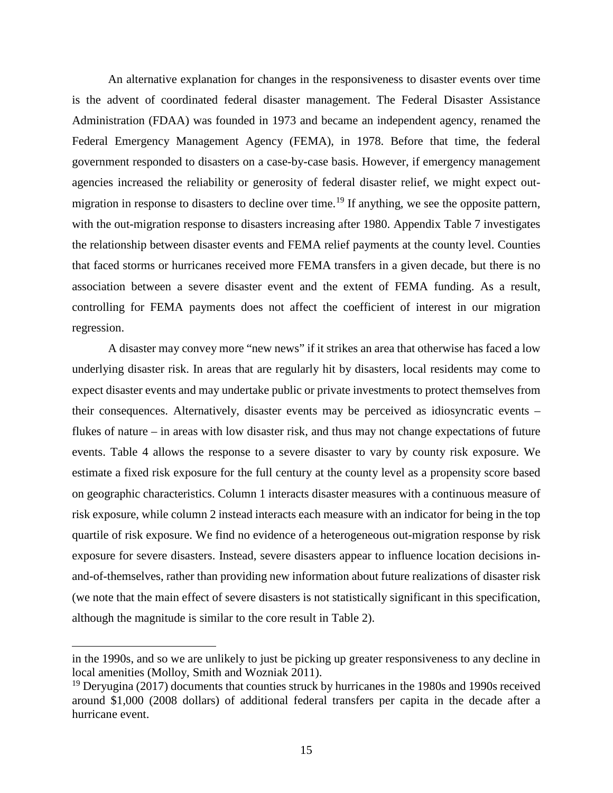An alternative explanation for changes in the responsiveness to disaster events over time is the advent of coordinated federal disaster management. The Federal Disaster Assistance Administration (FDAA) was founded in 1973 and became an independent agency, renamed the Federal Emergency Management Agency (FEMA), in 1978. Before that time, the federal government responded to disasters on a case-by-case basis. However, if emergency management agencies increased the reliability or generosity of federal disaster relief, we might expect out-migration in response to disasters to decline over time.<sup>[19](#page-16-0)</sup> If anything, we see the opposite pattern, with the out-migration response to disasters increasing after 1980. Appendix Table 7 investigates the relationship between disaster events and FEMA relief payments at the county level. Counties that faced storms or hurricanes received more FEMA transfers in a given decade, but there is no association between a severe disaster event and the extent of FEMA funding. As a result, controlling for FEMA payments does not affect the coefficient of interest in our migration regression.

A disaster may convey more "new news" if it strikes an area that otherwise has faced a low underlying disaster risk. In areas that are regularly hit by disasters, local residents may come to expect disaster events and may undertake public or private investments to protect themselves from their consequences. Alternatively, disaster events may be perceived as idiosyncratic events – flukes of nature – in areas with low disaster risk, and thus may not change expectations of future events. Table 4 allows the response to a severe disaster to vary by county risk exposure. We estimate a fixed risk exposure for the full century at the county level as a propensity score based on geographic characteristics. Column 1 interacts disaster measures with a continuous measure of risk exposure, while column 2 instead interacts each measure with an indicator for being in the top quartile of risk exposure. We find no evidence of a heterogeneous out-migration response by risk exposure for severe disasters. Instead, severe disasters appear to influence location decisions inand-of-themselves, rather than providing new information about future realizations of disaster risk (we note that the main effect of severe disasters is not statistically significant in this specification, although the magnitude is similar to the core result in Table 2).

 $\overline{a}$ 

in the 1990s, and so we are unlikely to just be picking up greater responsiveness to any decline in local amenities (Molloy, Smith and Wozniak 2011).

<span id="page-16-0"></span> $19$  Deryugina (2017) documents that counties struck by hurricanes in the 1980s and 1990s received around \$1,000 (2008 dollars) of additional federal transfers per capita in the decade after a hurricane event.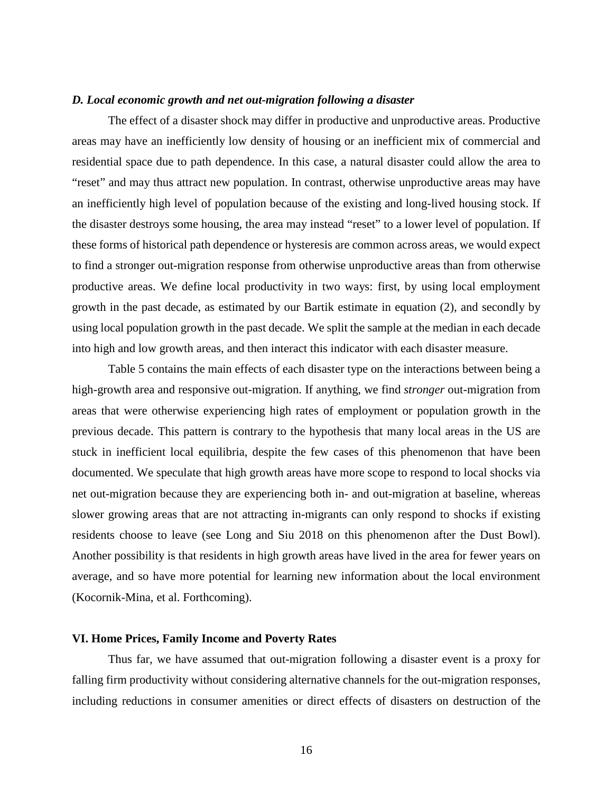### *D. Local economic growth and net out-migration following a disaster*

The effect of a disaster shock may differ in productive and unproductive areas. Productive areas may have an inefficiently low density of housing or an inefficient mix of commercial and residential space due to path dependence. In this case, a natural disaster could allow the area to "reset" and may thus attract new population. In contrast, otherwise unproductive areas may have an inefficiently high level of population because of the existing and long-lived housing stock. If the disaster destroys some housing, the area may instead "reset" to a lower level of population. If these forms of historical path dependence or hysteresis are common across areas, we would expect to find a stronger out-migration response from otherwise unproductive areas than from otherwise productive areas. We define local productivity in two ways: first, by using local employment growth in the past decade, as estimated by our Bartik estimate in equation (2), and secondly by using local population growth in the past decade. We split the sample at the median in each decade into high and low growth areas, and then interact this indicator with each disaster measure.

Table 5 contains the main effects of each disaster type on the interactions between being a high-growth area and responsive out-migration. If anything, we find *stronger* out-migration from areas that were otherwise experiencing high rates of employment or population growth in the previous decade. This pattern is contrary to the hypothesis that many local areas in the US are stuck in inefficient local equilibria, despite the few cases of this phenomenon that have been documented. We speculate that high growth areas have more scope to respond to local shocks via net out-migration because they are experiencing both in- and out-migration at baseline, whereas slower growing areas that are not attracting in-migrants can only respond to shocks if existing residents choose to leave (see Long and Siu 2018 on this phenomenon after the Dust Bowl). Another possibility is that residents in high growth areas have lived in the area for fewer years on average, and so have more potential for learning new information about the local environment (Kocornik-Mina, et al. Forthcoming).

## **VI. Home Prices, Family Income and Poverty Rates**

Thus far, we have assumed that out-migration following a disaster event is a proxy for falling firm productivity without considering alternative channels for the out-migration responses, including reductions in consumer amenities or direct effects of disasters on destruction of the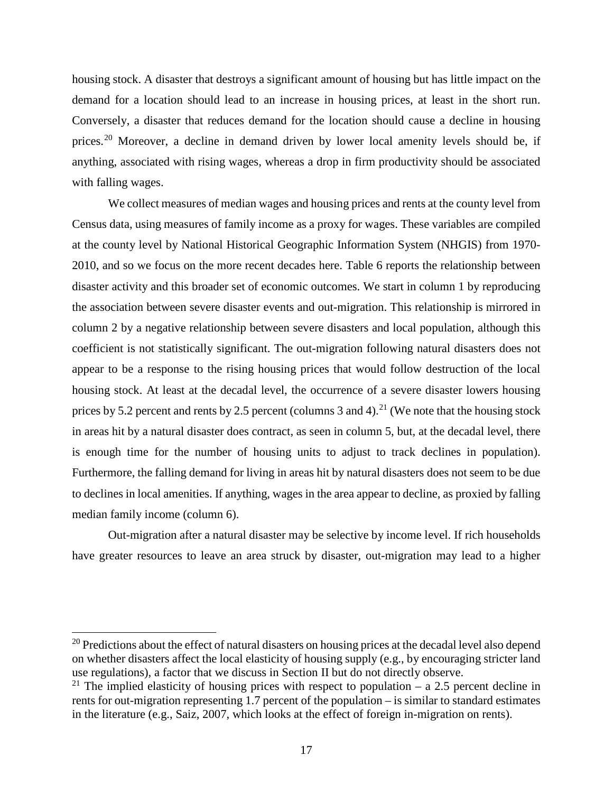housing stock. A disaster that destroys a significant amount of housing but has little impact on the demand for a location should lead to an increase in housing prices, at least in the short run. Conversely, a disaster that reduces demand for the location should cause a decline in housing prices.<sup>[20](#page-18-0)</sup> Moreover, a decline in demand driven by lower local amenity levels should be, if anything, associated with rising wages, whereas a drop in firm productivity should be associated with falling wages.

We collect measures of median wages and housing prices and rents at the county level from Census data, using measures of family income as a proxy for wages. These variables are compiled at the county level by National Historical Geographic Information System (NHGIS) from 1970- 2010, and so we focus on the more recent decades here. Table 6 reports the relationship between disaster activity and this broader set of economic outcomes. We start in column 1 by reproducing the association between severe disaster events and out-migration. This relationship is mirrored in column 2 by a negative relationship between severe disasters and local population, although this coefficient is not statistically significant. The out-migration following natural disasters does not appear to be a response to the rising housing prices that would follow destruction of the local housing stock. At least at the decadal level, the occurrence of a severe disaster lowers housing prices by 5.2 percent and rents by 2.5 percent (columns 3 and 4).<sup>[21](#page-18-1)</sup> (We note that the housing stock in areas hit by a natural disaster does contract, as seen in column 5, but, at the decadal level, there is enough time for the number of housing units to adjust to track declines in population). Furthermore, the falling demand for living in areas hit by natural disasters does not seem to be due to declines in local amenities. If anything, wages in the area appear to decline, as proxied by falling median family income (column 6).

Out-migration after a natural disaster may be selective by income level. If rich households have greater resources to leave an area struck by disaster, out-migration may lead to a higher

l

<span id="page-18-0"></span><sup>&</sup>lt;sup>20</sup> Predictions about the effect of natural disasters on housing prices at the decadal level also depend on whether disasters affect the local elasticity of housing supply (e.g., by encouraging stricter land use regulations), a factor that we discuss in Section II but do not directly observe.

<span id="page-18-1"></span><sup>&</sup>lt;sup>21</sup> The implied elasticity of housing prices with respect to population – a 2.5 percent decline in rents for out-migration representing 1.7 percent of the population – is similar to standard estimates in the literature (e.g., Saiz, 2007, which looks at the effect of foreign in-migration on rents).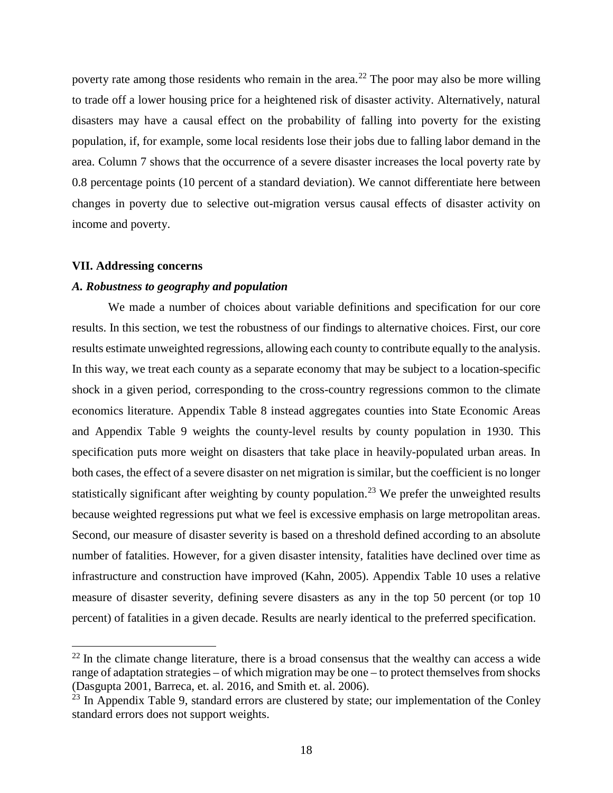poverty rate among those residents who remain in the area.<sup>[22](#page-19-0)</sup> The poor may also be more willing to trade off a lower housing price for a heightened risk of disaster activity. Alternatively, natural disasters may have a causal effect on the probability of falling into poverty for the existing population, if, for example, some local residents lose their jobs due to falling labor demand in the area. Column 7 shows that the occurrence of a severe disaster increases the local poverty rate by 0.8 percentage points (10 percent of a standard deviation). We cannot differentiate here between changes in poverty due to selective out-migration versus causal effects of disaster activity on income and poverty.

#### **VII. Addressing concerns**

 $\overline{a}$ 

### *A. Robustness to geography and population*

We made a number of choices about variable definitions and specification for our core results. In this section, we test the robustness of our findings to alternative choices. First, our core results estimate unweighted regressions, allowing each county to contribute equally to the analysis. In this way, we treat each county as a separate economy that may be subject to a location-specific shock in a given period, corresponding to the cross-country regressions common to the climate economics literature. Appendix Table 8 instead aggregates counties into State Economic Areas and Appendix Table 9 weights the county-level results by county population in 1930. This specification puts more weight on disasters that take place in heavily-populated urban areas. In both cases, the effect of a severe disaster on net migration is similar, but the coefficient is no longer statistically significant after weighting by county population.<sup>[23](#page-19-1)</sup> We prefer the unweighted results because weighted regressions put what we feel is excessive emphasis on large metropolitan areas. Second, our measure of disaster severity is based on a threshold defined according to an absolute number of fatalities. However, for a given disaster intensity, fatalities have declined over time as infrastructure and construction have improved (Kahn, 2005). Appendix Table 10 uses a relative measure of disaster severity, defining severe disasters as any in the top 50 percent (or top 10 percent) of fatalities in a given decade. Results are nearly identical to the preferred specification.

<span id="page-19-0"></span> $22$  In the climate change literature, there is a broad consensus that the wealthy can access a wide range of adaptation strategies – of which migration may be one – to protect themselves from shocks (Dasgupta 2001, Barreca, et. al. 2016, and Smith et. al. 2006).

<span id="page-19-1"></span> $^{23}$  In Appendix Table 9, standard errors are clustered by state; our implementation of the Conley standard errors does not support weights.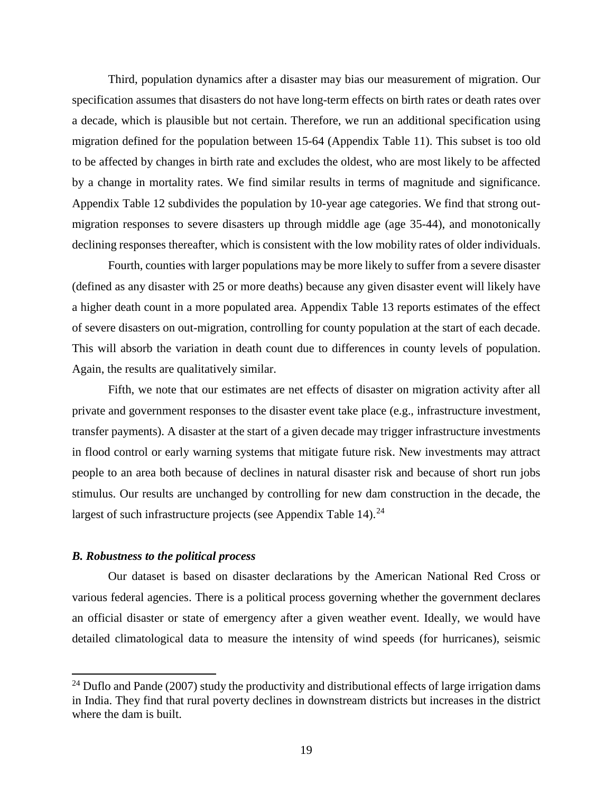Third, population dynamics after a disaster may bias our measurement of migration. Our specification assumes that disasters do not have long-term effects on birth rates or death rates over a decade, which is plausible but not certain. Therefore, we run an additional specification using migration defined for the population between 15-64 (Appendix Table 11). This subset is too old to be affected by changes in birth rate and excludes the oldest, who are most likely to be affected by a change in mortality rates. We find similar results in terms of magnitude and significance. Appendix Table 12 subdivides the population by 10-year age categories. We find that strong outmigration responses to severe disasters up through middle age (age 35-44), and monotonically declining responses thereafter, which is consistent with the low mobility rates of older individuals.

Fourth, counties with larger populations may be more likely to suffer from a severe disaster (defined as any disaster with 25 or more deaths) because any given disaster event will likely have a higher death count in a more populated area. Appendix Table 13 reports estimates of the effect of severe disasters on out-migration, controlling for county population at the start of each decade. This will absorb the variation in death count due to differences in county levels of population. Again, the results are qualitatively similar.

Fifth, we note that our estimates are net effects of disaster on migration activity after all private and government responses to the disaster event take place (e.g., infrastructure investment, transfer payments). A disaster at the start of a given decade may trigger infrastructure investments in flood control or early warning systems that mitigate future risk. New investments may attract people to an area both because of declines in natural disaster risk and because of short run jobs stimulus. Our results are unchanged by controlling for new dam construction in the decade, the largest of such infrastructure projects (see Appendix Table 14). $^{24}$  $^{24}$  $^{24}$ 

### *B. Robustness to the political process*

 $\overline{\phantom{a}}$ 

Our dataset is based on disaster declarations by the American National Red Cross or various federal agencies. There is a political process governing whether the government declares an official disaster or state of emergency after a given weather event. Ideally, we would have detailed climatological data to measure the intensity of wind speeds (for hurricanes), seismic

<span id="page-20-0"></span><sup>&</sup>lt;sup>24</sup> Duflo and Pande (2007) study the productivity and distributional effects of large irrigation dams in India. They find that rural poverty declines in downstream districts but increases in the district where the dam is built.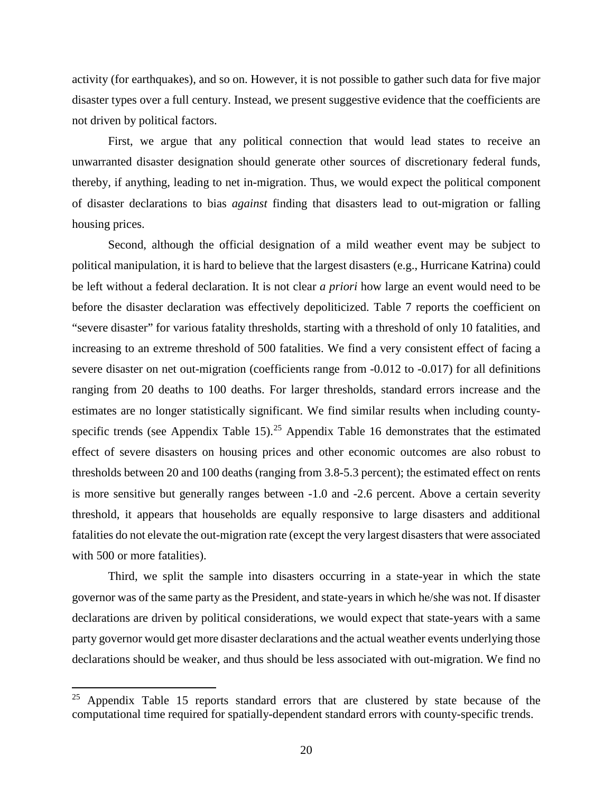activity (for earthquakes), and so on. However, it is not possible to gather such data for five major disaster types over a full century. Instead, we present suggestive evidence that the coefficients are not driven by political factors.

First, we argue that any political connection that would lead states to receive an unwarranted disaster designation should generate other sources of discretionary federal funds, thereby, if anything, leading to net in-migration. Thus, we would expect the political component of disaster declarations to bias *against* finding that disasters lead to out-migration or falling housing prices.

Second, although the official designation of a mild weather event may be subject to political manipulation, it is hard to believe that the largest disasters (e.g., Hurricane Katrina) could be left without a federal declaration. It is not clear *a priori* how large an event would need to be before the disaster declaration was effectively depoliticized. Table 7 reports the coefficient on "severe disaster" for various fatality thresholds, starting with a threshold of only 10 fatalities, and increasing to an extreme threshold of 500 fatalities. We find a very consistent effect of facing a severe disaster on net out-migration (coefficients range from -0.012 to -0.017) for all definitions ranging from 20 deaths to 100 deaths. For larger thresholds, standard errors increase and the estimates are no longer statistically significant. We find similar results when including county-specific trends (see Appendix Table 15).<sup>[25](#page-21-0)</sup> Appendix Table 16 demonstrates that the estimated effect of severe disasters on housing prices and other economic outcomes are also robust to thresholds between 20 and 100 deaths (ranging from 3.8-5.3 percent); the estimated effect on rents is more sensitive but generally ranges between -1.0 and -2.6 percent. Above a certain severity threshold, it appears that households are equally responsive to large disasters and additional fatalities do not elevate the out-migration rate (except the very largest disasters that were associated with 500 or more fatalities).

Third, we split the sample into disasters occurring in a state-year in which the state governor was of the same party as the President, and state-years in which he/she was not. If disaster declarations are driven by political considerations, we would expect that state-years with a same party governor would get more disaster declarations and the actual weather events underlying those declarations should be weaker, and thus should be less associated with out-migration. We find no

l

<span id="page-21-0"></span><sup>&</sup>lt;sup>25</sup> Appendix Table 15 reports standard errors that are clustered by state because of the computational time required for spatially-dependent standard errors with county-specific trends.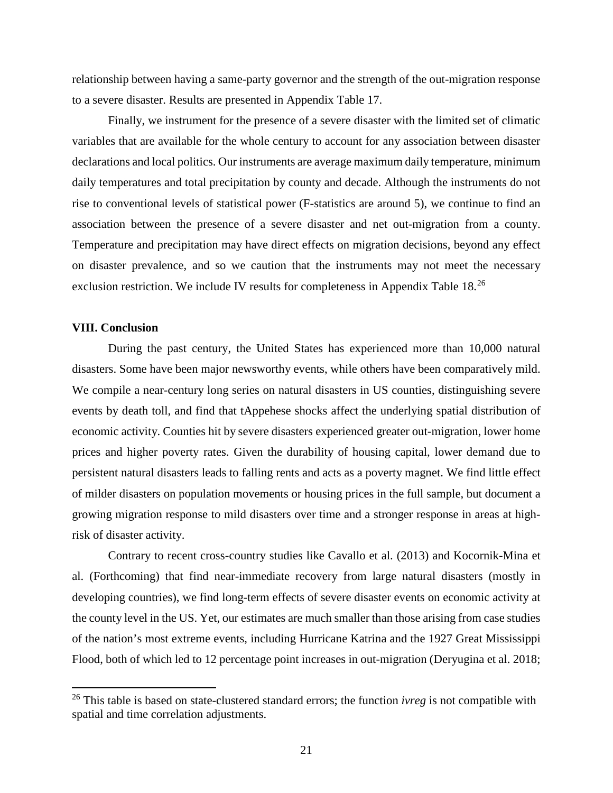relationship between having a same-party governor and the strength of the out-migration response to a severe disaster. Results are presented in Appendix Table 17.

Finally, we instrument for the presence of a severe disaster with the limited set of climatic variables that are available for the whole century to account for any association between disaster declarations and local politics. Our instruments are average maximum daily temperature, minimum daily temperatures and total precipitation by county and decade. Although the instruments do not rise to conventional levels of statistical power (F-statistics are around 5), we continue to find an association between the presence of a severe disaster and net out-migration from a county. Temperature and precipitation may have direct effects on migration decisions, beyond any effect on disaster prevalence, and so we caution that the instruments may not meet the necessary exclusion restriction. We include IV results for completeness in Appendix Table 18.<sup>[26](#page-22-0)</sup>

### **VIII. Conclusion**

l

During the past century, the United States has experienced more than 10,000 natural disasters. Some have been major newsworthy events, while others have been comparatively mild. We compile a near-century long series on natural disasters in US counties, distinguishing severe events by death toll, and find that tAppehese shocks affect the underlying spatial distribution of economic activity. Counties hit by severe disasters experienced greater out-migration, lower home prices and higher poverty rates. Given the durability of housing capital, lower demand due to persistent natural disasters leads to falling rents and acts as a poverty magnet. We find little effect of milder disasters on population movements or housing prices in the full sample, but document a growing migration response to mild disasters over time and a stronger response in areas at highrisk of disaster activity.

Contrary to recent cross-country studies like Cavallo et al. (2013) and Kocornik-Mina et al. (Forthcoming) that find near-immediate recovery from large natural disasters (mostly in developing countries), we find long-term effects of severe disaster events on economic activity at the county level in the US. Yet, our estimates are much smaller than those arising from case studies of the nation's most extreme events, including Hurricane Katrina and the 1927 Great Mississippi Flood, both of which led to 12 percentage point increases in out-migration (Deryugina et al. 2018;

<span id="page-22-0"></span><sup>26</sup> This table is based on state-clustered standard errors; the function *ivreg* is not compatible with spatial and time correlation adjustments.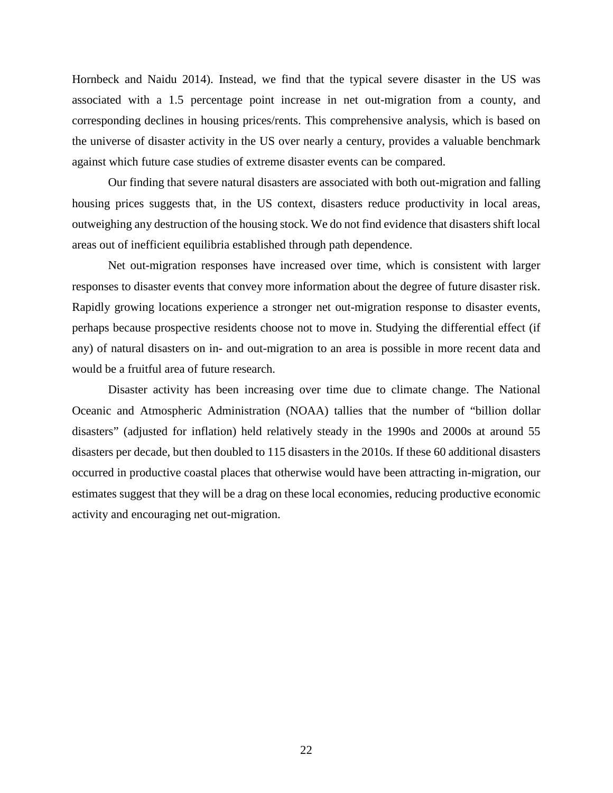Hornbeck and Naidu 2014). Instead, we find that the typical severe disaster in the US was associated with a 1.5 percentage point increase in net out-migration from a county, and corresponding declines in housing prices/rents. This comprehensive analysis, which is based on the universe of disaster activity in the US over nearly a century, provides a valuable benchmark against which future case studies of extreme disaster events can be compared.

Our finding that severe natural disasters are associated with both out-migration and falling housing prices suggests that, in the US context, disasters reduce productivity in local areas, outweighing any destruction of the housing stock. We do not find evidence that disasters shift local areas out of inefficient equilibria established through path dependence.

Net out-migration responses have increased over time, which is consistent with larger responses to disaster events that convey more information about the degree of future disaster risk. Rapidly growing locations experience a stronger net out-migration response to disaster events, perhaps because prospective residents choose not to move in. Studying the differential effect (if any) of natural disasters on in- and out-migration to an area is possible in more recent data and would be a fruitful area of future research.

Disaster activity has been increasing over time due to climate change. The National Oceanic and Atmospheric Administration (NOAA) tallies that the number of "billion dollar disasters" (adjusted for inflation) held relatively steady in the 1990s and 2000s at around 55 disasters per decade, but then doubled to 115 disasters in the 2010s. If these 60 additional disasters occurred in productive coastal places that otherwise would have been attracting in-migration, our estimates suggest that they will be a drag on these local economies, reducing productive economic activity and encouraging net out-migration.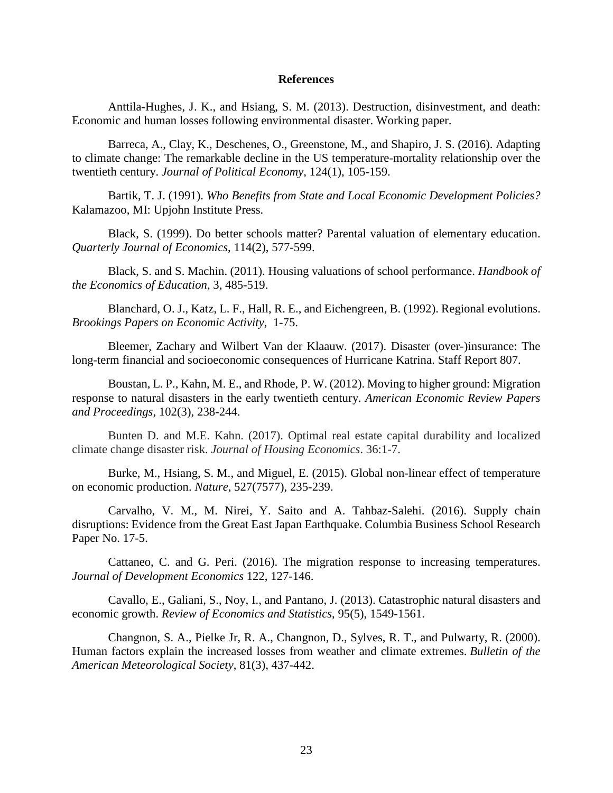### **References**

Anttila-Hughes, J. K., and Hsiang, S. M. (2013). Destruction, disinvestment, and death: Economic and human losses following environmental disaster. Working paper.

Barreca, A., Clay, K., Deschenes, O., Greenstone, M., and Shapiro, J. S. (2016). Adapting to climate change: The remarkable decline in the US temperature-mortality relationship over the twentieth century. *Journal of Political Economy*, 124(1), 105-159.

Bartik, T. J. (1991). *Who Benefits from State and Local Economic Development Policies?* Kalamazoo, MI: Upjohn Institute Press.

Black, S. (1999). Do better schools matter? Parental valuation of elementary education. *Quarterly Journal of Economics*, 114(2), 577-599.

Black, S. and S. Machin. (2011). Housing valuations of school performance. *Handbook of the Economics of Education*, 3, 485-519.

Blanchard, O. J., Katz, L. F., Hall, R. E., and Eichengreen, B. (1992). Regional evolutions. *Brookings Papers on Economic Activity*, 1-75.

Bleemer, Zachary and Wilbert Van der Klaauw. (2017). Disaster (over-)insurance: The long-term financial and socioeconomic consequences of Hurricane Katrina. Staff Report 807.

Boustan, L. P., Kahn, M. E., and Rhode, P. W. (2012). Moving to higher ground: Migration response to natural disasters in the early twentieth century. *American Economic Review Papers and Proceedings*, 102(3), 238-244.

Bunten D. and M.E. Kahn. (2017). Optimal real estate capital durability and localized climate change disaster risk. *Journal of Housing Economics*. 36:1-7.

Burke, M., Hsiang, S. M., and Miguel, E. (2015). Global non-linear effect of temperature on economic production. *Nature*, 527(7577), 235-239.

Carvalho, V. M., M. Nirei, Y. Saito and A. Tahbaz-Salehi. (2016). Supply chain disruptions: Evidence from the Great East Japan Earthquake. Columbia Business School Research Paper No. 17-5.

Cattaneo, C. and G. Peri. (2016). The migration response to increasing temperatures. *Journal of Development Economics* 122, 127-146.

Cavallo, E., Galiani, S., Noy, I., and Pantano, J. (2013). Catastrophic natural disasters and economic growth. *Review of Economics and Statistics*, 95(5), 1549-1561.

Changnon, S. A., Pielke Jr, R. A., Changnon, D., Sylves, R. T., and Pulwarty, R. (2000). Human factors explain the increased losses from weather and climate extremes. *Bulletin of the American Meteorological Society*, 81(3), 437-442.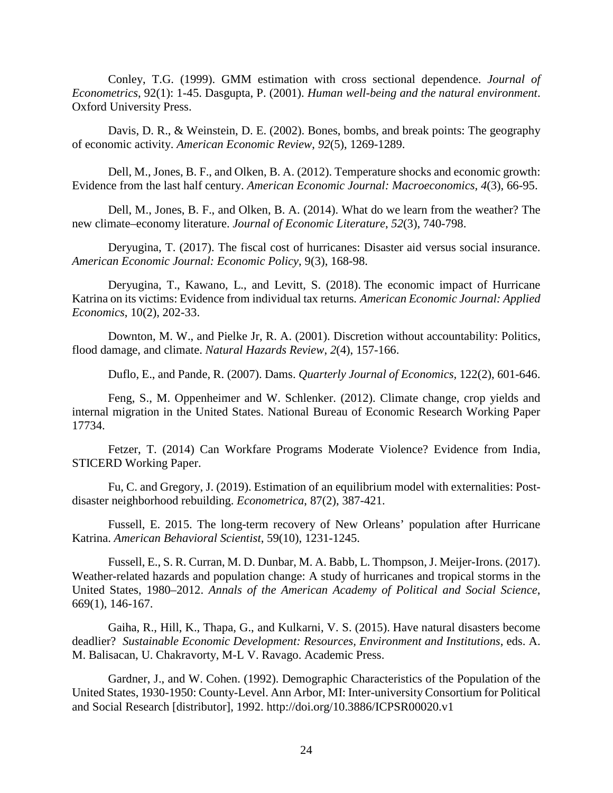Conley, T.G. (1999). GMM estimation with cross sectional dependence. *Journal of Econometrics*, 92(1): 1-45. Dasgupta, P. (2001). *Human well-being and the natural environment*. Oxford University Press.

Davis, D. R., & Weinstein, D. E. (2002). Bones, bombs, and break points: The geography of economic activity. *American Economic Review*, *92*(5), 1269-1289.

Dell, M., Jones, B. F., and Olken, B. A. (2012). Temperature shocks and economic growth: Evidence from the last half century. *American Economic Journal: Macroeconomics*, *4*(3), 66-95.

Dell, M., Jones, B. F., and Olken, B. A. (2014). What do we learn from the weather? The new climate–economy literature. *Journal of Economic Literature*, *52*(3), 740-798.

Deryugina, T. (2017). The fiscal cost of hurricanes: Disaster aid versus social insurance. *American Economic Journal: Economic Policy*, 9(3), 168-98.

Deryugina, T., Kawano, L., and Levitt, S. (2018). The economic impact of Hurricane Katrina on its victims: Evidence from individual tax returns*. American Economic Journal: Applied Economics*, 10(2), 202-33.

Downton, M. W., and Pielke Jr, R. A. (2001). Discretion without accountability: Politics, flood damage, and climate. *Natural Hazards Review*, *2*(4), 157-166.

Duflo, E., and Pande, R. (2007). Dams. *Quarterly Journal of Economics,* 122(2), 601-646.

Feng, S., M. Oppenheimer and W. Schlenker. (2012). Climate change, crop yields and internal migration in the United States. National Bureau of Economic Research Working Paper 17734.

Fetzer, T. (2014) Can Workfare Programs Moderate Violence? Evidence from India, STICERD Working Paper.

Fu, C. and Gregory, J. (2019). Estimation of an equilibrium model with externalities: Postdisaster neighborhood rebuilding. *Econometrica*, 87(2), 387-421.

Fussell, E. 2015. The long-term recovery of New Orleans' population after Hurricane Katrina. *American Behavioral Scientist*, 59(10), 1231-1245.

Fussell, E., S. R. Curran, M. D. Dunbar, M. A. Babb, L. Thompson, J. Meijer-Irons. (2017). Weather-related hazards and population change: A study of hurricanes and tropical storms in the United States, 1980–2012. *Annals of the American Academy of Political and Social Science*, 669(1), 146-167.

Gaiha, R., Hill, K., Thapa, G., and Kulkarni, V. S. (2015). Have natural disasters become deadlier? *Sustainable Economic Development: Resources, Environment and Institutions*, eds. A. M. Balisacan, U. Chakravorty, M-L V. Ravago. Academic Press.

Gardner, J., and W. Cohen. (1992). Demographic Characteristics of the Population of the United States, 1930-1950: County-Level. Ann Arbor, MI: Inter-university Consortium for Political and Social Research [distributor], 1992. http://doi.org/10.3886/ICPSR00020.v1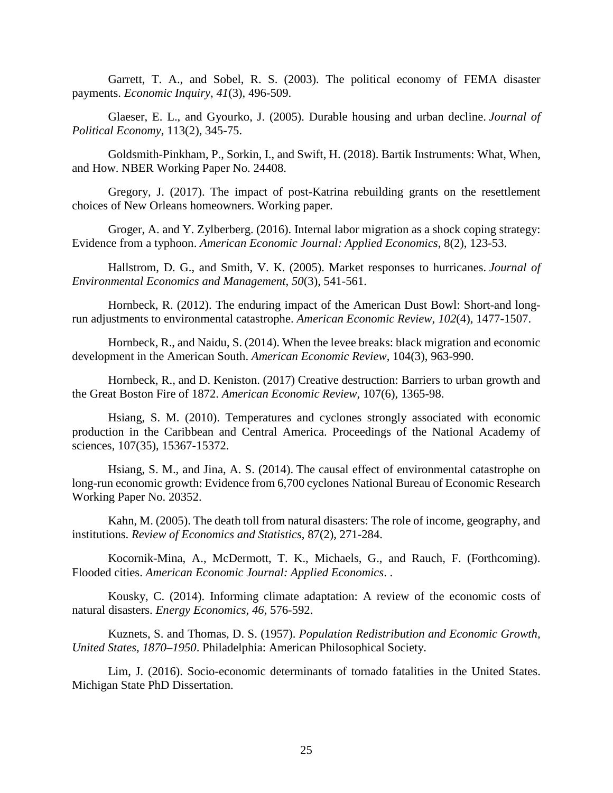Garrett, T. A., and Sobel, R. S. (2003). The political economy of FEMA disaster payments. *Economic Inquiry*, *41*(3), 496-509.

Glaeser, E. L., and Gyourko, J. (2005). Durable housing and urban decline. *Journal of Political Economy*, 113(2), 345-75.

Goldsmith-Pinkham, P., Sorkin, I., and Swift, H. (2018). Bartik Instruments: What, When, and How. NBER Working Paper No. 24408.

Gregory, J. (2017). The impact of post-Katrina rebuilding grants on the resettlement choices of New Orleans homeowners. Working paper.

Groger, A. and Y. Zylberberg. (2016). Internal labor migration as a shock coping strategy: Evidence from a typhoon. *American Economic Journal: Applied Economics*, 8(2), 123-53.

Hallstrom, D. G., and Smith, V. K. (2005). Market responses to hurricanes. *Journal of Environmental Economics and Management*, *50*(3), 541-561.

Hornbeck, R. (2012). The enduring impact of the American Dust Bowl: Short-and longrun adjustments to environmental catastrophe. *American Economic Review*, *102*(4), 1477-1507.

Hornbeck, R., and Naidu, S. (2014). When the levee breaks: black migration and economic development in the American South. *American Economic Review*, 104(3), 963-990.

Hornbeck, R., and D. Keniston. (2017) Creative destruction: Barriers to urban growth and the Great Boston Fire of 1872. *American Economic Review*, 107(6), 1365-98.

Hsiang, S. M. (2010). Temperatures and cyclones strongly associated with economic production in the Caribbean and Central America. Proceedings of the National Academy of sciences, 107(35), 15367-15372.

Hsiang, S. M., and Jina, A. S. (2014). The causal effect of environmental catastrophe on long-run economic growth: Evidence from 6,700 cyclones National Bureau of Economic Research Working Paper No. 20352.

Kahn, M. (2005). The death toll from natural disasters: The role of income, geography, and institutions. *Review of Economics and Statistics*, 87(2), 271-284.

Kocornik-Mina, A., McDermott, T. K., Michaels, G., and Rauch, F. (Forthcoming). Flooded cities. *American Economic Journal: Applied Economics*. .

Kousky, C. (2014). Informing climate adaptation: A review of the economic costs of natural disasters. *Energy Economics*, *46*, 576-592.

Kuznets, S. and Thomas, D. S. (1957). *Population Redistribution and Economic Growth, United States, 1870–1950*. Philadelphia: American Philosophical Society.

Lim, J. (2016). Socio-economic determinants of tornado fatalities in the United States. Michigan State PhD Dissertation.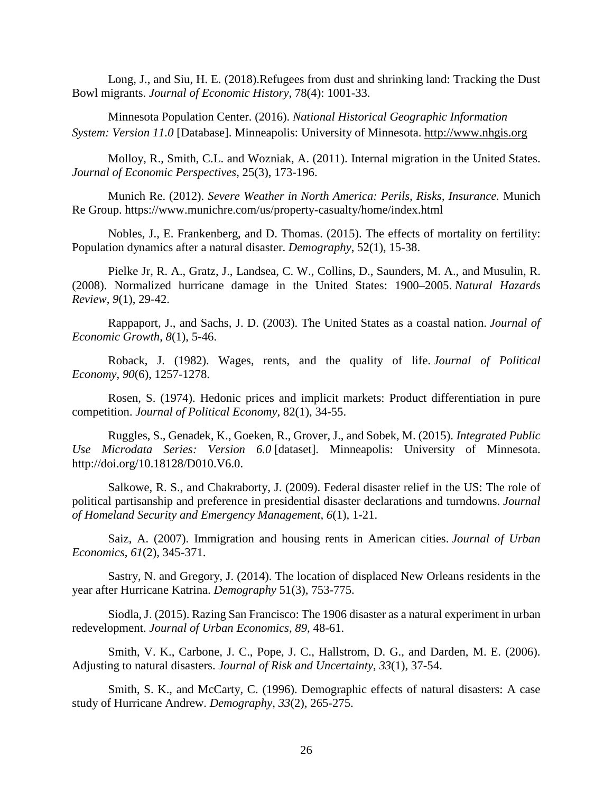Long, J., and Siu, H. E. (2018).Refugees from dust and shrinking land: Tracking the Dust Bowl migrants. *Journal of Economic History*, 78(4): 1001-33.

Minnesota Population Center. (2016). *National Historical Geographic Information System: Version 11.0* [Database]. Minneapolis: University of Minnesota. [http://www.nhgis.org](http://www.nhgis.org/)

Molloy, R., Smith, C.L. and Wozniak, A. (2011). Internal migration in the United States. *Journal of Economic Perspectives*, 25(3), 173-196.

Munich Re. (2012). *Severe Weather in North America: Perils, Risks, Insurance.* Munich Re Group. https://www.munichre.com/us/property-casualty/home/index.html

Nobles, J., E. Frankenberg, and D. Thomas. (2015). The effects of mortality on fertility: Population dynamics after a natural disaster. *Demography*, 52(1), 15-38.

Pielke Jr, R. A., Gratz, J., Landsea, C. W., Collins, D., Saunders, M. A., and Musulin, R. (2008). Normalized hurricane damage in the United States: 1900–2005. *Natural Hazards Review*, *9*(1), 29-42.

Rappaport, J., and Sachs, J. D. (2003). The United States as a coastal nation. *Journal of Economic Growth*, *8*(1), 5-46.

Roback, J. (1982). Wages, rents, and the quality of life. *Journal of Political Economy*, *90*(6), 1257-1278.

Rosen, S. (1974). Hedonic prices and implicit markets: Product differentiation in pure competition. *Journal of Political Economy*, 82(1), 34-55.

Ruggles, S., Genadek, K., Goeken, R., Grover, J., and Sobek, M. (2015). *Integrated Public Use Microdata Series: Version 6.0* [dataset]. Minneapolis: University of Minnesota. http://doi.org/10.18128/D010.V6.0.

Salkowe, R. S., and Chakraborty, J. (2009). Federal disaster relief in the US: The role of political partisanship and preference in presidential disaster declarations and turndowns. *Journal of Homeland Security and Emergency Management*, *6*(1), 1-21.

Saiz, A. (2007). Immigration and housing rents in American cities. *Journal of Urban Economics*, *61*(2), 345-371.

Sastry, N. and Gregory, J. (2014). The location of displaced New Orleans residents in the year after Hurricane Katrina. *Demography* 51(3), 753-775.

Siodla, J. (2015). Razing San Francisco: The 1906 disaster as a natural experiment in urban redevelopment. *Journal of Urban Economics*, *89*, 48-61.

Smith, V. K., Carbone, J. C., Pope, J. C., Hallstrom, D. G., and Darden, M. E. (2006). Adjusting to natural disasters. *Journal of Risk and Uncertainty*, *33*(1), 37-54.

Smith, S. K., and McCarty, C. (1996). Demographic effects of natural disasters: A case study of Hurricane Andrew. *Demography*, *33*(2), 265-275.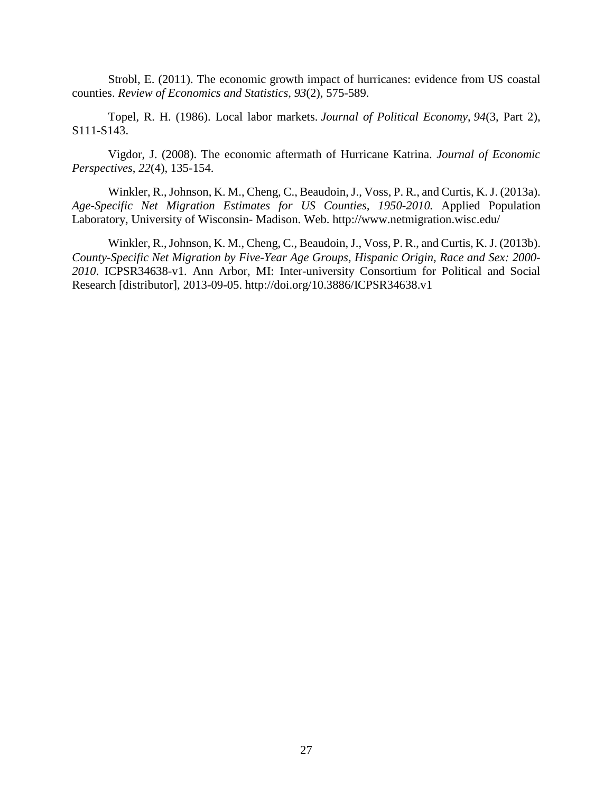Strobl, E. (2011). The economic growth impact of hurricanes: evidence from US coastal counties. *Review of Economics and Statistics*, *93*(2), 575-589.

Topel, R. H. (1986). Local labor markets. *Journal of Political Economy*, *94*(3, Part 2), S111-S143.

Vigdor, J. (2008). The economic aftermath of Hurricane Katrina. *Journal of Economic Perspectives*, *22*(4), 135-154.

Winkler, R., Johnson, K. M., Cheng, C., Beaudoin, J., Voss, P. R., and Curtis, K. J. (2013a). *Age-Specific Net Migration Estimates for US Counties, 1950-2010.* Applied Population Laboratory, University of Wisconsin- Madison. Web. http://www.netmigration.wisc.edu/

Winkler, R., Johnson, K. M., Cheng, C., Beaudoin, J., Voss, P. R., and Curtis, K. J. (2013b). *County-Specific Net Migration by Five-Year Age Groups, Hispanic Origin, Race and Sex: 2000- 2010*. ICPSR34638-v1. Ann Arbor, MI: Inter-university Consortium for Political and Social Research [distributor], 2013-09-05. http://doi.org/10.3886/ICPSR34638.v1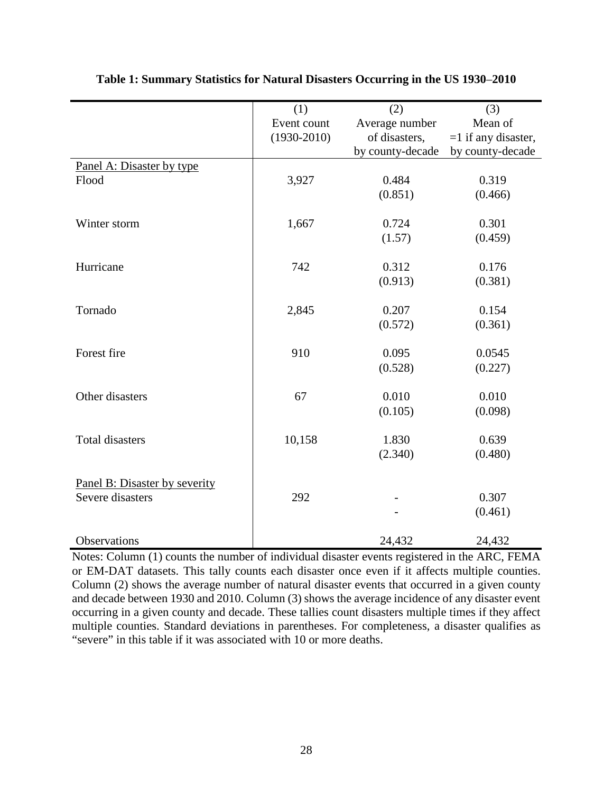| (3)<br>Mean of        |
|-----------------------|
|                       |
| $=1$ if any disaster, |
| by county-decade      |
|                       |
| 0.319                 |
| (0.466)               |
|                       |
| 0.301                 |
| (0.459)               |
| 0.176                 |
| (0.381)               |
|                       |
| 0.154                 |
| (0.361)               |
| 0.0545                |
| (0.227)               |
|                       |
| 0.010                 |
| (0.098)               |
|                       |
| 0.639                 |
| (0.480)               |
|                       |
| 0.307                 |
| (0.461)               |
| 24,432                |
|                       |

**Table 1: Summary Statistics for Natural Disasters Occurring in the US 1930**–**2010** 

Notes: Column (1) counts the number of individual disaster events registered in the ARC, FEMA or EM-DAT datasets. This tally counts each disaster once even if it affects multiple counties. Column (2) shows the average number of natural disaster events that occurred in a given county and decade between 1930 and 2010. Column (3) shows the average incidence of any disaster event occurring in a given county and decade. These tallies count disasters multiple times if they affect multiple counties. Standard deviations in parentheses. For completeness, a disaster qualifies as "severe" in this table if it was associated with 10 or more deaths.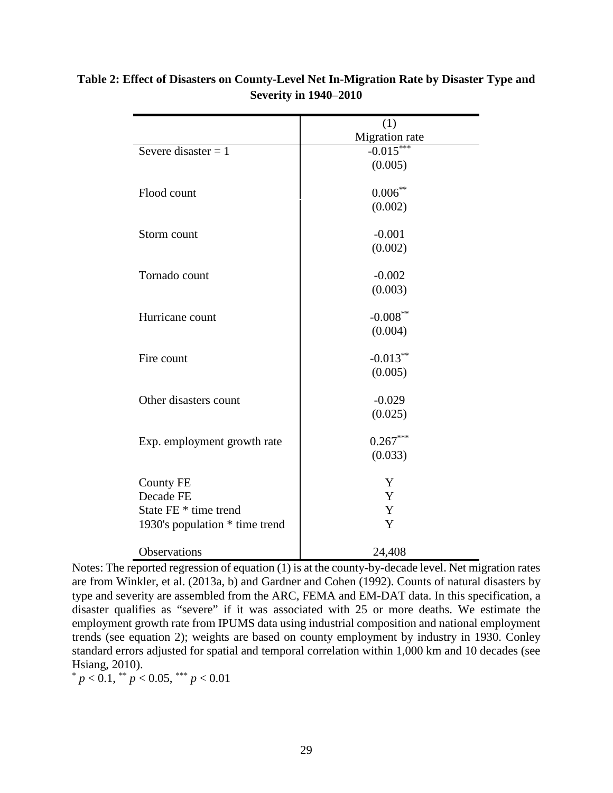|                                | (1)            |
|--------------------------------|----------------|
|                                | Migration rate |
| Severe disaster $= 1$          | $-0.015***$    |
|                                | (0.005)        |
| Flood count                    | $0.006***$     |
|                                | (0.002)        |
| Storm count                    | $-0.001$       |
|                                | (0.002)        |
| Tornado count                  | $-0.002$       |
|                                | (0.003)        |
| Hurricane count                | $-0.008***$    |
|                                | (0.004)        |
| Fire count                     | $-0.013***$    |
|                                | (0.005)        |
| Other disasters count          | $-0.029$       |
|                                | (0.025)        |
| Exp. employment growth rate    | $0.267***$     |
|                                | (0.033)        |
| County FE                      | Y              |
| Decade FE                      | Y              |
| State FE * time trend          | Y              |
| 1930's population * time trend | Y              |
| Observations                   | 24,408         |

# **Table 2: Effect of Disasters on County-Level Net In-Migration Rate by Disaster Type and Severity in 1940**–**2010**

Notes: The reported regression of equation (1) is at the county-by-decade level. Net migration rates are from Winkler, et al. (2013a, b) and Gardner and Cohen (1992). Counts of natural disasters by type and severity are assembled from the ARC, FEMA and EM-DAT data. In this specification, a disaster qualifies as "severe" if it was associated with 25 or more deaths. We estimate the employment growth rate from IPUMS data using industrial composition and national employment trends (see equation 2); weights are based on county employment by industry in 1930. Conley standard errors adjusted for spatial and temporal correlation within 1,000 km and 10 decades (see Hsiang, 2010).<br>  $* p < 0.1, \, *p < 0.05, \, * \, *p < 0.01$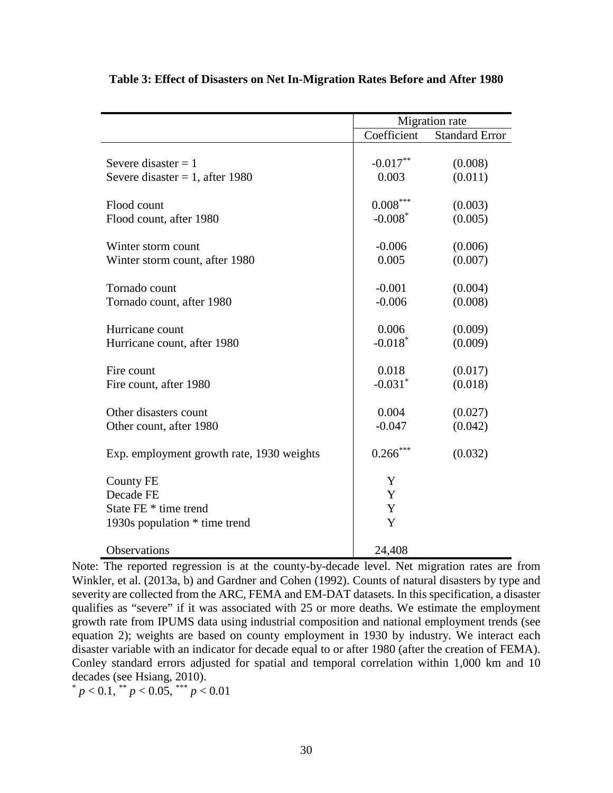|                                                                                         | Migration rate        |                       |
|-----------------------------------------------------------------------------------------|-----------------------|-----------------------|
|                                                                                         | Coefficient           | <b>Standard Error</b> |
| Severe disaster $= 1$                                                                   | $-0.017**$            | (0.008)               |
| Severe disaster = 1, after 1980                                                         | 0.003                 | (0.011)               |
| Flood count                                                                             | $0.008***$            | (0.003)               |
| Flood count, after 1980                                                                 | $-0.008*$             | (0.005)               |
| Winter storm count                                                                      | $-0.006$              | (0.006)               |
| Winter storm count, after 1980                                                          | 0.005                 | (0.007)               |
| Tornado count                                                                           | $-0.001$              | (0.004)               |
| Tornado count, after 1980                                                               | $-0.006$              | (0.008)               |
| Hurricane count                                                                         | 0.006                 | (0.009)               |
| Hurricane count, after 1980                                                             | $-0.018*$             | (0.009)               |
| Fire count                                                                              | 0.018                 | (0.017)               |
| Fire count, after 1980                                                                  | $-0.031$ <sup>*</sup> | (0.018)               |
| Other disasters count                                                                   | 0.004                 | (0.027)               |
| Other count, after 1980                                                                 | $-0.047$              | (0.042)               |
| Exp. employment growth rate, 1930 weights                                               | $0.266***$            | (0.032)               |
| <b>County FE</b><br>Decade FE<br>State FE * time trend<br>1930s population * time trend | Y<br>Y<br>Y<br>Y      |                       |
| Observations                                                                            | 24,408                |                       |

## **Table 3: Effect of Disasters on Net In-Migration Rates Before and After 1980**

Note: The reported regression is at the county-by-decade level. Net migration rates are from Winkler, et al. (2013a, b) and Gardner and Cohen (1992). Counts of natural disasters by type and severity are collected from the ARC, FEMA and EM-DAT datasets. In this specification, a disaster qualifies as "severe" if it was associated with 25 or more deaths. We estimate the employment growth rate from IPUMS data using industrial composition and national employment trends (see equation 2); weights are based on county employment in 1930 by industry. We interact each disaster variable with an indicator for decade equal to or after 1980 (after the creation of FEMA). Conley standard errors adjusted for spatial and temporal correlation within 1,000 km and 10 decades (see Hsiang, 2010). \* *<sup>p</sup>* < 0.1, \*\* *<sup>p</sup>* < 0.05, \*\*\* *<sup>p</sup>* < 0.01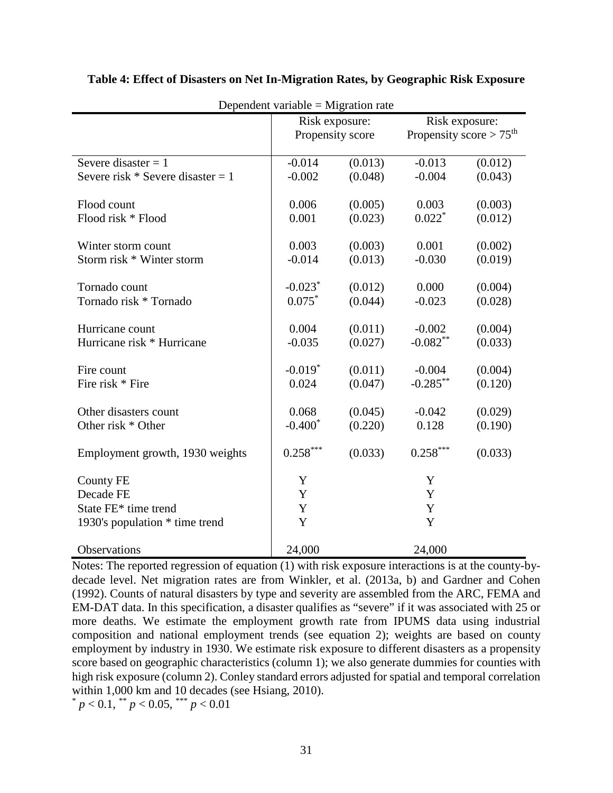| Dependent variable = Migration rate |                       |         |                                     |         |  |
|-------------------------------------|-----------------------|---------|-------------------------------------|---------|--|
|                                     | Risk exposure:        |         | Risk exposure:                      |         |  |
|                                     | Propensity score      |         | Propensity score > $75^{\text{th}}$ |         |  |
|                                     |                       |         |                                     |         |  |
| Severe disaster $= 1$               | $-0.014$              | (0.013) | $-0.013$                            | (0.012) |  |
| Severe risk $*$ Severe disaster = 1 | $-0.002$              | (0.048) | $-0.004$                            | (0.043) |  |
| Flood count                         | 0.006                 | (0.005) | 0.003                               | (0.003) |  |
| Flood risk * Flood                  | 0.001                 | (0.023) | $0.022*$                            | (0.012) |  |
| Winter storm count                  | 0.003                 | (0.003) | 0.001                               | (0.002) |  |
| Storm risk * Winter storm           | $-0.014$              | (0.013) | $-0.030$                            | (0.019) |  |
| Tornado count                       | $-0.023$ <sup>*</sup> | (0.012) | 0.000                               | (0.004) |  |
| Tornado risk * Tornado              | $0.075*$              | (0.044) | $-0.023$                            | (0.028) |  |
|                                     |                       |         |                                     |         |  |
| Hurricane count                     | 0.004                 | (0.011) | $-0.002$                            | (0.004) |  |
| Hurricane risk * Hurricane          | $-0.035$              | (0.027) | $-0.082**$                          | (0.033) |  |
| Fire count                          | $-0.019*$             | (0.011) | $-0.004$                            | (0.004) |  |
| Fire risk * Fire                    | 0.024                 | (0.047) | $-0.285***$                         | (0.120) |  |
| Other disasters count               | 0.068                 | (0.045) | $-0.042$                            | (0.029) |  |
| Other risk * Other                  | $-0.400*$             | (0.220) | 0.128                               | (0.190) |  |
|                                     |                       |         |                                     |         |  |
| Employment growth, 1930 weights     | $0.258***$            | (0.033) | $0.258***$                          | (0.033) |  |
| <b>County FE</b>                    | Y                     |         | Y                                   |         |  |
| Decade FE                           | Y                     |         | Y                                   |         |  |
| State FE* time trend                | Y                     |         | $\mathbf Y$                         |         |  |
| 1930's population * time trend      | Y                     |         | Y                                   |         |  |
| Observations                        | 24,000                |         | 24,000                              |         |  |

### **Table 4: Effect of Disasters on Net In-Migration Rates, by Geographic Risk Exposure**

Notes: The reported regression of equation (1) with risk exposure interactions is at the county-bydecade level. Net migration rates are from Winkler, et al. (2013a, b) and Gardner and Cohen (1992). Counts of natural disasters by type and severity are assembled from the ARC, FEMA and EM-DAT data. In this specification, a disaster qualifies as "severe" if it was associated with 25 or more deaths. We estimate the employment growth rate from IPUMS data using industrial composition and national employment trends (see equation 2); weights are based on county employment by industry in 1930. We estimate risk exposure to different disasters as a propensity score based on geographic characteristics (column 1); we also generate dummies for counties with high risk exposure (column 2). Conley standard errors adjusted for spatial and temporal correlation within 1,000 km and 10 decades (see Hsiang, 2010).

 $p < 0.1$ , \*\*  $p < 0.05$ , \*\*\*  $p < 0.01$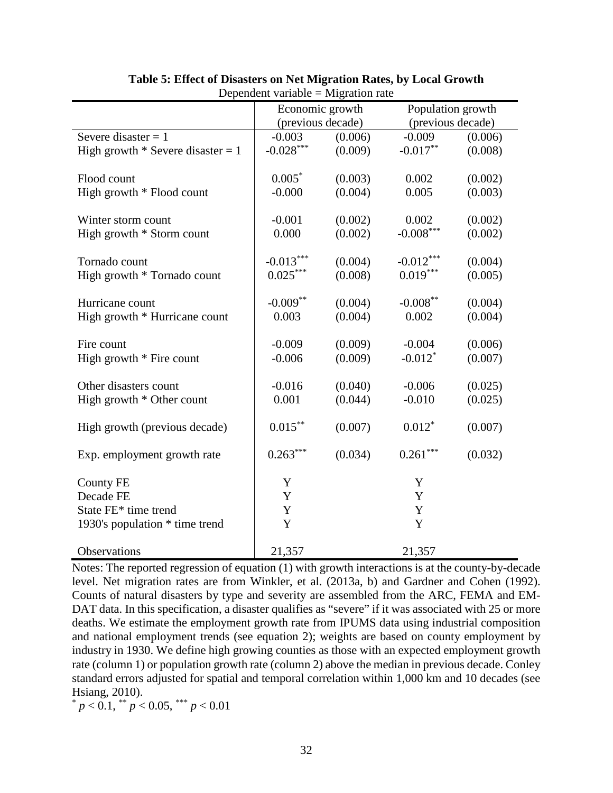|                                     | Economic growth   |         | Population growth     |         |
|-------------------------------------|-------------------|---------|-----------------------|---------|
|                                     | (previous decade) |         | (previous decade)     |         |
| Severe disaster $= 1$               | $-0.003$          | (0.006) | $-0.009$              | (0.006) |
| High growth $*$ Severe disaster = 1 | $-0.028***$       | (0.009) | $-0.017**$            | (0.008) |
|                                     |                   |         |                       |         |
| Flood count                         | $0.005*$          | (0.003) | 0.002                 | (0.002) |
| High growth * Flood count           | $-0.000$          | (0.004) | 0.005                 | (0.003) |
|                                     |                   |         |                       |         |
| Winter storm count                  | $-0.001$          | (0.002) | 0.002                 | (0.002) |
| High growth * Storm count           | 0.000             | (0.002) | $-0.008***$           | (0.002) |
|                                     |                   |         |                       |         |
| Tornado count                       | $-0.013***$       | (0.004) | $-0.012***$           | (0.004) |
| High growth * Tornado count         | $0.025***$        | (0.008) | $0.019***$            | (0.005) |
|                                     |                   |         |                       |         |
| Hurricane count                     | $-0.009**$        | (0.004) | $-0.008***$           | (0.004) |
| High growth * Hurricane count       | 0.003             | (0.004) | 0.002                 | (0.004) |
|                                     |                   |         |                       |         |
| Fire count                          | $-0.009$          | (0.009) | $-0.004$              | (0.006) |
| High growth * Fire count            | $-0.006$          | (0.009) | $-0.012$ <sup>*</sup> | (0.007) |
|                                     |                   |         |                       |         |
| Other disasters count               | $-0.016$          | (0.040) | $-0.006$              | (0.025) |
| High growth * Other count           | 0.001             | (0.044) | $-0.010$              | (0.025) |
|                                     |                   |         |                       |         |
| High growth (previous decade)       | $0.015***$        | (0.007) | $0.012*$              | (0.007) |
|                                     |                   |         |                       |         |
| Exp. employment growth rate         | $0.263***$        | (0.034) | $0.261***$            | (0.032) |
|                                     |                   |         |                       |         |
| <b>County FE</b>                    | Y                 |         | Y                     |         |
| Decade FE                           | $\mathbf Y$       |         | Y                     |         |
| State FE* time trend                | Y                 |         | Y                     |         |
| 1930's population * time trend      | Y                 |         | Y                     |         |
|                                     |                   |         |                       |         |
| Observations                        | 21,357            |         | 21,357                |         |

#### **Table 5: Effect of Disasters on Net Migration Rates, by Local Growth**  Dependent variable  $=$  Migration rate

Notes: The reported regression of equation (1) with growth interactions is at the county-by-decade level. Net migration rates are from Winkler, et al. (2013a, b) and Gardner and Cohen (1992). Counts of natural disasters by type and severity are assembled from the ARC, FEMA and EM-DAT data. In this specification, a disaster qualifies as "severe" if it was associated with 25 or more deaths. We estimate the employment growth rate from IPUMS data using industrial composition and national employment trends (see equation 2); weights are based on county employment by industry in 1930. We define high growing counties as those with an expected employment growth rate (column 1) or population growth rate (column 2) above the median in previous decade. Conley standard errors adjusted for spatial and temporal correlation within 1,000 km and 10 decades (see Hsiang, 2010).

 $p < 0.1$ ,  $\binom{1}{p} < 0.05$ ,  $\binom{1}{p} < 0.01$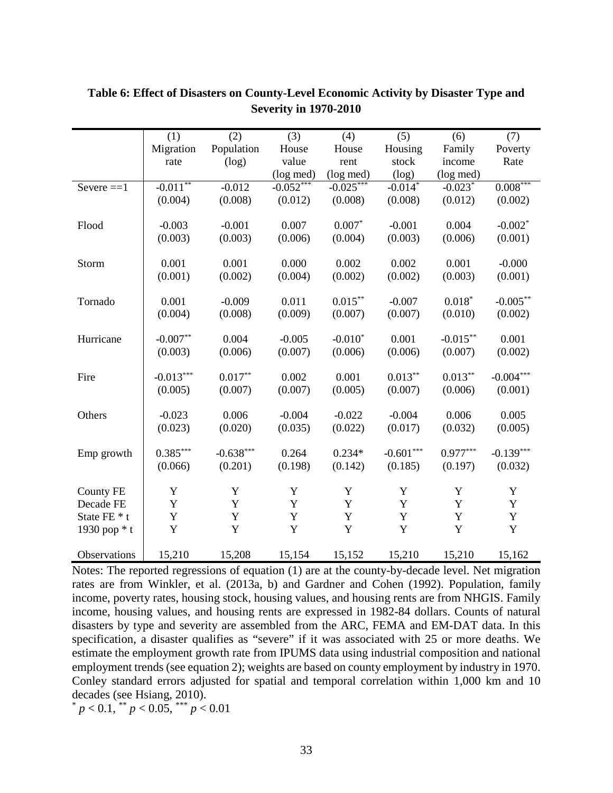|                  | (1)         | (2)         | (3)         | (4)         | (5)         | (6)         | (7)                    |
|------------------|-------------|-------------|-------------|-------------|-------------|-------------|------------------------|
|                  | Migration   | Population  | House       | House       | Housing     | Family      | Poverty                |
|                  | rate        | (log)       | value       | rent        | stock       | income      | Rate                   |
|                  |             |             | (log med)   | (log med)   | (log)       | (log med)   |                        |
| Severe $==1$     | $-0.011**$  | $-0.012$    | $-0.052***$ | $-0.025***$ | $-0.014*$   | $-0.023*$   | $0.008^{\ast\ast\ast}$ |
|                  | (0.004)     | (0.008)     | (0.012)     | (0.008)     | (0.008)     | (0.012)     | (0.002)                |
|                  |             |             |             |             |             |             |                        |
| Flood            | $-0.003$    | $-0.001$    | 0.007       | $0.007*$    | $-0.001$    | 0.004       | $-0.002*$              |
|                  | (0.003)     | (0.003)     | (0.006)     | (0.004)     | (0.003)     | (0.006)     | (0.001)                |
|                  |             |             |             |             |             |             |                        |
| Storm            | 0.001       | 0.001       | 0.000       | 0.002       | 0.002       | 0.001       | $-0.000$               |
|                  | (0.001)     | (0.002)     | (0.004)     | (0.002)     | (0.002)     | (0.003)     | (0.001)                |
|                  |             |             |             |             |             |             |                        |
| Tornado          | 0.001       | $-0.009$    | 0.011       | $0.015***$  | $-0.007$    | $0.018*$    | $-0.005***$            |
|                  | (0.004)     | (0.008)     | (0.009)     | (0.007)     | (0.007)     | (0.010)     | (0.002)                |
| Hurricane        | $-0.007**$  | 0.004       | $-0.005$    | $-0.010*$   | 0.001       | $-0.015***$ | 0.001                  |
|                  |             |             |             |             |             |             |                        |
|                  | (0.003)     | (0.006)     | (0.007)     | (0.006)     | (0.006)     | (0.007)     | (0.002)                |
| Fire             | $-0.013***$ | $0.017***$  | 0.002       | 0.001       | $0.013***$  | $0.013***$  | $-0.004***$            |
|                  | (0.005)     | (0.007)     | (0.007)     | (0.005)     | (0.007)     | (0.006)     | (0.001)                |
|                  |             |             |             |             |             |             |                        |
| Others           | $-0.023$    | 0.006       | $-0.004$    | $-0.022$    | $-0.004$    | 0.006       | 0.005                  |
|                  | (0.023)     | (0.020)     | (0.035)     | (0.022)     | (0.017)     | (0.032)     | (0.005)                |
|                  |             |             |             |             |             |             |                        |
| Emp growth       | $0.385***$  | $-0.638***$ | 0.264       | $0.234*$    | $-0.601***$ | $0.977***$  | $-0.139***$            |
|                  | (0.066)     | (0.201)     | (0.198)     | (0.142)     | (0.185)     | (0.197)     | (0.032)                |
|                  |             |             |             |             |             |             |                        |
| <b>County FE</b> | Y           | Y           | Y           | Y           | Y           | $\mathbf Y$ | $\mathbf Y$            |
| Decade FE        | Y           | Y           | Y           | Y           | $\mathbf Y$ | Y           | Y                      |
| State FE * t     | $\mathbf Y$ | Y           | Y           | Y           | Y           | Y           | Y                      |
| 1930 pop * t     | $\mathbf Y$ | Y           | Y           | Y           | Y           | Y           | $\mathbf Y$            |
|                  |             |             |             |             |             |             |                        |
| Observations     | 15,210      | 15,208      | 15,154      | 15,152      | 15,210      | 15,210      | 15,162                 |

# **Table 6: Effect of Disasters on County-Level Economic Activity by Disaster Type and Severity in 1970-2010**

Notes: The reported regressions of equation (1) are at the county-by-decade level. Net migration rates are from Winkler, et al. (2013a, b) and Gardner and Cohen (1992). Population, family income, poverty rates, housing stock, housing values, and housing rents are from NHGIS. Family income, housing values, and housing rents are expressed in 1982-84 dollars. Counts of natural disasters by type and severity are assembled from the ARC, FEMA and EM-DAT data. In this specification, a disaster qualifies as "severe" if it was associated with 25 or more deaths. We estimate the employment growth rate from IPUMS data using industrial composition and national employment trends (see equation 2); weights are based on county employment by industry in 1970. Conley standard errors adjusted for spatial and temporal correlation within 1,000 km and 10 decades (see Hsiang, 2010). \* *<sup>p</sup>* < 0.1, \*\* *<sup>p</sup>* < 0.05, \*\*\* *<sup>p</sup>* < 0.01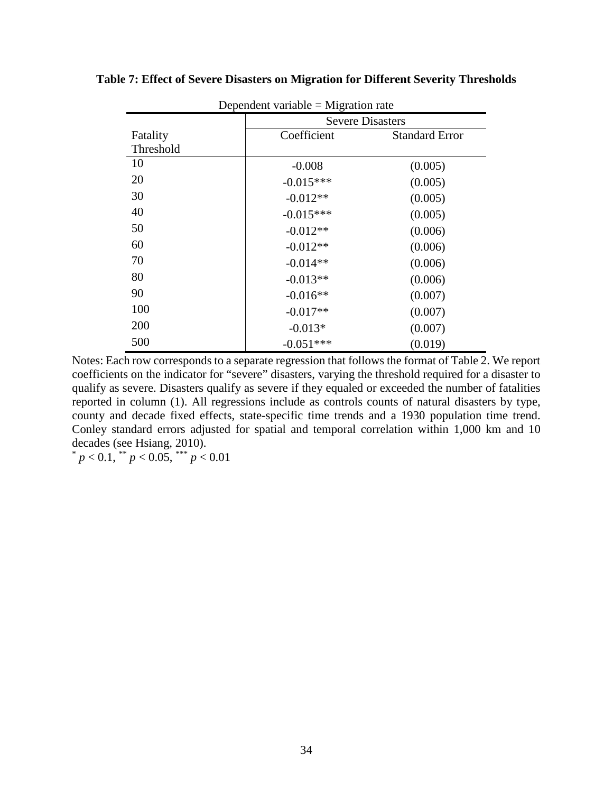| Dependent variable $=$ Migration rate |                         |                       |  |  |  |
|---------------------------------------|-------------------------|-----------------------|--|--|--|
|                                       | <b>Severe Disasters</b> |                       |  |  |  |
| Fatality                              | Coefficient             | <b>Standard Error</b> |  |  |  |
| Threshold                             |                         |                       |  |  |  |
| 10                                    | $-0.008$                | (0.005)               |  |  |  |
| 20                                    | $-0.015***$             | (0.005)               |  |  |  |
| 30                                    | $-0.012**$              | (0.005)               |  |  |  |
| 40                                    | $-0.015***$             | (0.005)               |  |  |  |
| 50                                    | $-0.012**$              | (0.006)               |  |  |  |
| 60                                    | $-0.012**$              | (0.006)               |  |  |  |
| 70                                    | $-0.014**$              | (0.006)               |  |  |  |
| 80                                    | $-0.013**$              | (0.006)               |  |  |  |
| 90                                    | $-0.016**$              | (0.007)               |  |  |  |
| 100                                   | $-0.017**$              | (0.007)               |  |  |  |
| <b>200</b>                            | $-0.013*$               | (0.007)               |  |  |  |
| 500                                   | $-0.051***$             | (0.019)               |  |  |  |

**Table 7: Effect of Severe Disasters on Migration for Different Severity Thresholds**

Notes: Each row corresponds to a separate regression that follows the format of Table 2. We report coefficients on the indicator for "severe" disasters, varying the threshold required for a disaster to qualify as severe. Disasters qualify as severe if they equaled or exceeded the number of fatalities reported in column (1). All regressions include as controls counts of natural disasters by type, county and decade fixed effects, state-specific time trends and a 1930 population time trend. Conley standard errors adjusted for spatial and temporal correlation within 1,000 km and 10 decades (see Hsiang, 2010).  $p < 0.1$ , \*\*  $p < 0.05$ , \*\*\*  $p < 0.01$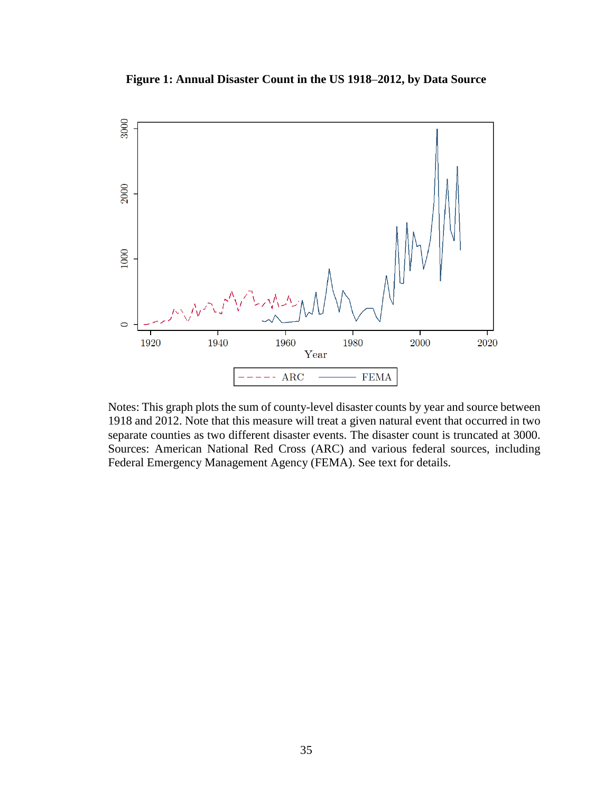**Figure 1: Annual Disaster Count in the US 1918**–**2012, by Data Source**



Notes: This graph plots the sum of county-level disaster counts by year and source between 1918 and 2012. Note that this measure will treat a given natural event that occurred in two separate counties as two different disaster events. The disaster count is truncated at 3000. Sources: American National Red Cross (ARC) and various federal sources, including Federal Emergency Management Agency (FEMA). See text for details.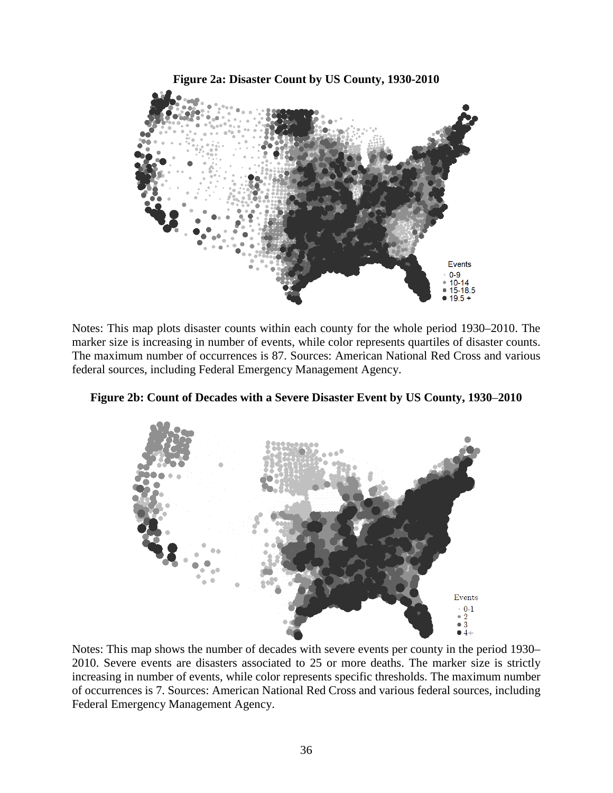

Notes: This map plots disaster counts within each county for the whole period 1930–2010. The marker size is increasing in number of events, while color represents quartiles of disaster counts. The maximum number of occurrences is 87. Sources: American National Red Cross and various federal sources, including Federal Emergency Management Agency.



**Figure 2b: Count of Decades with a Severe Disaster Event by US County, 1930**–**2010** 

Notes: This map shows the number of decades with severe events per county in the period 1930– 2010. Severe events are disasters associated to 25 or more deaths. The marker size is strictly increasing in number of events, while color represents specific thresholds. The maximum number of occurrences is 7. Sources: American National Red Cross and various federal sources, including Federal Emergency Management Agency.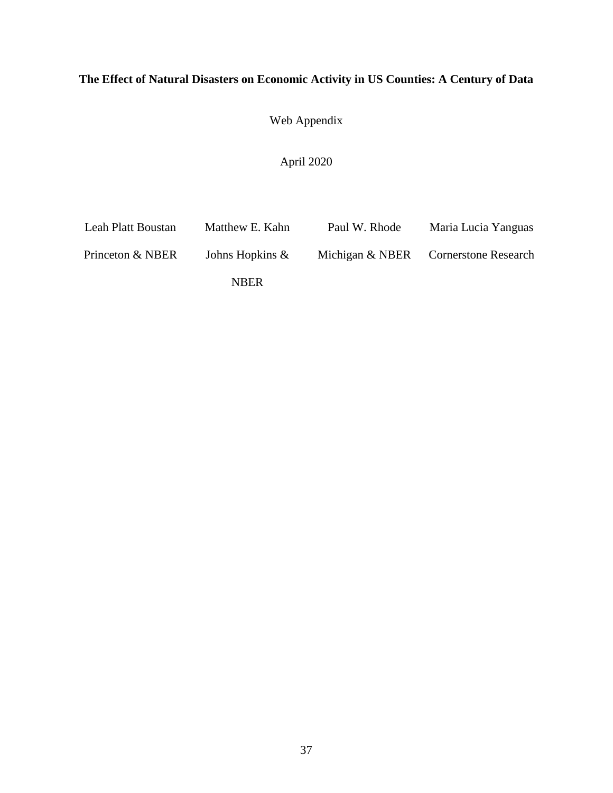# **The Effect of Natural Disasters on Economic Activity in US Counties: A Century of Data**

Web Appendix

April 2020

| Leah Platt Boustan | Matthew E. Kahn    | Paul W. Rhode | Maria Lucia Yanguas                  |
|--------------------|--------------------|---------------|--------------------------------------|
| Princeton & NBER   | Johns Hopkins $\&$ |               | Michigan & NBER Cornerstone Research |
|                    | <b>NBER</b>        |               |                                      |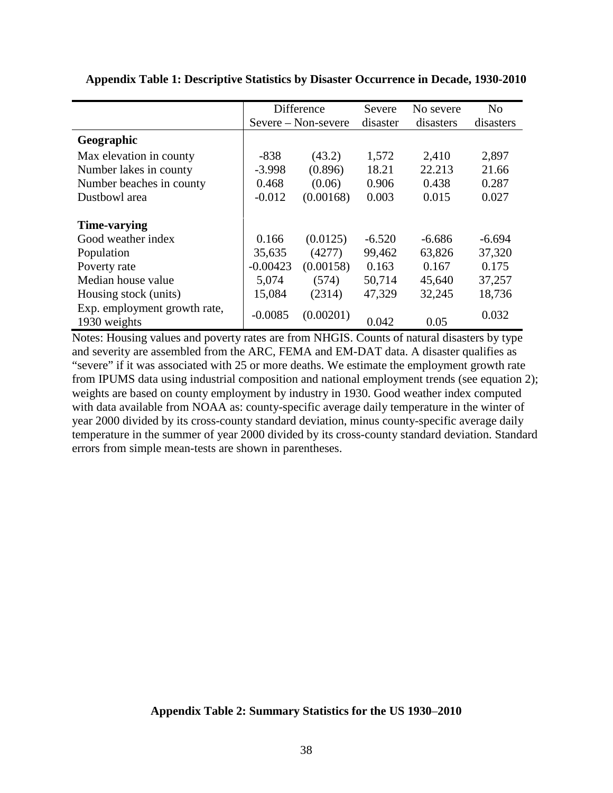|                                              |            | Difference          | Severe   | No severe | N <sub>0</sub> |
|----------------------------------------------|------------|---------------------|----------|-----------|----------------|
|                                              |            | Severe – Non-severe | disaster | disasters | disasters      |
| Geographic                                   |            |                     |          |           |                |
| Max elevation in county                      | $-838$     | (43.2)              | 1,572    | 2,410     | 2,897          |
| Number lakes in county                       | $-3.998$   | (0.896)             | 18.21    | 22.213    | 21.66          |
| Number beaches in county                     | 0.468      | (0.06)              | 0.906    | 0.438     | 0.287          |
| Dustbowl area                                | $-0.012$   | (0.00168)           | 0.003    | 0.015     | 0.027          |
| Time-varying                                 |            |                     |          |           |                |
| Good weather index                           | 0.166      | (0.0125)            | $-6.520$ | $-6.686$  | $-6.694$       |
| Population                                   | 35,635     | (4277)              | 99,462   | 63,826    | 37,320         |
| Poverty rate                                 | $-0.00423$ | (0.00158)           | 0.163    | 0.167     | 0.175          |
| Median house value                           | 5,074      | (574)               | 50,714   | 45,640    | 37,257         |
| Housing stock (units)                        | 15,084     | (2314)              | 47,329   | 32,245    | 18,736         |
| Exp. employment growth rate,<br>1930 weights | $-0.0085$  | (0.00201)           | 0.042    | 0.05      | 0.032          |

**Appendix Table 1: Descriptive Statistics by Disaster Occurrence in Decade, 1930-2010**

Notes: Housing values and poverty rates are from NHGIS. Counts of natural disasters by type and severity are assembled from the ARC, FEMA and EM-DAT data. A disaster qualifies as "severe" if it was associated with 25 or more deaths. We estimate the employment growth rate from IPUMS data using industrial composition and national employment trends (see equation 2); weights are based on county employment by industry in 1930. Good weather index computed with data available from NOAA as: county-specific average daily temperature in the winter of year 2000 divided by its cross-county standard deviation, minus county-specific average daily temperature in the summer of year 2000 divided by its cross-county standard deviation. Standard errors from simple mean-tests are shown in parentheses.

# **Appendix Table 2: Summary Statistics for the US 1930**–**2010**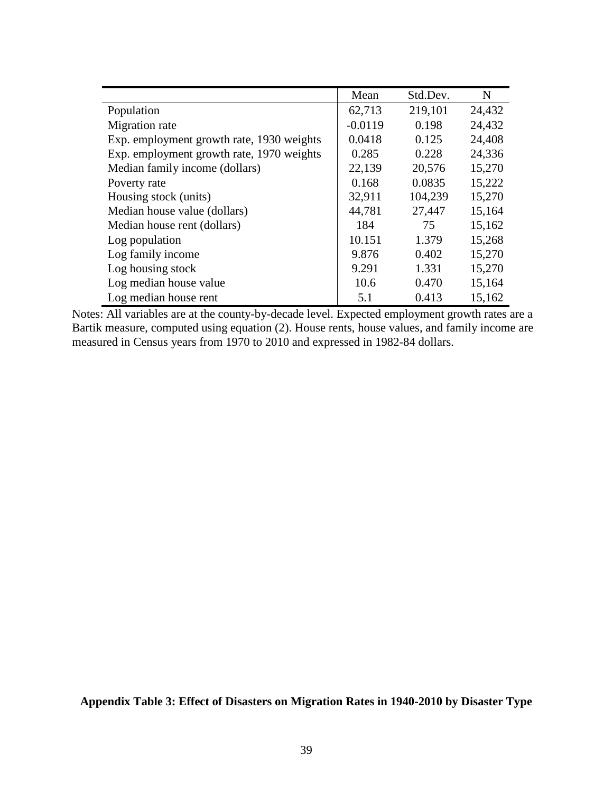|                                           | Mean      | Std.Dev. | N      |
|-------------------------------------------|-----------|----------|--------|
| Population                                | 62,713    | 219,101  | 24,432 |
| Migration rate                            | $-0.0119$ | 0.198    | 24,432 |
| Exp. employment growth rate, 1930 weights | 0.0418    | 0.125    | 24,408 |
| Exp. employment growth rate, 1970 weights | 0.285     | 0.228    | 24,336 |
| Median family income (dollars)            | 22,139    | 20,576   | 15,270 |
| Poverty rate                              | 0.168     | 0.0835   | 15,222 |
| Housing stock (units)                     | 32,911    | 104,239  | 15,270 |
| Median house value (dollars)              | 44,781    | 27,447   | 15,164 |
| Median house rent (dollars)               | 184       | 75       | 15,162 |
| Log population                            | 10.151    | 1.379    | 15,268 |
| Log family income                         | 9.876     | 0.402    | 15,270 |
| Log housing stock                         | 9.291     | 1.331    | 15,270 |
| Log median house value                    | 10.6      | 0.470    | 15,164 |
| Log median house rent                     | 5.1       | 0.413    | 15,162 |

Notes: All variables are at the county-by-decade level. Expected employment growth rates are a Bartik measure, computed using equation (2). House rents, house values, and family income are measured in Census years from 1970 to 2010 and expressed in 1982-84 dollars.

**Appendix Table 3: Effect of Disasters on Migration Rates in 1940-2010 by Disaster Type**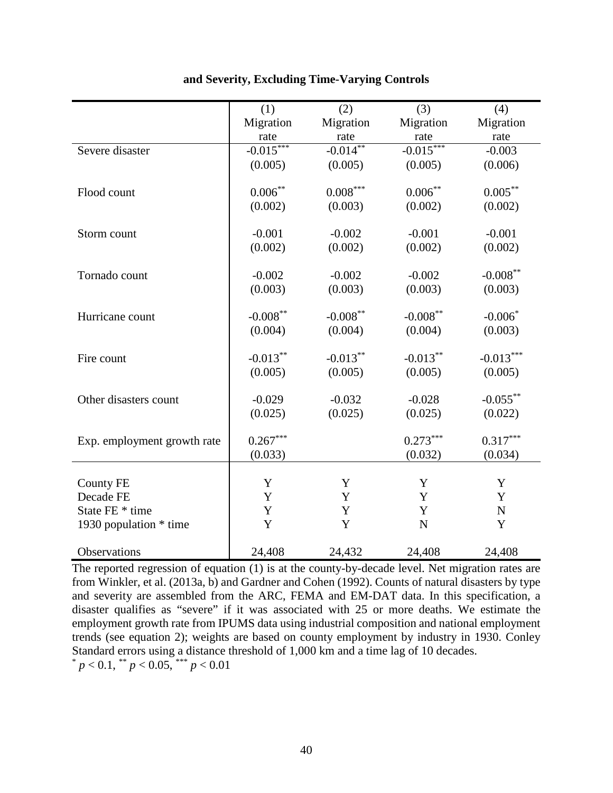|                             | (1)         | (2)                    | (3)         | (4)         |
|-----------------------------|-------------|------------------------|-------------|-------------|
|                             | Migration   | Migration              | Migration   | Migration   |
|                             | rate        | rate                   | rate        | rate        |
| Severe disaster             | $-0.015***$ | $-0.014**$             | $-0.015***$ | $-0.003$    |
|                             | (0.005)     | (0.005)                | (0.005)     | (0.006)     |
|                             |             |                        |             |             |
| Flood count                 | $0.006***$  | $0.008^{\ast\ast\ast}$ | $0.006***$  | $0.005***$  |
|                             | (0.002)     | (0.003)                | (0.002)     | (0.002)     |
|                             |             |                        |             |             |
| Storm count                 | $-0.001$    | $-0.002$               | $-0.001$    | $-0.001$    |
|                             | (0.002)     | (0.002)                | (0.002)     | (0.002)     |
|                             |             |                        |             |             |
| Tornado count               | $-0.002$    | $-0.002$               | $-0.002$    | $-0.008***$ |
|                             | (0.003)     | (0.003)                | (0.003)     | (0.003)     |
| Hurricane count             | $-0.008***$ | $-0.008***$            | $-0.008***$ | $-0.006*$   |
|                             | (0.004)     | (0.004)                | (0.004)     | (0.003)     |
|                             |             |                        |             |             |
| Fire count                  | $-0.013***$ | $-0.013***$            | $-0.013***$ | $-0.013***$ |
|                             | (0.005)     | (0.005)                | (0.005)     | (0.005)     |
|                             |             |                        |             |             |
| Other disasters count       | $-0.029$    | $-0.032$               | $-0.028$    | $-0.055***$ |
|                             | (0.025)     | (0.025)                | (0.025)     | (0.022)     |
|                             |             |                        |             |             |
| Exp. employment growth rate | $0.267***$  |                        | $0.273***$  | $0.317***$  |
|                             | (0.033)     |                        | (0.032)     | (0.034)     |
|                             |             |                        |             |             |
| <b>County FE</b>            | Y           | Y                      | Y           | Y           |
| Decade FE                   | Y           | Y                      | Y           | $\mathbf Y$ |
| State FE * time             | Y           | Y                      | Y           | $\mathbf N$ |
| 1930 population $*$ time    | Y           | Y                      | ${\bf N}$   | Y           |
| Observations                | 24,408      | 24,432                 | 24,408      | 24,408      |
|                             |             |                        |             |             |

## **and Severity, Excluding Time-Varying Controls**

The reported regression of equation (1) is at the county-by-decade level. Net migration rates are from Winkler, et al. (2013a, b) and Gardner and Cohen (1992). Counts of natural disasters by type and severity are assembled from the ARC, FEMA and EM-DAT data. In this specification, a disaster qualifies as "severe" if it was associated with 25 or more deaths. We estimate the employment growth rate from IPUMS data using industrial composition and national employment trends (see equation 2); weights are based on county employment by industry in 1930. Conley Standard errors using a distance threshold of 1,000 km and a time lag of 10 decades.  $p < 0.1$ ,  $p < 0.05$ ,  $p > 0.01$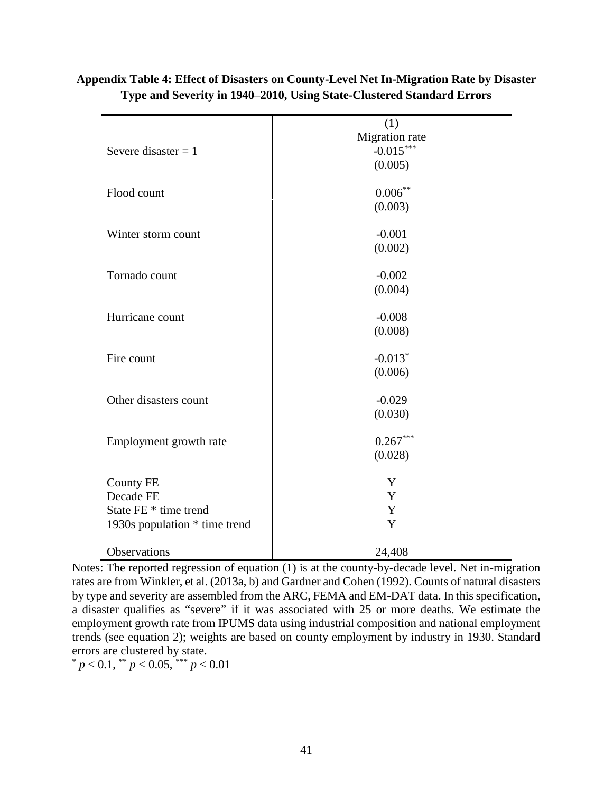|                               | (1)            |
|-------------------------------|----------------|
|                               | Migration rate |
| Severe disaster $= 1$         | $-0.015***$    |
|                               | (0.005)        |
| Flood count                   | $0.006***$     |
|                               | (0.003)        |
| Winter storm count            | $-0.001$       |
|                               | (0.002)        |
| Tornado count                 | $-0.002$       |
|                               | (0.004)        |
| Hurricane count               | $-0.008$       |
|                               | (0.008)        |
| Fire count                    | $-0.013*$      |
|                               | (0.006)        |
| Other disasters count         | $-0.029$       |
|                               | (0.030)        |
| Employment growth rate        | $0.267***$     |
|                               | (0.028)        |
| <b>County FE</b>              | Y              |
| Decade FE                     | Y              |
| State FE * time trend         | Y              |
| 1930s population * time trend | Y              |
| Observations                  | 24,408         |

**Appendix Table 4: Effect of Disasters on County-Level Net In-Migration Rate by Disaster Type and Severity in 1940**–**2010, Using State-Clustered Standard Errors**

Notes: The reported regression of equation (1) is at the county-by-decade level. Net in-migration rates are from Winkler, et al. (2013a, b) and Gardner and Cohen (1992). Counts of natural disasters by type and severity are assembled from the ARC, FEMA and EM-DAT data. In this specification, a disaster qualifies as "severe" if it was associated with 25 or more deaths. We estimate the employment growth rate from IPUMS data using industrial composition and national employment trends (see equation 2); weights are based on county employment by industry in 1930. Standard errors are clustered by state.

 $p < 0.1$ , \*\*  $p < 0.05$ , \*\*\*  $p < 0.01$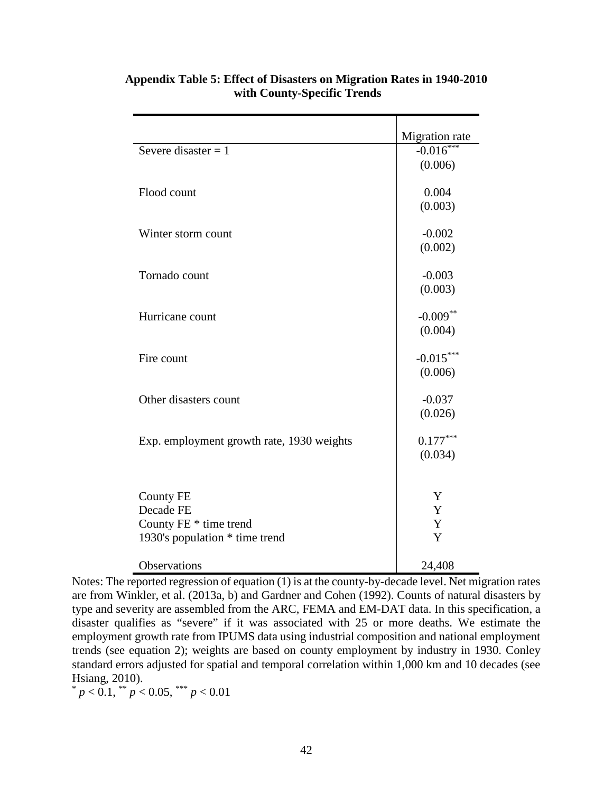|                                           | Migration rate |
|-------------------------------------------|----------------|
| Severe disaster = $1$                     | $-0.016***$    |
|                                           | (0.006)        |
|                                           |                |
| Flood count                               | 0.004          |
|                                           | (0.003)        |
|                                           |                |
| Winter storm count                        | $-0.002$       |
|                                           | (0.002)        |
|                                           |                |
| Tornado count                             | $-0.003$       |
|                                           | (0.003)        |
| Hurricane count                           | $-0.009**$     |
|                                           | (0.004)        |
|                                           |                |
| Fire count                                | $-0.015***$    |
|                                           | (0.006)        |
|                                           |                |
| Other disasters count                     | $-0.037$       |
|                                           | (0.026)        |
|                                           |                |
| Exp. employment growth rate, 1930 weights | $0.177***$     |
|                                           | (0.034)        |
|                                           |                |
|                                           |                |
| <b>County FE</b>                          | Y              |
| Decade FE                                 | Y              |
| County FE * time trend                    | Y              |
| 1930's population * time trend            | Y              |
|                                           |                |
| Observations                              | 24,408         |

# **Appendix Table 5: Effect of Disasters on Migration Rates in 1940-2010 with County-Specific Trends**

Notes: The reported regression of equation (1) is at the county-by-decade level. Net migration rates are from Winkler, et al. (2013a, b) and Gardner and Cohen (1992). Counts of natural disasters by type and severity are assembled from the ARC, FEMA and EM-DAT data. In this specification, a disaster qualifies as "severe" if it was associated with 25 or more deaths. We estimate the employment growth rate from IPUMS data using industrial composition and national employment trends (see equation 2); weights are based on county employment by industry in 1930. Conley standard errors adjusted for spatial and temporal correlation within 1,000 km and 10 decades (see Hsiang, 2010).

 $p < 0.1$ ,  $p < 0.05$ ,  $p < 0.01$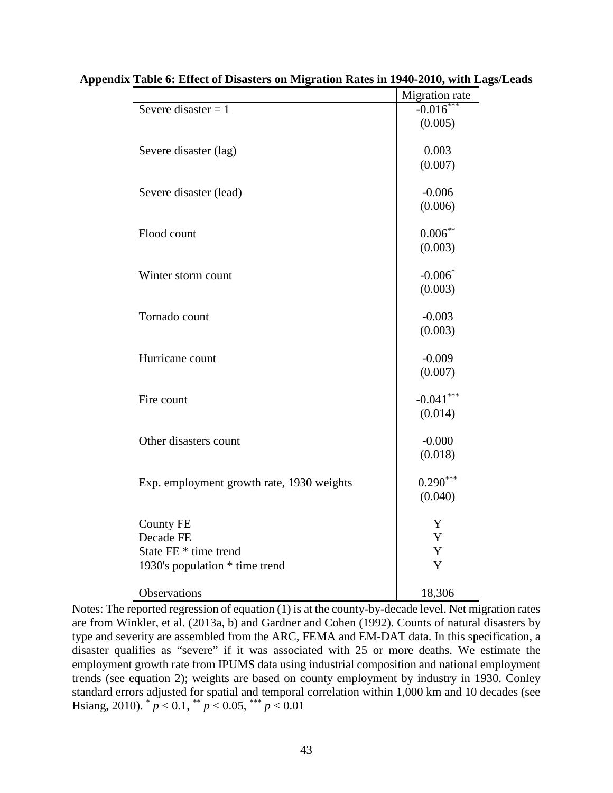|                                           | Migration rate |
|-------------------------------------------|----------------|
| Severe disaster $= 1$                     | $-0.016***$    |
|                                           | (0.005)        |
| Severe disaster (lag)                     | 0.003          |
|                                           | (0.007)        |
| Severe disaster (lead)                    | $-0.006$       |
|                                           | (0.006)        |
| Flood count                               | $0.006**$      |
|                                           | (0.003)        |
| Winter storm count                        | $-0.006*$      |
|                                           | (0.003)        |
| Tornado count                             | $-0.003$       |
|                                           | (0.003)        |
| Hurricane count                           | $-0.009$       |
|                                           | (0.007)        |
| Fire count                                | $-0.041***$    |
|                                           | (0.014)        |
| Other disasters count                     | $-0.000$       |
|                                           | (0.018)        |
| Exp. employment growth rate, 1930 weights | $0.290***$     |
|                                           | (0.040)        |
| <b>County FE</b>                          | Y              |
| Decade FE                                 | $\mathbf Y$    |
| State FE * time trend                     | $\mathbf Y$    |
| 1930's population * time trend            | $\mathbf Y$    |
| Observations                              | 18,306         |

**Appendix Table 6: Effect of Disasters on Migration Rates in 1940-2010, with Lags/Leads** 

Notes: The reported regression of equation (1) is at the county-by-decade level. Net migration rates are from Winkler, et al. (2013a, b) and Gardner and Cohen (1992). Counts of natural disasters by type and severity are assembled from the ARC, FEMA and EM-DAT data. In this specification, a disaster qualifies as "severe" if it was associated with 25 or more deaths. We estimate the employment growth rate from IPUMS data using industrial composition and national employment trends (see equation 2); weights are based on county employment by industry in 1930. Conley standard errors adjusted for spatial and temporal correlation within 1,000 km and 10 decades (see Hsiang, 2010).  $p < 0.1$ ,  $p < 0.05$ ,  $p < 0.01$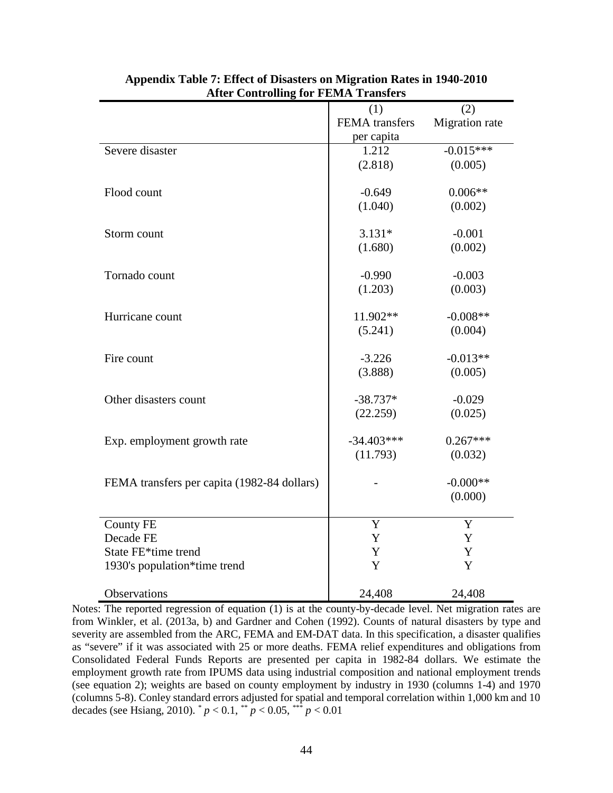|                                             | (1)            | (2)            |
|---------------------------------------------|----------------|----------------|
|                                             | FEMA transfers | Migration rate |
|                                             | per capita     |                |
| Severe disaster                             | 1.212          | $-0.015***$    |
|                                             | (2.818)        | (0.005)        |
|                                             |                |                |
| Flood count                                 | $-0.649$       | $0.006**$      |
|                                             | (1.040)        | (0.002)        |
|                                             |                |                |
| Storm count                                 | $3.131*$       | $-0.001$       |
|                                             | (1.680)        | (0.002)        |
|                                             |                |                |
| Tornado count                               | $-0.990$       | $-0.003$       |
|                                             | (1.203)        | (0.003)        |
|                                             |                |                |
| Hurricane count                             | 11.902**       | $-0.008**$     |
|                                             | (5.241)        | (0.004)        |
|                                             |                |                |
| Fire count                                  | $-3.226$       | $-0.013**$     |
|                                             | (3.888)        | (0.005)        |
| Other disasters count                       | $-38.737*$     | $-0.029$       |
|                                             | (22.259)       | (0.025)        |
|                                             |                |                |
| Exp. employment growth rate                 | $-34.403***$   | $0.267***$     |
|                                             | (11.793)       | (0.032)        |
|                                             |                |                |
| FEMA transfers per capita (1982-84 dollars) |                | $-0.000**$     |
|                                             |                | (0.000)        |
|                                             |                |                |
| <b>County FE</b>                            | Y              | Y              |
| Decade FE                                   | Y              | Y              |
| State FE*time trend                         | Y              | Y              |
| 1930's population*time trend                | Y              | Y              |
|                                             |                |                |
| Observations                                | 24,408         | 24,408         |

## **Appendix Table 7: Effect of Disasters on Migration Rates in 1940-2010 After Controlling for FEMA Transfers**

Notes: The reported regression of equation (1) is at the county-by-decade level. Net migration rates are from Winkler, et al. (2013a, b) and Gardner and Cohen (1992). Counts of natural disasters by type and severity are assembled from the ARC, FEMA and EM-DAT data. In this specification, a disaster qualifies as "severe" if it was associated with 25 or more deaths. FEMA relief expenditures and obligations from Consolidated Federal Funds Reports are presented per capita in 1982-84 dollars. We estimate the employment growth rate from IPUMS data using industrial composition and national employment trends (see equation 2); weights are based on county employment by industry in 1930 (columns 1-4) and 1970 (columns 5-8). Conley standard errors adjusted for spatial and temporal correlation within 1,000 km and 10 decades (see Hsiang, 2010).  $^{*}p < 0.1$ ,  $^{**}p < 0.05$ ,  $^{***}p < 0.01$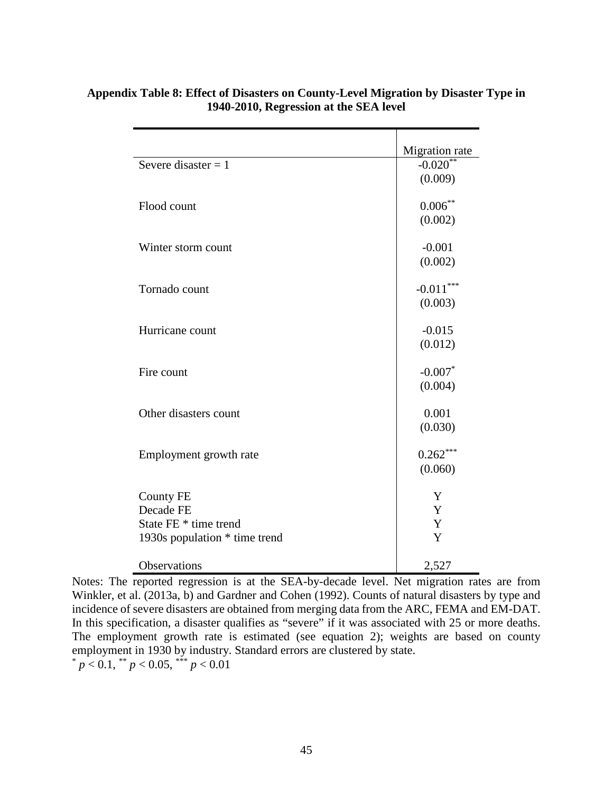|                               | Migration rate         |
|-------------------------------|------------------------|
| Severe disaster $= 1$         | $-0.020$ <sup>**</sup> |
|                               | (0.009)                |
|                               |                        |
| Flood count                   | $0.006***$             |
|                               | (0.002)                |
|                               |                        |
| Winter storm count            | $-0.001$               |
|                               | (0.002)                |
|                               |                        |
| Tornado count                 | $-0.011***$            |
|                               | (0.003)                |
| Hurricane count               | $-0.015$               |
|                               | (0.012)                |
|                               |                        |
| Fire count                    | $-0.007*$              |
|                               | (0.004)                |
|                               |                        |
| Other disasters count         | 0.001                  |
|                               | (0.030)                |
|                               |                        |
| Employment growth rate        | $0.262***$             |
|                               | (0.060)                |
|                               |                        |
| <b>County FE</b>              | Y                      |
| Decade FE                     | Y                      |
| State FE * time trend         | Y                      |
| 1930s population * time trend | Y                      |
|                               |                        |
| Observations                  | 2,527                  |

# **Appendix Table 8: Effect of Disasters on County-Level Migration by Disaster Type in 1940-2010, Regression at the SEA level**

Notes: The reported regression is at the SEA-by-decade level. Net migration rates are from Winkler, et al. (2013a, b) and Gardner and Cohen (1992). Counts of natural disasters by type and incidence of severe disasters are obtained from merging data from the ARC, FEMA and EM-DAT. In this specification, a disaster qualifies as "severe" if it was associated with 25 or more deaths. The employment growth rate is estimated (see equation 2); weights are based on county employment in 1930 by industry. Standard errors are clustered by state.  $p < 0.1$ , \*\*  $p < 0.05$ , \*\*\*  $p < 0.01$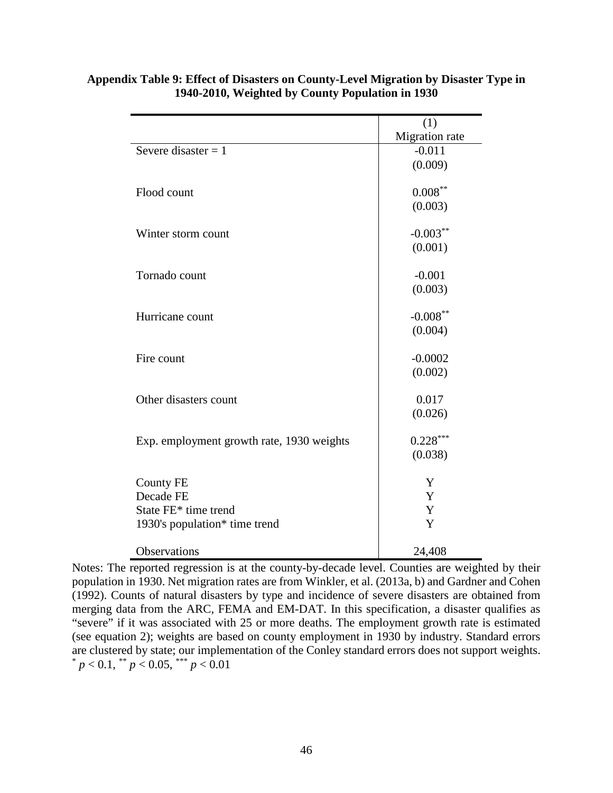|                                           | (1)            |
|-------------------------------------------|----------------|
|                                           | Migration rate |
| Severe disaster $= 1$                     | $-0.011$       |
|                                           | (0.009)        |
|                                           |                |
| Flood count                               | $0.008***$     |
|                                           | (0.003)        |
|                                           |                |
| Winter storm count                        | $-0.003***$    |
|                                           | (0.001)        |
|                                           |                |
| Tornado count                             | $-0.001$       |
|                                           | (0.003)        |
|                                           |                |
| Hurricane count                           | $-0.008***$    |
|                                           | (0.004)        |
|                                           |                |
| Fire count                                | $-0.0002$      |
|                                           | (0.002)        |
|                                           |                |
| Other disasters count                     | 0.017          |
|                                           | (0.026)        |
|                                           |                |
| Exp. employment growth rate, 1930 weights | $0.228***$     |
|                                           | (0.038)        |
|                                           |                |
| <b>County FE</b>                          | Y              |
| Decade FE                                 | Y              |
| State FE* time trend                      | Y              |
| 1930's population* time trend             | Y              |
|                                           |                |
| Observations                              | 24,408         |

## **Appendix Table 9: Effect of Disasters on County-Level Migration by Disaster Type in 1940-2010, Weighted by County Population in 1930**

Notes: The reported regression is at the county-by-decade level. Counties are weighted by their population in 1930. Net migration rates are from Winkler, et al. (2013a, b) and Gardner and Cohen (1992). Counts of natural disasters by type and incidence of severe disasters are obtained from merging data from the ARC, FEMA and EM-DAT. In this specification, a disaster qualifies as "severe" if it was associated with 25 or more deaths. The employment growth rate is estimated (see equation 2); weights are based on county employment in 1930 by industry. Standard errors are clustered by state; our implementation of the Conley standard errors does not support weights.  $p < 0.1$ , \*\*  $p < 0.05$ , \*\*\*  $p < 0.01$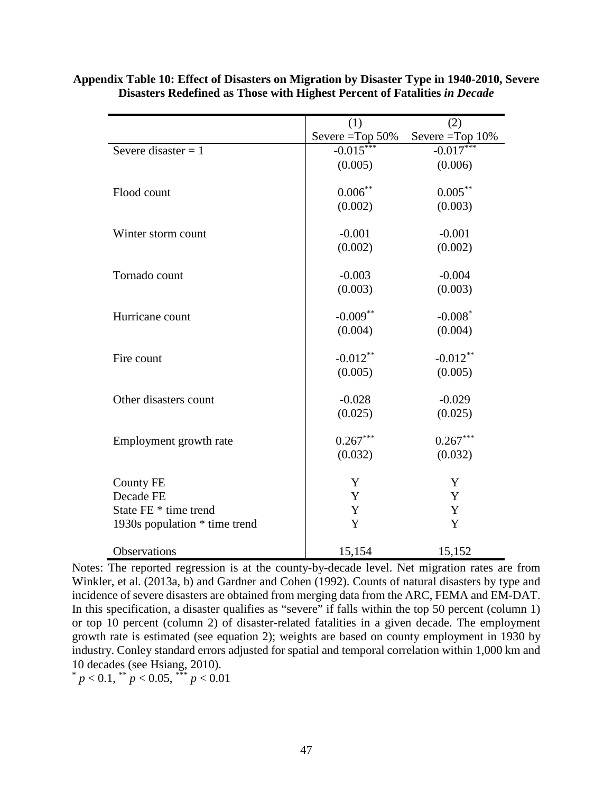|                               | (1)                | (2)                |
|-------------------------------|--------------------|--------------------|
|                               | Severe $=$ Top 50% | Severe $=$ Top 10% |
| Severe disaster $= 1$         | $-0.015$ **        | $-0.017***$        |
|                               | (0.005)            | (0.006)            |
|                               |                    |                    |
| Flood count                   | $0.006***$         | $0.005***$         |
|                               | (0.002)            | (0.003)            |
| Winter storm count            | $-0.001$           | $-0.001$           |
|                               | (0.002)            | (0.002)            |
|                               |                    |                    |
| Tornado count                 | $-0.003$           | $-0.004$           |
|                               | (0.003)            | (0.003)            |
|                               |                    |                    |
| Hurricane count               | $-0.009**$         | $-0.008*$          |
|                               | (0.004)            | (0.004)            |
| Fire count                    | $-0.012**$         | $-0.012**$         |
|                               | (0.005)            | (0.005)            |
|                               |                    |                    |
| Other disasters count         | $-0.028$           | $-0.029$           |
|                               | (0.025)            | (0.025)            |
|                               |                    |                    |
| Employment growth rate        | $0.267***$         | $0.267***$         |
|                               | (0.032)            | (0.032)            |
| <b>County FE</b>              | Y                  | Y                  |
| Decade FE                     | Y                  | Y                  |
| State FE * time trend         | Y                  | Y                  |
|                               | Y                  | Y                  |
| 1930s population * time trend |                    |                    |
| Observations                  | 15,154             | 15,152             |

**Appendix Table 10: Effect of Disasters on Migration by Disaster Type in 1940-2010, Severe Disasters Redefined as Those with Highest Percent of Fatalities** *in Decade*

Notes: The reported regression is at the county-by-decade level. Net migration rates are from Winkler, et al. (2013a, b) and Gardner and Cohen (1992). Counts of natural disasters by type and incidence of severe disasters are obtained from merging data from the ARC, FEMA and EM-DAT. In this specification, a disaster qualifies as "severe" if falls within the top 50 percent (column 1) or top 10 percent (column 2) of disaster-related fatalities in a given decade. The employment growth rate is estimated (see equation 2); weights are based on county employment in 1930 by industry. Conley standard errors adjusted for spatial and temporal correlation within 1,000 km and 10 decades (see Hsiang, 2010).

 $p < 0.1$ , \*\*  $p < 0.05$ , \*\*\*  $p < 0.01$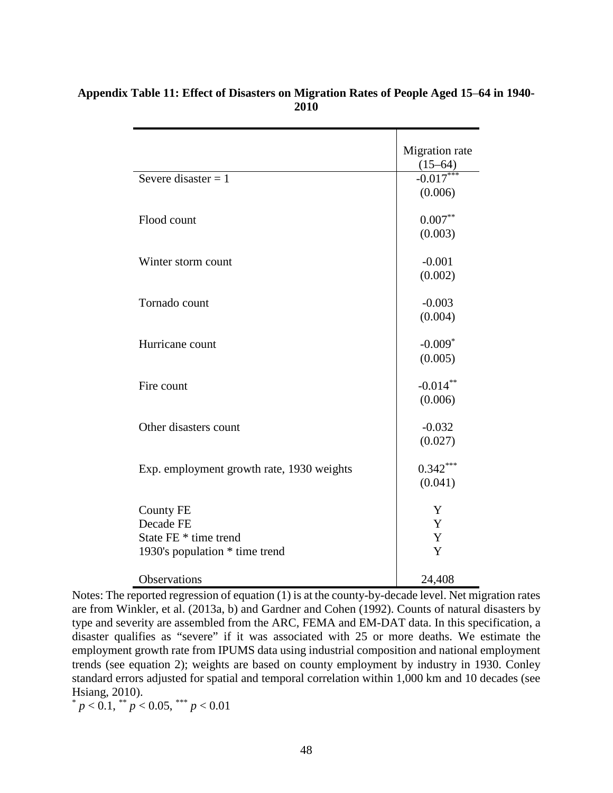|                                           | Migration rate |
|-------------------------------------------|----------------|
|                                           | $(15 - 64)$    |
| Severe disaster $= 1$                     | $-0.017***$    |
|                                           | (0.006)        |
| Flood count                               | $0.007**$      |
|                                           | (0.003)        |
|                                           |                |
| Winter storm count                        | $-0.001$       |
|                                           | (0.002)        |
| Tornado count                             | $-0.003$       |
|                                           | (0.004)        |
| Hurricane count                           | $-0.009*$      |
|                                           | (0.005)        |
|                                           |                |
| Fire count                                | $-0.014**$     |
|                                           | (0.006)        |
| Other disasters count                     | $-0.032$       |
|                                           | (0.027)        |
| Exp. employment growth rate, 1930 weights | $0.342***$     |
|                                           | (0.041)        |
|                                           |                |
| <b>County FE</b>                          | Y              |
| Decade FE                                 | Y              |
| State FE * time trend                     | Y              |
| 1930's population * time trend            | Y              |
| Observations                              | 24,408         |

## **Appendix Table 11: Effect of Disasters on Migration Rates of People Aged 15**–**64 in 1940- 2010**

Notes: The reported regression of equation (1) is at the county-by-decade level. Net migration rates are from Winkler, et al. (2013a, b) and Gardner and Cohen (1992). Counts of natural disasters by type and severity are assembled from the ARC, FEMA and EM-DAT data. In this specification, a disaster qualifies as "severe" if it was associated with 25 or more deaths. We estimate the employment growth rate from IPUMS data using industrial composition and national employment trends (see equation 2); weights are based on county employment by industry in 1930. Conley standard errors adjusted for spatial and temporal correlation within 1,000 km and 10 decades (see Hsiang, 2010).

 $p < 0.1$ ,  $\binom{1}{p} < 0.05$ ,  $\binom{1}{p} < 0.01$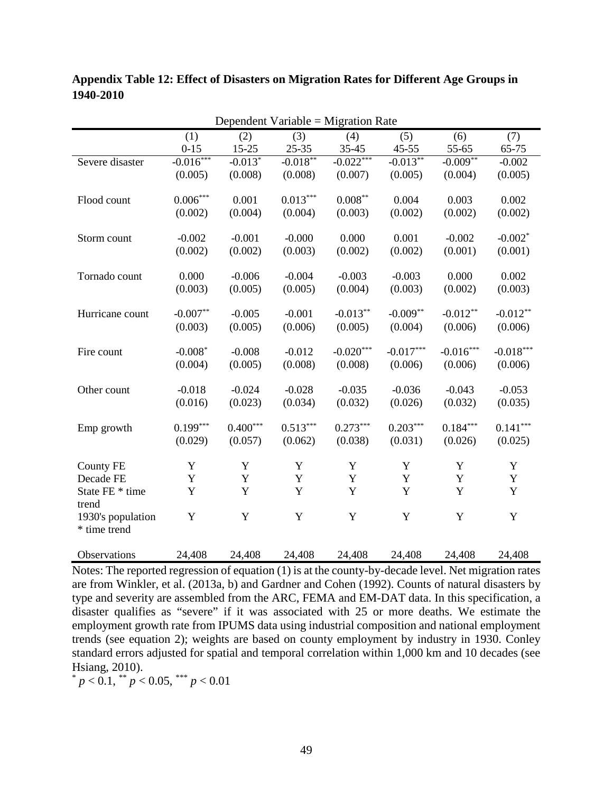| Dependent Variable = Migration Rate |                             |                        |            |                    |             |                        |             |
|-------------------------------------|-----------------------------|------------------------|------------|--------------------|-------------|------------------------|-------------|
|                                     | (1)                         | (2)                    | (3)        | (4)                | (5)         | (6)                    | (7)         |
|                                     | $0 - 15$                    | $15 - 25$              | $25 - 35$  | $35 - 45$          | $45 - 55$   | 55-65                  | 65-75       |
| Severe disaster                     | $-0.016***$                 | $-0.013*$              | $-0.018**$ | $-0.022***$        | $-0.013**$  | $-0.009$ <sup>**</sup> | $-0.002$    |
|                                     | (0.005)                     | (0.008)                | (0.008)    | (0.007)            | (0.005)     | (0.004)                | (0.005)     |
|                                     |                             |                        |            |                    |             |                        |             |
| Flood count                         | $0.006\sp{*}{^\ast\sp{*}}}$ | 0.001                  | $0.013***$ | $0.008^{\ast\ast}$ | 0.004       | 0.003                  | 0.002       |
|                                     | (0.002)                     | (0.004)                | (0.004)    | (0.003)            | (0.002)     | (0.002)                | (0.002)     |
|                                     |                             |                        |            |                    |             |                        |             |
| Storm count                         | $-0.002$                    | $-0.001$               | $-0.000$   | 0.000              | 0.001       | $-0.002$               | $-0.002*$   |
|                                     | (0.002)                     | (0.002)                | (0.003)    | (0.002)            | (0.002)     | (0.001)                | (0.001)     |
|                                     |                             |                        |            |                    |             |                        |             |
| Tornado count                       | 0.000                       | $-0.006$               | $-0.004$   | $-0.003$           | $-0.003$    | 0.000                  | 0.002       |
|                                     | (0.003)                     | (0.005)                | (0.005)    | (0.004)            | (0.003)     | (0.002)                | (0.003)     |
|                                     |                             |                        |            |                    |             |                        |             |
| Hurricane count                     | $-0.007**$                  | $-0.005$               | $-0.001$   | $-0.013**$         | $-0.009**$  | $-0.012**$             | $-0.012**$  |
|                                     | (0.003)                     | (0.005)                | (0.006)    | (0.005)            | (0.004)     | (0.006)                | (0.006)     |
|                                     |                             |                        |            |                    |             |                        |             |
| Fire count                          | $-0.008*$                   | $-0.008$               | $-0.012$   | $-0.020***$        | $-0.017***$ | $-0.016***$            | $-0.018***$ |
|                                     | (0.004)                     | (0.005)                | (0.008)    | (0.008)            | (0.006)     | (0.006)                | (0.006)     |
| Other count                         | $-0.018$                    | $-0.024$               | $-0.028$   | $-0.035$           | $-0.036$    | $-0.043$               | $-0.053$    |
|                                     | (0.016)                     | (0.023)                | (0.034)    | (0.032)            | (0.026)     | (0.032)                | (0.035)     |
|                                     |                             |                        |            |                    |             |                        |             |
| Emp growth                          | $0.199***$                  | $0.400^{\ast\ast\ast}$ | $0.513***$ | $0.273***$         | $0.203***$  | $0.184^{\ast\ast\ast}$ | $0.141***$  |
|                                     | (0.029)                     | (0.057)                | (0.062)    | (0.038)            | (0.031)     | (0.026)                | (0.025)     |
|                                     |                             |                        |            |                    |             |                        |             |
| <b>County FE</b>                    | Y                           | Y                      | Y          | Y                  | Y           | Y                      | Y           |
| Decade FE                           | Y                           | Y                      | Y          | Y                  | Y           | $\mathbf Y$            | Y           |
| State FE * time                     | Y                           | $\mathbf Y$            | Y          | Y                  | Y           | Y                      | Y           |
| trend                               |                             |                        |            |                    |             |                        |             |
| 1930's population                   | Y                           | $\mathbf Y$            | Y          | Y                  | $\mathbf Y$ | $\mathbf Y$            | $\mathbf Y$ |
| * time trend                        |                             |                        |            |                    |             |                        |             |
|                                     |                             |                        |            |                    |             |                        |             |

**Appendix Table 12: Effect of Disasters on Migration Rates for Different Age Groups in 1940-2010** 

Notes: The reported regression of equation (1) is at the county-by-decade level. Net migration rates are from Winkler, et al. (2013a, b) and Gardner and Cohen (1992). Counts of natural disasters by type and severity are assembled from the ARC, FEMA and EM-DAT data. In this specification, a disaster qualifies as "severe" if it was associated with 25 or more deaths. We estimate the employment growth rate from IPUMS data using industrial composition and national employment trends (see equation 2); weights are based on county employment by industry in 1930. Conley standard errors adjusted for spatial and temporal correlation within 1,000 km and 10 decades (see Hsiang, 2010).

Observations 24,408 24,408 24,408 24,408 24,408 24,408 24,408

 $p < 0.1$ , \*\*  $p < 0.05$ , \*\*\*  $p < 0.01$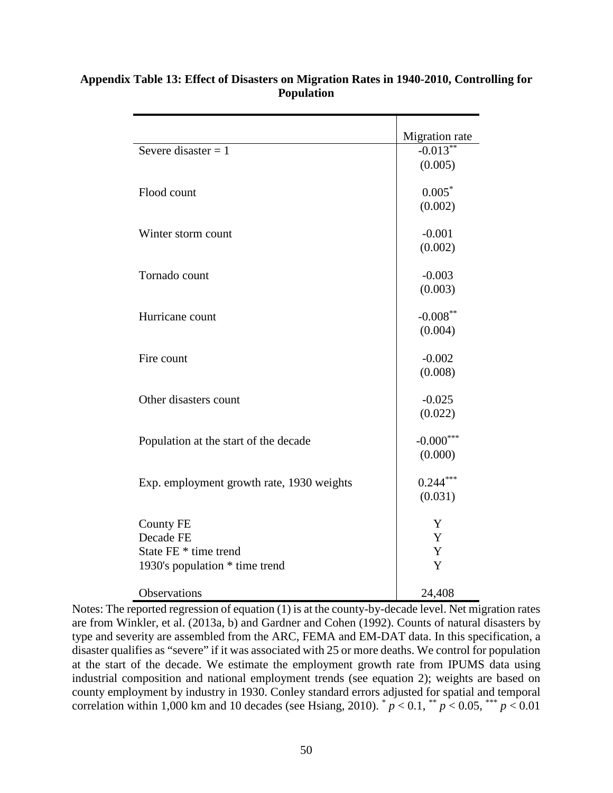|                                           | Migration rate |
|-------------------------------------------|----------------|
| Severe disaster = $1$                     | $-0.013***$    |
|                                           | (0.005)        |
| Flood count                               | $0.005*$       |
|                                           | (0.002)        |
| Winter storm count                        | $-0.001$       |
|                                           | (0.002)        |
| Tornado count                             | $-0.003$       |
|                                           | (0.003)        |
| Hurricane count                           | $-0.008***$    |
|                                           | (0.004)        |
| Fire count                                | $-0.002$       |
|                                           | (0.008)        |
| Other disasters count                     | $-0.025$       |
|                                           | (0.022)        |
| Population at the start of the decade     | $-0.000***$    |
|                                           | (0.000)        |
| Exp. employment growth rate, 1930 weights | $0.244***$     |
|                                           | (0.031)        |
| <b>County FE</b>                          | Y              |
| Decade FE                                 | Y              |
| State FE * time trend                     | Y              |
| 1930's population * time trend            | Y              |
| Observations                              | 24,408         |

# **Appendix Table 13: Effect of Disasters on Migration Rates in 1940-2010, Controlling for Population**

Notes: The reported regression of equation (1) is at the county-by-decade level. Net migration rates are from Winkler, et al. (2013a, b) and Gardner and Cohen (1992). Counts of natural disasters by type and severity are assembled from the ARC, FEMA and EM-DAT data. In this specification, a disaster qualifies as "severe" if it was associated with 25 or more deaths. We control for population at the start of the decade. We estimate the employment growth rate from IPUMS data using industrial composition and national employment trends (see equation 2); weights are based on county employment by industry in 1930. Conley standard errors adjusted for spatial and temporal correlation within 1,000 km and 10 decades (see Hsiang, 2010).  $p < 0.1$ ,  $p < 0.05$ ,  $p > 0.01$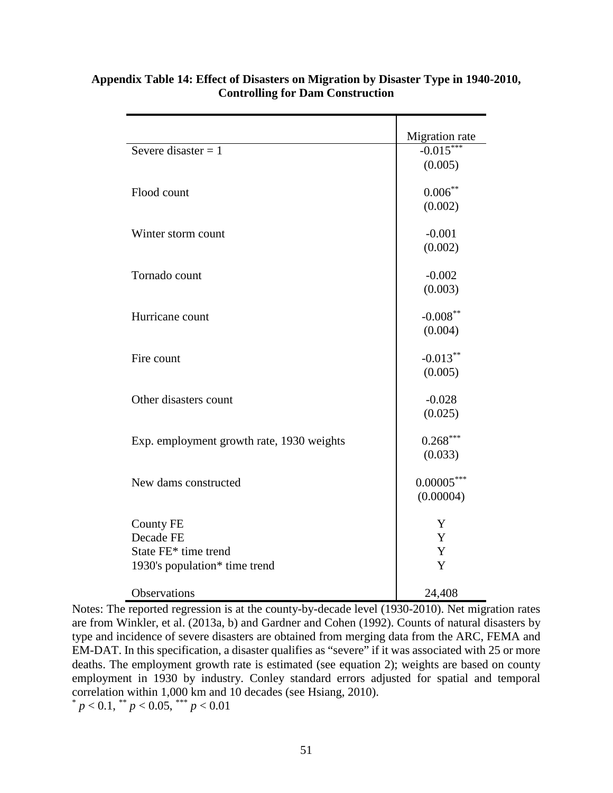|                                                                                        | Migration rate            |
|----------------------------------------------------------------------------------------|---------------------------|
| Severe disaster $= 1$                                                                  | $-0.015***$               |
|                                                                                        | (0.005)                   |
| Flood count                                                                            | $0.006***$<br>(0.002)     |
| Winter storm count                                                                     | $-0.001$<br>(0.002)       |
| Tornado count                                                                          | $-0.002$<br>(0.003)       |
| Hurricane count                                                                        | $-0.008***$<br>(0.004)    |
| Fire count                                                                             | $-0.013***$<br>(0.005)    |
| Other disasters count                                                                  | $-0.028$<br>(0.025)       |
| Exp. employment growth rate, 1930 weights                                              | $0.268***$<br>(0.033)     |
| New dams constructed                                                                   | $0.00005***$<br>(0.00004) |
| <b>County FE</b><br>Decade FE<br>State FE* time trend<br>1930's population* time trend | Y<br>Y<br>Y<br>Y          |
| Observations                                                                           | 24,408                    |

# **Appendix Table 14: Effect of Disasters on Migration by Disaster Type in 1940-2010, Controlling for Dam Construction**

Notes: The reported regression is at the county-by-decade level (1930-2010). Net migration rates are from Winkler, et al. (2013a, b) and Gardner and Cohen (1992). Counts of natural disasters by type and incidence of severe disasters are obtained from merging data from the ARC, FEMA and EM-DAT. In this specification, a disaster qualifies as "severe" if it was associated with 25 or more deaths. The employment growth rate is estimated (see equation 2); weights are based on county employment in 1930 by industry. Conley standard errors adjusted for spatial and temporal correlation within 1,000 km and 10 decades (see Hsiang, 2010).

 $p < 0.1$ , \*\*  $p < 0.05$ , \*\*\*  $p < 0.01$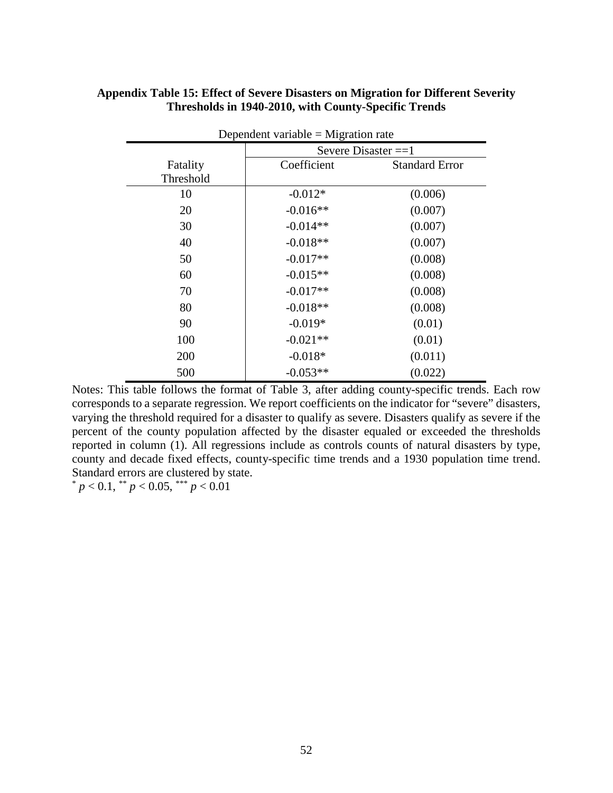| Appendix Table 15: Effect of Severe Disasters on Migration for Different Severity |
|-----------------------------------------------------------------------------------|
| Thresholds in 1940-2010, with County-Specific Trends                              |

| Dependent variable = Migration rate |                       |                       |  |
|-------------------------------------|-----------------------|-----------------------|--|
|                                     | Severe Disaster $==1$ |                       |  |
| Fatality                            | Coefficient           | <b>Standard Error</b> |  |
| Threshold                           |                       |                       |  |
| 10                                  | $-0.012*$             | (0.006)               |  |
| 20                                  | $-0.016**$            | (0.007)               |  |
| 30                                  | $-0.014**$            | (0.007)               |  |
| 40                                  | $-0.018**$            | (0.007)               |  |
| 50                                  | $-0.017**$            | (0.008)               |  |
| 60                                  | $-0.015**$            | (0.008)               |  |
| 70                                  | $-0.017**$            | (0.008)               |  |
| 80                                  | $-0.018**$            | (0.008)               |  |
| 90                                  | $-0.019*$             | (0.01)                |  |
| 100                                 | $-0.021**$            | (0.01)                |  |
| 200                                 | $-0.018*$             | (0.011)               |  |
| 500                                 | $-0.053**$            | (0.022)               |  |

Notes: This table follows the format of Table 3, after adding county-specific trends. Each row corresponds to a separate regression. We report coefficients on the indicator for "severe" disasters, varying the threshold required for a disaster to qualify as severe. Disasters qualify as severe if the percent of the county population affected by the disaster equaled or exceeded the thresholds reported in column (1). All regressions include as controls counts of natural disasters by type, county and decade fixed effects, county-specific time trends and a 1930 population time trend. Standard errors are clustered by state.

 $p < 0.1$ ,  $p < 0.05$ ,  $p < 0.01$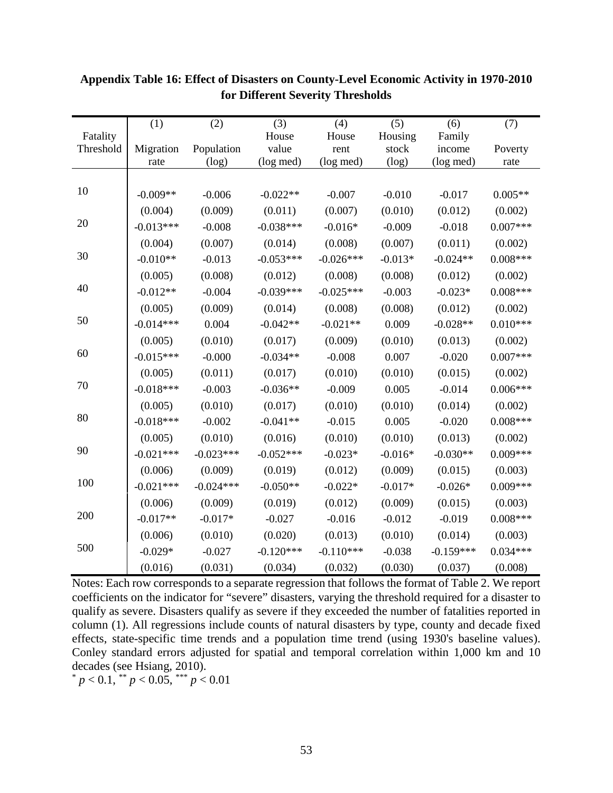|           | (1)         | (2)         | (3)         | (4)         | (5)       | (6)         | (7)        |
|-----------|-------------|-------------|-------------|-------------|-----------|-------------|------------|
| Fatality  |             |             | House       | House       | Housing   | Family      |            |
| Threshold | Migration   | Population  | value       | rent        | stock     | income      | Poverty    |
|           | rate        | (log)       | (log med)   | (log med)   | (log)     | (log med)   | rate       |
|           |             |             |             |             |           |             |            |
| 10        | $-0.009**$  | $-0.006$    | $-0.022**$  | $-0.007$    | $-0.010$  | $-0.017$    | $0.005**$  |
|           | (0.004)     | (0.009)     | (0.011)     | (0.007)     | (0.010)   | (0.012)     | (0.002)    |
| 20        | $-0.013***$ | $-0.008$    | $-0.038***$ | $-0.016*$   | $-0.009$  | $-0.018$    | $0.007***$ |
|           | (0.004)     | (0.007)     | (0.014)     | (0.008)     | (0.007)   | (0.011)     | (0.002)    |
| 30        | $-0.010**$  | $-0.013$    | $-0.053***$ | $-0.026***$ | $-0.013*$ | $-0.024**$  | $0.008***$ |
|           | (0.005)     | (0.008)     | (0.012)     | (0.008)     | (0.008)   | (0.012)     | (0.002)    |
| 40        | $-0.012**$  | $-0.004$    | $-0.039***$ | $-0.025***$ | $-0.003$  | $-0.023*$   | $0.008***$ |
|           | (0.005)     | (0.009)     | (0.014)     | (0.008)     | (0.008)   | (0.012)     | (0.002)    |
| 50        | $-0.014***$ | 0.004       | $-0.042**$  | $-0.021**$  | 0.009     | $-0.028**$  | $0.010***$ |
|           | (0.005)     | (0.010)     | (0.017)     | (0.009)     | (0.010)   | (0.013)     | (0.002)    |
| 60        | $-0.015***$ | $-0.000$    | $-0.034**$  | $-0.008$    | 0.007     | $-0.020$    | $0.007***$ |
|           | (0.005)     | (0.011)     | (0.017)     | (0.010)     | (0.010)   | (0.015)     | (0.002)    |
| 70        | $-0.018***$ | $-0.003$    | $-0.036**$  | $-0.009$    | 0.005     | $-0.014$    | $0.006***$ |
|           | (0.005)     | (0.010)     | (0.017)     | (0.010)     | (0.010)   | (0.014)     | (0.002)    |
| 80        | $-0.018***$ | $-0.002$    | $-0.041**$  | $-0.015$    | 0.005     | $-0.020$    | $0.008***$ |
|           | (0.005)     | (0.010)     | (0.016)     | (0.010)     | (0.010)   | (0.013)     | (0.002)    |
| 90        | $-0.021***$ | $-0.023***$ | $-0.052***$ | $-0.023*$   | $-0.016*$ | $-0.030**$  | $0.009***$ |
|           | (0.006)     | (0.009)     | (0.019)     | (0.012)     | (0.009)   | (0.015)     | (0.003)    |
| 100       | $-0.021***$ | $-0.024***$ | $-0.050**$  | $-0.022*$   | $-0.017*$ | $-0.026*$   | $0.009***$ |
|           | (0.006)     | (0.009)     | (0.019)     | (0.012)     | (0.009)   | (0.015)     | (0.003)    |
| 200       | $-0.017**$  | $-0.017*$   | $-0.027$    | $-0.016$    | $-0.012$  | $-0.019$    | $0.008***$ |
|           | (0.006)     | (0.010)     | (0.020)     | (0.013)     | (0.010)   | (0.014)     | (0.003)    |
| 500       | $-0.029*$   | $-0.027$    | $-0.120***$ | $-0.110***$ | $-0.038$  | $-0.159***$ | $0.034***$ |
|           | (0.016)     | (0.031)     | (0.034)     | (0.032)     | (0.030)   | (0.037)     | (0.008)    |

# **Appendix Table 16: Effect of Disasters on County-Level Economic Activity in 1970-2010 for Different Severity Thresholds**

Notes: Each row corresponds to a separate regression that follows the format of Table 2. We report coefficients on the indicator for "severe" disasters, varying the threshold required for a disaster to qualify as severe. Disasters qualify as severe if they exceeded the number of fatalities reported in column (1). All regressions include counts of natural disasters by type, county and decade fixed effects, state-specific time trends and a population time trend (using 1930's baseline values). Conley standard errors adjusted for spatial and temporal correlation within 1,000 km and 10 decades (see Hsiang, 2010).

 $p < 0.1$ , \*\* *p* < 0.05, \*\*\* *p* < 0.01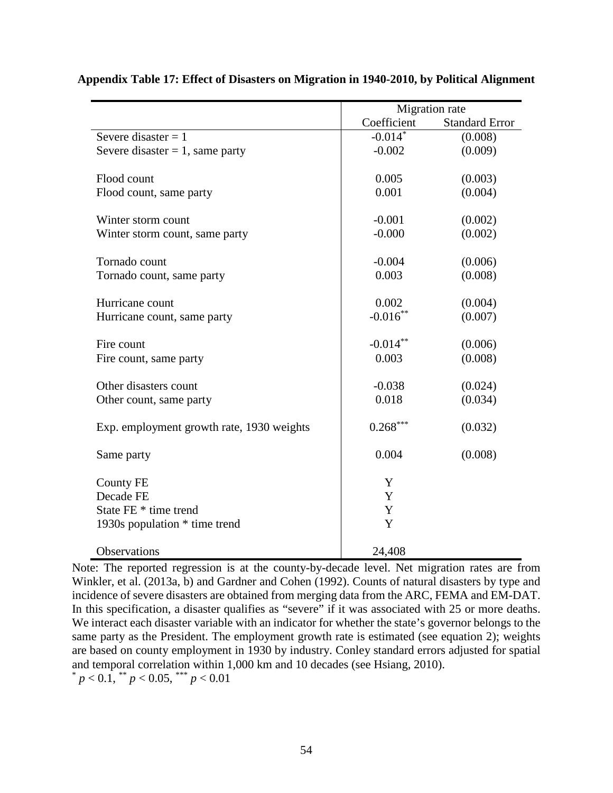|                                           | Migration rate |                       |
|-------------------------------------------|----------------|-----------------------|
|                                           | Coefficient    | <b>Standard Error</b> |
| Severe disaster $= 1$                     | $-0.014*$      | (0.008)               |
| Severe disaster $= 1$ , same party        | $-0.002$       | (0.009)               |
|                                           |                |                       |
| Flood count                               | 0.005          | (0.003)               |
| Flood count, same party                   | 0.001          | (0.004)               |
|                                           |                |                       |
| Winter storm count                        | $-0.001$       | (0.002)               |
| Winter storm count, same party            | $-0.000$       | (0.002)               |
|                                           |                |                       |
| Tornado count                             | $-0.004$       | (0.006)               |
| Tornado count, same party                 | 0.003          | (0.008)               |
|                                           |                |                       |
| Hurricane count                           | 0.002          | (0.004)               |
| Hurricane count, same party               | $-0.016$ **    | (0.007)               |
|                                           |                |                       |
| Fire count                                | $-0.014**$     | (0.006)               |
| Fire count, same party                    | 0.003          | (0.008)               |
|                                           |                |                       |
| Other disasters count                     | $-0.038$       | (0.024)               |
| Other count, same party                   | 0.018          | (0.034)               |
|                                           |                |                       |
| Exp. employment growth rate, 1930 weights | $0.268***$     | (0.032)               |
|                                           |                |                       |
| Same party                                | 0.004          | (0.008)               |
|                                           |                |                       |
| County FE                                 | Y              |                       |
| Decade FE                                 | Y              |                       |
| State FE * time trend                     | Y              |                       |
| 1930s population * time trend             | Y              |                       |
|                                           |                |                       |
| <b>Observations</b>                       | 24,408         |                       |

**Appendix Table 17: Effect of Disasters on Migration in 1940-2010, by Political Alignment**

Note: The reported regression is at the county-by-decade level. Net migration rates are from Winkler, et al. (2013a, b) and Gardner and Cohen (1992). Counts of natural disasters by type and incidence of severe disasters are obtained from merging data from the ARC, FEMA and EM-DAT. In this specification, a disaster qualifies as "severe" if it was associated with 25 or more deaths. We interact each disaster variable with an indicator for whether the state's governor belongs to the same party as the President. The employment growth rate is estimated (see equation 2); weights are based on county employment in 1930 by industry. Conley standard errors adjusted for spatial and temporal correlation within 1,000 km and 10 decades (see Hsiang, 2010).  $p < 0.1$ , \*\*  $p < 0.05$ , \*\*\*  $p < 0.01$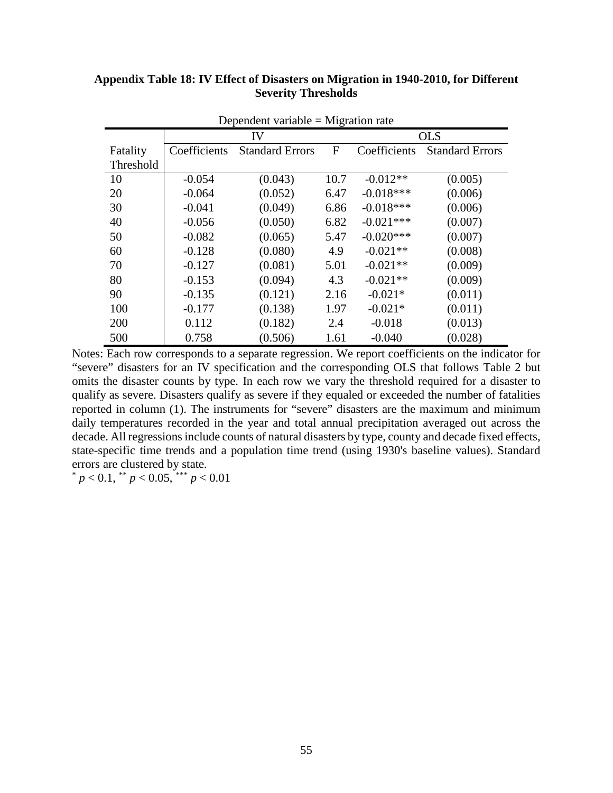| Dependent variable $=$ Migration rate |              |                        |      |              |                        |  |
|---------------------------------------|--------------|------------------------|------|--------------|------------------------|--|
|                                       | IV           |                        |      | <b>OLS</b>   |                        |  |
| Fatality                              | Coefficients | <b>Standard Errors</b> | F    | Coefficients | <b>Standard Errors</b> |  |
| Threshold                             |              |                        |      |              |                        |  |
| 10                                    | $-0.054$     | (0.043)                | 10.7 | $-0.012**$   | (0.005)                |  |
| 20                                    | $-0.064$     | (0.052)                | 6.47 | $-0.018***$  | (0.006)                |  |
| 30                                    | $-0.041$     | (0.049)                | 6.86 | $-0.018***$  | (0.006)                |  |
| 40                                    | $-0.056$     | (0.050)                | 6.82 | $-0.021***$  | (0.007)                |  |
| 50                                    | $-0.082$     | (0.065)                | 5.47 | $-0.020***$  | (0.007)                |  |
| 60                                    | $-0.128$     | (0.080)                | 4.9  | $-0.021**$   | (0.008)                |  |
| 70                                    | $-0.127$     | (0.081)                | 5.01 | $-0.021**$   | (0.009)                |  |
| 80                                    | $-0.153$     | (0.094)                | 4.3  | $-0.021**$   | (0.009)                |  |
| 90                                    | $-0.135$     | (0.121)                | 2.16 | $-0.021*$    | (0.011)                |  |
| 100                                   | $-0.177$     | (0.138)                | 1.97 | $-0.021*$    | (0.011)                |  |
| 200                                   | 0.112        | (0.182)                | 2.4  | $-0.018$     | (0.013)                |  |
| 500                                   | 0.758        | (0.506)                | 1.61 | $-0.040$     | (0.028)                |  |

## **Appendix Table 18: IV Effect of Disasters on Migration in 1940-2010, for Different Severity Thresholds**

Notes: Each row corresponds to a separate regression. We report coefficients on the indicator for "severe" disasters for an IV specification and the corresponding OLS that follows Table 2 but omits the disaster counts by type. In each row we vary the threshold required for a disaster to qualify as severe. Disasters qualify as severe if they equaled or exceeded the number of fatalities reported in column (1). The instruments for "severe" disasters are the maximum and minimum daily temperatures recorded in the year and total annual precipitation averaged out across the decade. All regressions include counts of natural disasters by type, county and decade fixed effects, state-specific time trends and a population time trend (using 1930's baseline values). Standard errors are clustered by state.

 $p < 0.1$ , \*\*  $p < 0.05$ , \*\*\*  $p < 0.01$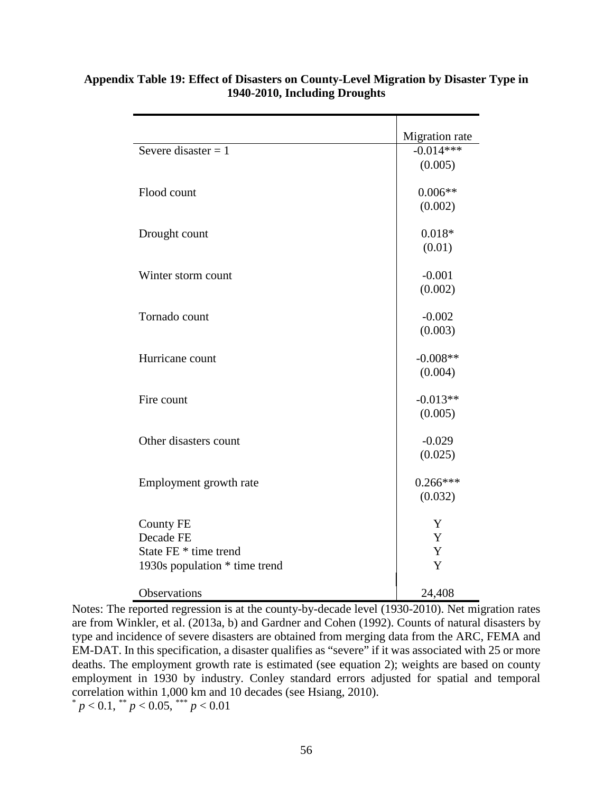|                                                                                         | Migration rate        |
|-----------------------------------------------------------------------------------------|-----------------------|
| Severe disaster = $1$                                                                   | $-0.014***$           |
|                                                                                         | (0.005)               |
| Flood count                                                                             | $0.006**$<br>(0.002)  |
| Drought count                                                                           | $0.018*$<br>(0.01)    |
| Winter storm count                                                                      | $-0.001$<br>(0.002)   |
| Tornado count                                                                           | $-0.002$<br>(0.003)   |
| Hurricane count                                                                         | $-0.008**$<br>(0.004) |
| Fire count                                                                              | $-0.013**$<br>(0.005) |
| Other disasters count                                                                   | $-0.029$<br>(0.025)   |
| Employment growth rate                                                                  | $0.266***$<br>(0.032) |
| <b>County FE</b><br>Decade FE<br>State FE * time trend<br>1930s population * time trend | Y<br>Y<br>Y<br>Y      |
| Observations                                                                            | 24,408                |

# **Appendix Table 19: Effect of Disasters on County-Level Migration by Disaster Type in 1940-2010, Including Droughts**

Notes: The reported regression is at the county-by-decade level (1930-2010). Net migration rates are from Winkler, et al. (2013a, b) and Gardner and Cohen (1992). Counts of natural disasters by type and incidence of severe disasters are obtained from merging data from the ARC, FEMA and EM-DAT. In this specification, a disaster qualifies as "severe" if it was associated with 25 or more deaths. The employment growth rate is estimated (see equation 2); weights are based on county employment in 1930 by industry. Conley standard errors adjusted for spatial and temporal correlation within 1,000 km and 10 decades (see Hsiang, 2010).  $p < 0.1$ , \*\*  $p < 0.05$ , \*\*\*  $p < 0.01$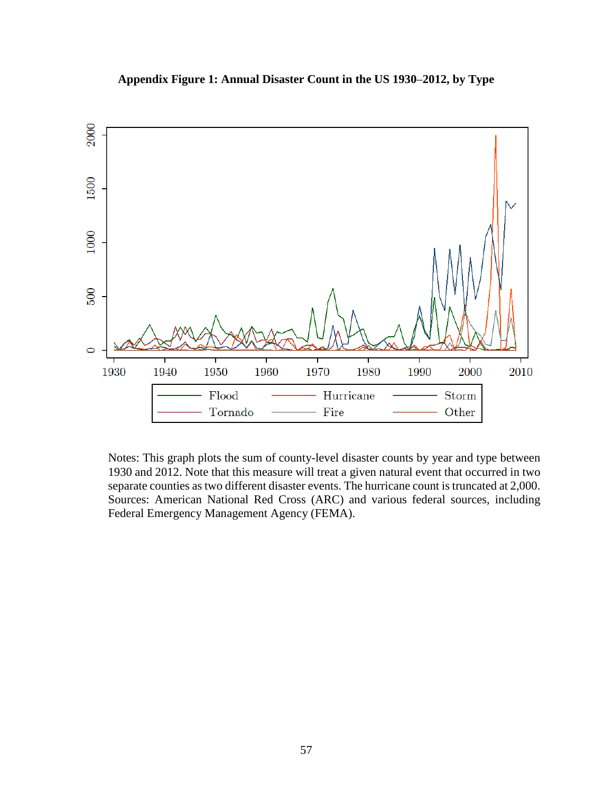

**Appendix Figure 1: Annual Disaster Count in the US 1930**–**2012, by Type** 

Notes: This graph plots the sum of county-level disaster counts by year and type between 1930 and 2012. Note that this measure will treat a given natural event that occurred in two separate counties as two different disaster events. The hurricane count is truncated at 2,000. Sources: American National Red Cross (ARC) and various federal sources, including Federal Emergency Management Agency (FEMA).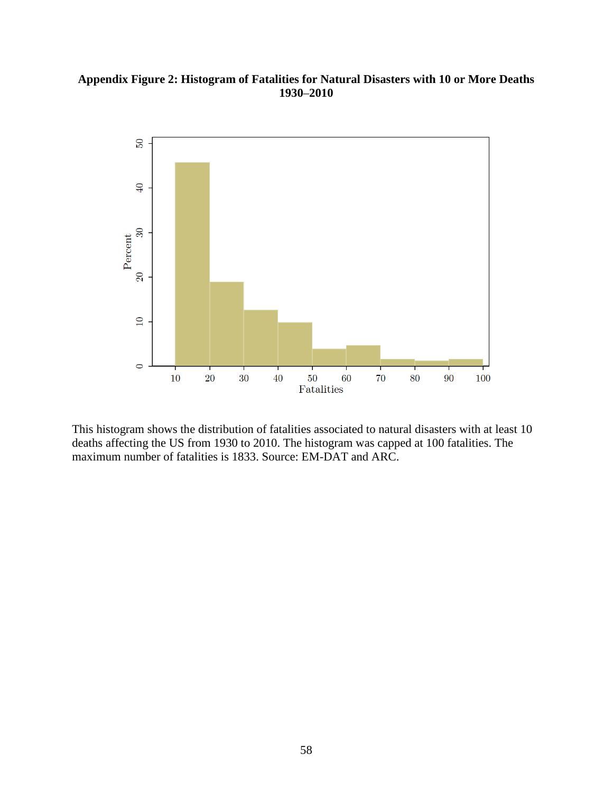## **Appendix Figure 2: Histogram of Fatalities for Natural Disasters with 10 or More Deaths 1930**–**2010**



This histogram shows the distribution of fatalities associated to natural disasters with at least 10 deaths affecting the US from 1930 to 2010. The histogram was capped at 100 fatalities. The maximum number of fatalities is 1833. Source: EM-DAT and ARC.